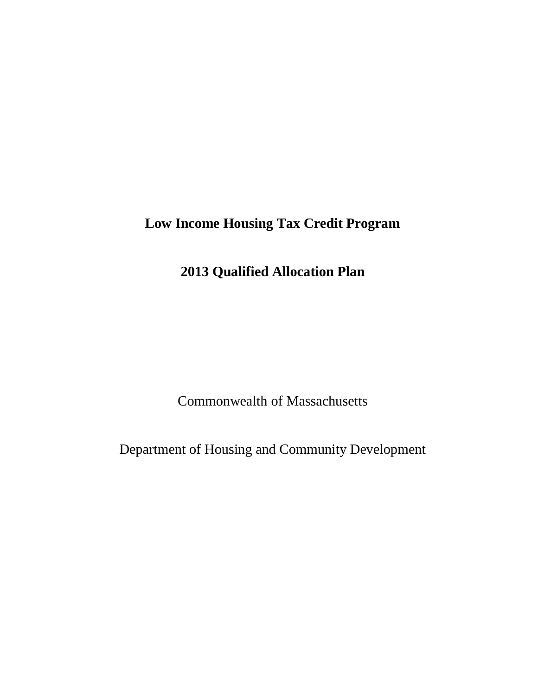# **Low Income Housing Tax Credit Program**

# **2013 Qualified Allocation Plan**

Commonwealth of Massachusetts

Department of Housing and Community Development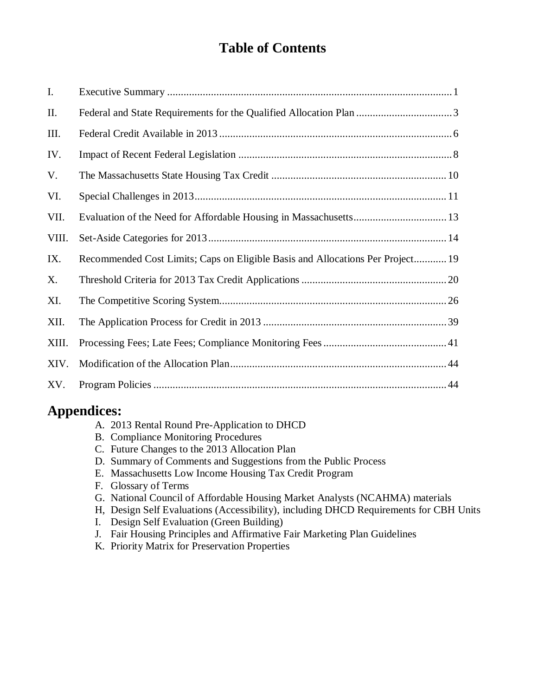# **Table of Contents**

| I.    |                                                                                |
|-------|--------------------------------------------------------------------------------|
| Π.    |                                                                                |
| III.  |                                                                                |
| IV.   |                                                                                |
| V.    |                                                                                |
| VI.   |                                                                                |
| VII.  |                                                                                |
| VIII. |                                                                                |
| IX.   | Recommended Cost Limits; Caps on Eligible Basis and Allocations Per Project 19 |
| Х.    |                                                                                |
| XI.   |                                                                                |
| XII.  |                                                                                |
| XIII. |                                                                                |
| XIV.  |                                                                                |
| XV.   |                                                                                |

# **Appendices:**

- A. 2013 Rental Round Pre-Application to DHCD
- B. Compliance Monitoring Procedures
- C. Future Changes to the 2013 Allocation Plan
- D. Summary of Comments and Suggestions from the Public Process
- E. Massachusetts Low Income Housing Tax Credit Program
- F. Glossary of Terms
- G. National Council of Affordable Housing Market Analysts (NCAHMA) materials
- H, Design Self Evaluations (Accessibility), including DHCD Requirements for CBH Units
- I. Design Self Evaluation (Green Building)
- J. Fair Housing Principles and Affirmative Fair Marketing Plan Guidelines
- K. Priority Matrix for Preservation Properties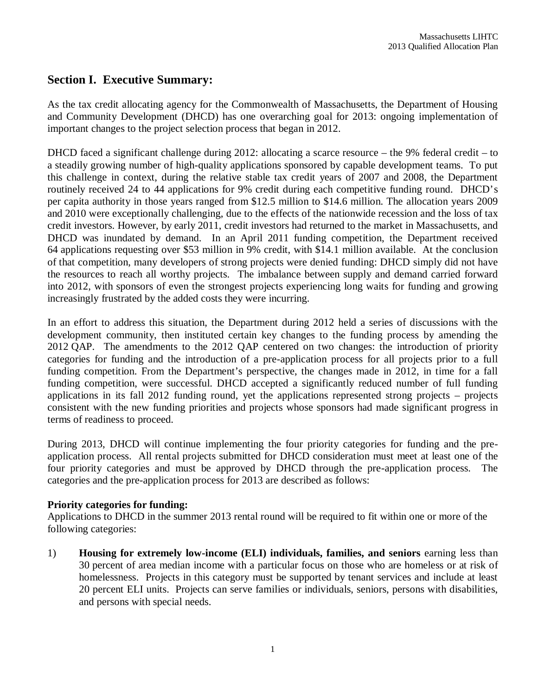### **Section I. Executive Summary:**

As the tax credit allocating agency for the Commonwealth of Massachusetts, the Department of Housing and Community Development (DHCD) has one overarching goal for 2013: ongoing implementation of important changes to the project selection process that began in 2012.

DHCD faced a significant challenge during 2012: allocating a scarce resource – the 9% federal credit – to a steadily growing number of high-quality applications sponsored by capable development teams. To put this challenge in context, during the relative stable tax credit years of 2007 and 2008, the Department routinely received 24 to 44 applications for 9% credit during each competitive funding round. DHCD's per capita authority in those years ranged from \$12.5 million to \$14.6 million. The allocation years 2009 and 2010 were exceptionally challenging, due to the effects of the nationwide recession and the loss of tax credit investors. However, by early 2011, credit investors had returned to the market in Massachusetts, and DHCD was inundated by demand. In an April 2011 funding competition, the Department received 64 applications requesting over \$53 million in 9% credit, with \$14.1 million available. At the conclusion of that competition, many developers of strong projects were denied funding: DHCD simply did not have the resources to reach all worthy projects. The imbalance between supply and demand carried forward into 2012, with sponsors of even the strongest projects experiencing long waits for funding and growing increasingly frustrated by the added costs they were incurring.

In an effort to address this situation, the Department during 2012 held a series of discussions with the development community, then instituted certain key changes to the funding process by amending the 2012 QAP. The amendments to the 2012 QAP centered on two changes: the introduction of priority categories for funding and the introduction of a pre-application process for all projects prior to a full funding competition. From the Department's perspective, the changes made in 2012, in time for a fall funding competition, were successful. DHCD accepted a significantly reduced number of full funding applications in its fall 2012 funding round, yet the applications represented strong projects – projects consistent with the new funding priorities and projects whose sponsors had made significant progress in terms of readiness to proceed.

During 2013, DHCD will continue implementing the four priority categories for funding and the preapplication process. All rental projects submitted for DHCD consideration must meet at least one of the four priority categories and must be approved by DHCD through the pre-application process. The categories and the pre-application process for 2013 are described as follows:

### **Priority categories for funding:**

Applications to DHCD in the summer 2013 rental round will be required to fit within one or more of the following categories:

1) **Housing for extremely low-income (ELI) individuals, families, and seniors** earning less than 30 percent of area median income with a particular focus on those who are homeless or at risk of homelessness. Projects in this category must be supported by tenant services and include at least 20 percent ELI units. Projects can serve families or individuals, seniors, persons with disabilities, and persons with special needs.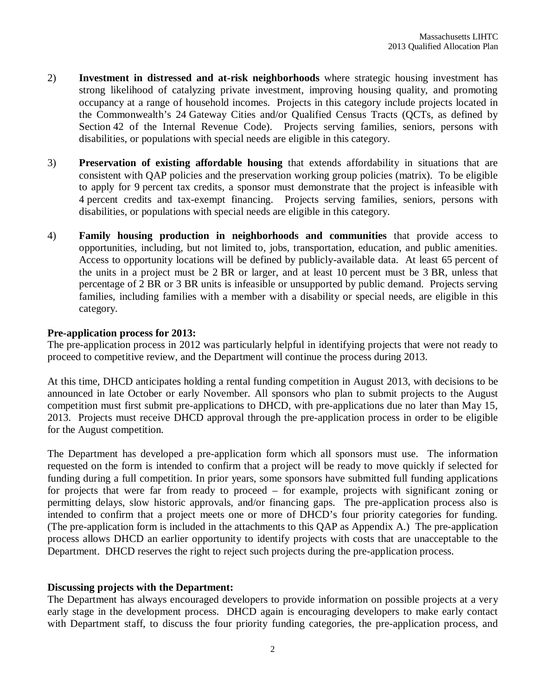- 2) **Investment in distressed and at-risk neighborhoods** where strategic housing investment has strong likelihood of catalyzing private investment, improving housing quality, and promoting occupancy at a range of household incomes. Projects in this category include projects located in the Commonwealth's 24 Gateway Cities and/or Qualified Census Tracts (QCTs, as defined by Section 42 of the Internal Revenue Code). Projects serving families, seniors, persons with disabilities, or populations with special needs are eligible in this category.
- 3) **Preservation of existing affordable housing** that extends affordability in situations that are consistent with QAP policies and the preservation working group policies (matrix). To be eligible to apply for 9 percent tax credits, a sponsor must demonstrate that the project is infeasible with 4 percent credits and tax-exempt financing. Projects serving families, seniors, persons with disabilities, or populations with special needs are eligible in this category.
- 4) **Family housing production in neighborhoods and communities** that provide access to opportunities, including, but not limited to, jobs, transportation, education, and public amenities. Access to opportunity locations will be defined by publicly-available data. At least 65 percent of the units in a project must be 2 BR or larger, and at least 10 percent must be 3 BR, unless that percentage of 2 BR or 3 BR units is infeasible or unsupported by public demand. Projects serving families, including families with a member with a disability or special needs, are eligible in this category.

#### **Pre-application process for 2013:**

The pre-application process in 2012 was particularly helpful in identifying projects that were not ready to proceed to competitive review, and the Department will continue the process during 2013.

At this time, DHCD anticipates holding a rental funding competition in August 2013, with decisions to be announced in late October or early November. All sponsors who plan to submit projects to the August competition must first submit pre-applications to DHCD, with pre-applications due no later than May 15, 2013. Projects must receive DHCD approval through the pre-application process in order to be eligible for the August competition.

The Department has developed a pre-application form which all sponsors must use. The information requested on the form is intended to confirm that a project will be ready to move quickly if selected for funding during a full competition. In prior years, some sponsors have submitted full funding applications for projects that were far from ready to proceed – for example, projects with significant zoning or permitting delays, slow historic approvals, and/or financing gaps. The pre-application process also is intended to confirm that a project meets one or more of DHCD's four priority categories for funding. (The pre-application form is included in the attachments to this QAP as Appendix A.) The pre-application process allows DHCD an earlier opportunity to identify projects with costs that are unacceptable to the Department. DHCD reserves the right to reject such projects during the pre-application process.

#### **Discussing projects with the Department:**

The Department has always encouraged developers to provide information on possible projects at a very early stage in the development process. DHCD again is encouraging developers to make early contact with Department staff, to discuss the four priority funding categories, the pre-application process, and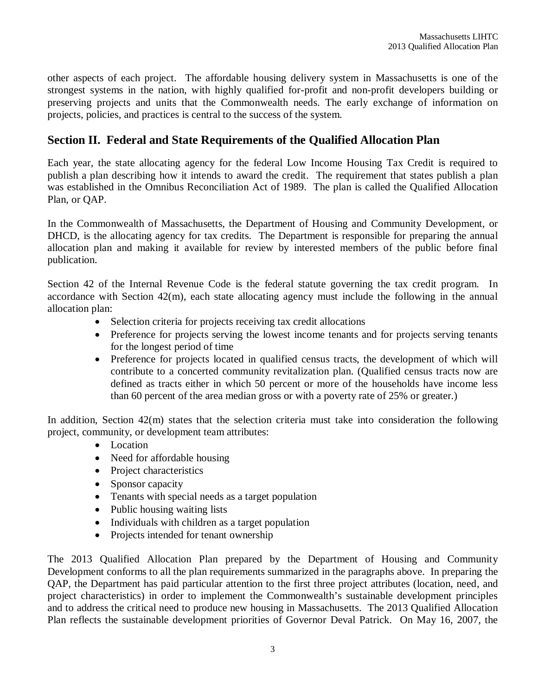other aspects of each project. The affordable housing delivery system in Massachusetts is one of the strongest systems in the nation, with highly qualified for-profit and non-profit developers building or preserving projects and units that the Commonwealth needs. The early exchange of information on projects, policies, and practices is central to the success of the system.

# **Section II. Federal and State Requirements of the Qualified Allocation Plan**

Each year, the state allocating agency for the federal Low Income Housing Tax Credit is required to publish a plan describing how it intends to award the credit. The requirement that states publish a plan was established in the Omnibus Reconciliation Act of 1989. The plan is called the Qualified Allocation Plan, or QAP.

In the Commonwealth of Massachusetts, the Department of Housing and Community Development, or DHCD, is the allocating agency for tax credits. The Department is responsible for preparing the annual allocation plan and making it available for review by interested members of the public before final publication.

Section 42 of the Internal Revenue Code is the federal statute governing the tax credit program. In accordance with Section 42(m), each state allocating agency must include the following in the annual allocation plan:

- Selection criteria for projects receiving tax credit allocations
- Preference for projects serving the lowest income tenants and for projects serving tenants for the longest period of time
- Preference for projects located in qualified census tracts, the development of which will contribute to a concerted community revitalization plan. (Qualified census tracts now are defined as tracts either in which 50 percent or more of the households have income less than 60 percent of the area median gross or with a poverty rate of 25% or greater.)

In addition, Section 42(m) states that the selection criteria must take into consideration the following project, community, or development team attributes:

- Location
- Need for affordable housing
- Project characteristics
- Sponsor capacity
- Tenants with special needs as a target population
- Public housing waiting lists
- Individuals with children as a target population
- Projects intended for tenant ownership

The 2013 Qualified Allocation Plan prepared by the Department of Housing and Community Development conforms to all the plan requirements summarized in the paragraphs above. In preparing the QAP, the Department has paid particular attention to the first three project attributes (location, need, and project characteristics) in order to implement the Commonwealth's sustainable development principles and to address the critical need to produce new housing in Massachusetts. The 2013 Qualified Allocation Plan reflects the sustainable development priorities of Governor Deval Patrick. On May 16, 2007, the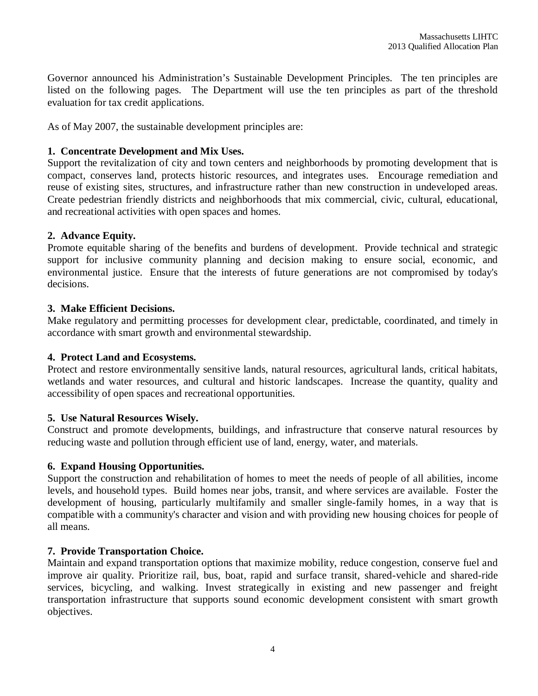Governor announced his Administration's Sustainable Development Principles. The ten principles are listed on the following pages. The Department will use the ten principles as part of the threshold evaluation for tax credit applications.

As of May 2007, the sustainable development principles are:

### **1. Concentrate Development and Mix Uses.**

Support the revitalization of city and town centers and neighborhoods by promoting development that is compact, conserves land, protects historic resources, and integrates uses. Encourage remediation and reuse of existing sites, structures, and infrastructure rather than new construction in undeveloped areas. Create pedestrian friendly districts and neighborhoods that mix commercial, civic, cultural, educational, and recreational activities with open spaces and homes.

### **2. Advance Equity.**

Promote equitable sharing of the benefits and burdens of development. Provide technical and strategic support for inclusive community planning and decision making to ensure social, economic, and environmental justice. Ensure that the interests of future generations are not compromised by today's decisions.

### **3. Make Efficient Decisions.**

Make regulatory and permitting processes for development clear, predictable, coordinated, and timely in accordance with smart growth and environmental stewardship.

### **4. Protect Land and Ecosystems.**

Protect and restore environmentally sensitive lands, natural resources, agricultural lands, critical habitats, wetlands and water resources, and cultural and historic landscapes. Increase the quantity, quality and accessibility of open spaces and recreational opportunities.

### **5. Use Natural Resources Wisely.**

Construct and promote developments, buildings, and infrastructure that conserve natural resources by reducing waste and pollution through efficient use of land, energy, water, and materials.

### **6. Expand Housing Opportunities.**

Support the construction and rehabilitation of homes to meet the needs of people of all abilities, income levels, and household types. Build homes near jobs, transit, and where services are available. Foster the development of housing, particularly multifamily and smaller single-family homes, in a way that is compatible with a community's character and vision and with providing new housing choices for people of all means.

### **7. Provide Transportation Choice.**

Maintain and expand transportation options that maximize mobility, reduce congestion, conserve fuel and improve air quality. Prioritize rail, bus, boat, rapid and surface transit, shared-vehicle and shared-ride services, bicycling, and walking. Invest strategically in existing and new passenger and freight transportation infrastructure that supports sound economic development consistent with smart growth objectives.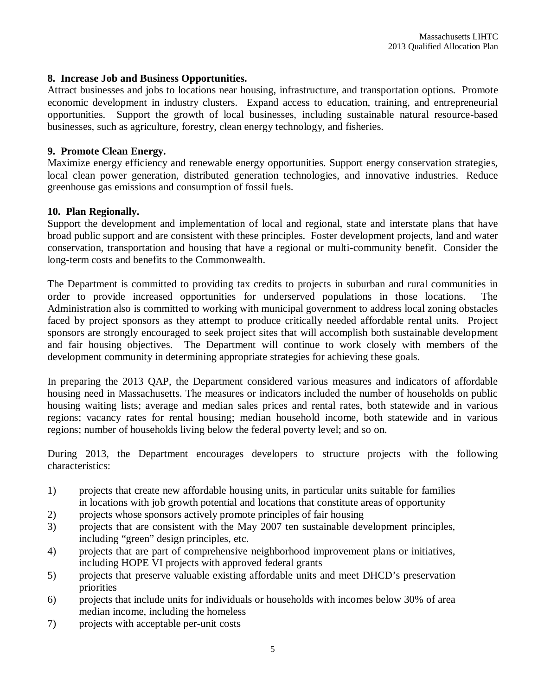#### **8. Increase Job and Business Opportunities.**

Attract businesses and jobs to locations near housing, infrastructure, and transportation options. Promote economic development in industry clusters. Expand access to education, training, and entrepreneurial opportunities. Support the growth of local businesses, including sustainable natural resource-based businesses, such as agriculture, forestry, clean energy technology, and fisheries.

#### **9. Promote Clean Energy.**

Maximize energy efficiency and renewable energy opportunities. Support energy conservation strategies, local clean power generation, distributed generation technologies, and innovative industries. Reduce greenhouse gas emissions and consumption of fossil fuels.

#### **10. Plan Regionally.**

Support the development and implementation of local and regional, state and interstate plans that have broad public support and are consistent with these principles. Foster development projects, land and water conservation, transportation and housing that have a regional or multi-community benefit. Consider the long-term costs and benefits to the Commonwealth.

The Department is committed to providing tax credits to projects in suburban and rural communities in order to provide increased opportunities for underserved populations in those locations. The Administration also is committed to working with municipal government to address local zoning obstacles faced by project sponsors as they attempt to produce critically needed affordable rental units. Project sponsors are strongly encouraged to seek project sites that will accomplish both sustainable development and fair housing objectives. The Department will continue to work closely with members of the development community in determining appropriate strategies for achieving these goals.

In preparing the 2013 QAP, the Department considered various measures and indicators of affordable housing need in Massachusetts. The measures or indicators included the number of households on public housing waiting lists; average and median sales prices and rental rates, both statewide and in various regions; vacancy rates for rental housing; median household income, both statewide and in various regions; number of households living below the federal poverty level; and so on.

During 2013, the Department encourages developers to structure projects with the following characteristics:

- 1) projects that create new affordable housing units, in particular units suitable for families in locations with job growth potential and locations that constitute areas of opportunity
- 2) projects whose sponsors actively promote principles of fair housing
- 3) projects that are consistent with the May 2007 ten sustainable development principles, including "green" design principles, etc.
- 4) projects that are part of comprehensive neighborhood improvement plans or initiatives, including HOPE VI projects with approved federal grants
- 5) projects that preserve valuable existing affordable units and meet DHCD's preservation priorities
- 6) projects that include units for individuals or households with incomes below 30% of area median income, including the homeless
- 7) projects with acceptable per-unit costs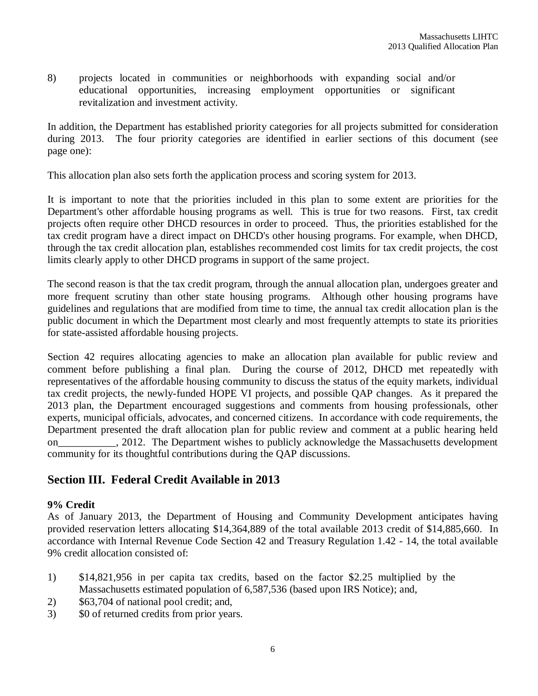8) projects located in communities or neighborhoods with expanding social and/or educational opportunities, increasing employment opportunities or significant revitalization and investment activity.

In addition, the Department has established priority categories for all projects submitted for consideration during 2013. The four priority categories are identified in earlier sections of this document (see page one):

This allocation plan also sets forth the application process and scoring system for 2013.

It is important to note that the priorities included in this plan to some extent are priorities for the Department's other affordable housing programs as well. This is true for two reasons. First, tax credit projects often require other DHCD resources in order to proceed. Thus, the priorities established for the tax credit program have a direct impact on DHCD's other housing programs. For example, when DHCD, through the tax credit allocation plan, establishes recommended cost limits for tax credit projects, the cost limits clearly apply to other DHCD programs in support of the same project.

The second reason is that the tax credit program, through the annual allocation plan, undergoes greater and more frequent scrutiny than other state housing programs. Although other housing programs have guidelines and regulations that are modified from time to time, the annual tax credit allocation plan is the public document in which the Department most clearly and most frequently attempts to state its priorities for state-assisted affordable housing projects.

Section 42 requires allocating agencies to make an allocation plan available for public review and comment before publishing a final plan. During the course of 2012, DHCD met repeatedly with representatives of the affordable housing community to discuss the status of the equity markets, individual tax credit projects, the newly-funded HOPE VI projects, and possible QAP changes. As it prepared the 2013 plan, the Department encouraged suggestions and comments from housing professionals, other experts, municipal officials, advocates, and concerned citizens. In accordance with code requirements, the Department presented the draft allocation plan for public review and comment at a public hearing held on the 2012. The Department wishes to publicly acknowledge the Massachusetts development community for its thoughtful contributions during the QAP discussions.

# **Section III. Federal Credit Available in 2013**

### **9% Credit**

As of January 2013, the Department of Housing and Community Development anticipates having provided reservation letters allocating \$14,364,889 of the total available 2013 credit of \$14,885,660. In accordance with Internal Revenue Code Section 42 and Treasury Regulation 1.42 - 14, the total available 9% credit allocation consisted of:

- 1) \$14,821,956 in per capita tax credits, based on the factor \$2.25 multiplied by the Massachusetts estimated population of 6,587,536 (based upon IRS Notice); and,
- 2) \$63,704 of national pool credit; and,
- 3) \$0 of returned credits from prior years.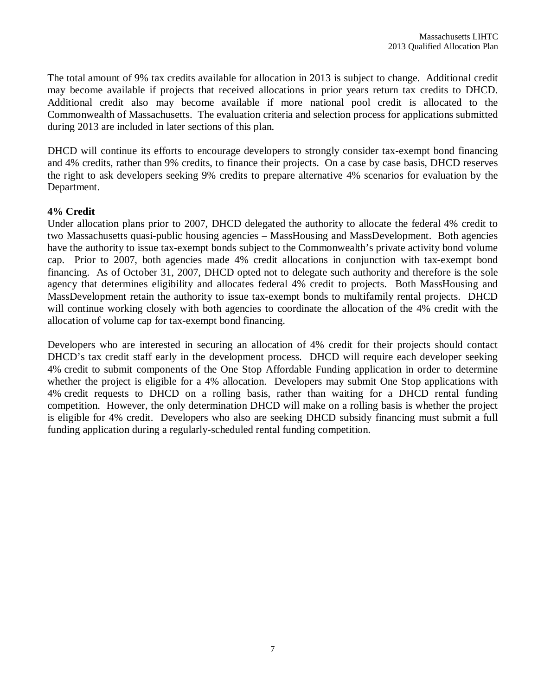The total amount of 9% tax credits available for allocation in 2013 is subject to change. Additional credit may become available if projects that received allocations in prior years return tax credits to DHCD. Additional credit also may become available if more national pool credit is allocated to the Commonwealth of Massachusetts. The evaluation criteria and selection process for applications submitted during 2013 are included in later sections of this plan.

DHCD will continue its efforts to encourage developers to strongly consider tax-exempt bond financing and 4% credits, rather than 9% credits, to finance their projects. On a case by case basis, DHCD reserves the right to ask developers seeking 9% credits to prepare alternative 4% scenarios for evaluation by the Department.

### **4% Credit**

Under allocation plans prior to 2007, DHCD delegated the authority to allocate the federal 4% credit to two Massachusetts quasi-public housing agencies – MassHousing and MassDevelopment. Both agencies have the authority to issue tax-exempt bonds subject to the Commonwealth's private activity bond volume cap. Prior to 2007, both agencies made 4% credit allocations in conjunction with tax-exempt bond financing. As of October 31, 2007, DHCD opted not to delegate such authority and therefore is the sole agency that determines eligibility and allocates federal 4% credit to projects. Both MassHousing and MassDevelopment retain the authority to issue tax-exempt bonds to multifamily rental projects. DHCD will continue working closely with both agencies to coordinate the allocation of the 4% credit with the allocation of volume cap for tax-exempt bond financing.

Developers who are interested in securing an allocation of 4% credit for their projects should contact DHCD's tax credit staff early in the development process. DHCD will require each developer seeking 4% credit to submit components of the One Stop Affordable Funding application in order to determine whether the project is eligible for a 4% allocation. Developers may submit One Stop applications with 4% credit requests to DHCD on a rolling basis, rather than waiting for a DHCD rental funding competition. However, the only determination DHCD will make on a rolling basis is whether the project is eligible for 4% credit. Developers who also are seeking DHCD subsidy financing must submit a full funding application during a regularly-scheduled rental funding competition.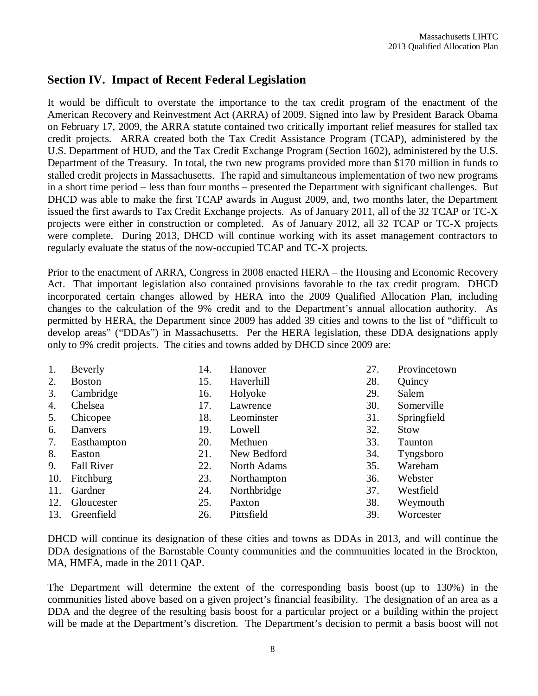### **Section IV. Impact of Recent Federal Legislation**

It would be difficult to overstate the importance to the tax credit program of the enactment of the American Recovery and Reinvestment Act (ARRA) of 2009. Signed into law by President Barack Obama on February 17, 2009, the ARRA statute contained two critically important relief measures for stalled tax credit projects. ARRA created both the Tax Credit Assistance Program (TCAP), administered by the U.S. Department of HUD, and the Tax Credit Exchange Program (Section 1602), administered by the U.S. Department of the Treasury. In total, the two new programs provided more than \$170 million in funds to stalled credit projects in Massachusetts. The rapid and simultaneous implementation of two new programs in a short time period – less than four months – presented the Department with significant challenges. But DHCD was able to make the first TCAP awards in August 2009, and, two months later, the Department issued the first awards to Tax Credit Exchange projects. As of January 2011, all of the 32 TCAP or TC-X projects were either in construction or completed. As of January 2012, all 32 TCAP or TC-X projects were complete. During 2013, DHCD will continue working with its asset management contractors to regularly evaluate the status of the now-occupied TCAP and TC-X projects.

Prior to the enactment of ARRA, Congress in 2008 enacted HERA – the Housing and Economic Recovery Act. That important legislation also contained provisions favorable to the tax credit program. DHCD incorporated certain changes allowed by HERA into the 2009 Qualified Allocation Plan, including changes to the calculation of the 9% credit and to the Department's annual allocation authority. As permitted by HERA, the Department since 2009 has added 39 cities and towns to the list of "difficult to develop areas" ("DDAs") in Massachusetts. Per the HERA legislation, these DDA designations apply only to 9% credit projects. The cities and towns added by DHCD since 2009 are:

| 1.  | Beverly           | 14. | Hanover            | 27. | Provincetown   |
|-----|-------------------|-----|--------------------|-----|----------------|
| 2.  | <b>Boston</b>     | 15. | Haverhill          | 28. | Quincy         |
| 3.  | Cambridge         | 16. | Holyoke            | 29. | Salem          |
| 4.  | Chelsea           | 17. | Lawrence           | 30. | Somerville     |
| 5.  | Chicopee          | 18. | Leominster         | 31. | Springfield    |
| 6.  | Danvers           | 19. | Lowell             | 32. | <b>Stow</b>    |
| 7.  | Easthampton       | 20. | Methuen            | 33. | <b>Taunton</b> |
| 8.  | Easton            | 21. | New Bedford        | 34. | Tyngsboro      |
| 9.  | <b>Fall River</b> | 22. | <b>North Adams</b> | 35. | Wareham        |
| 10. | Fitchburg         | 23. | Northampton        | 36. | Webster        |
| 11. | Gardner           | 24. | Northbridge        | 37. | Westfield      |
| 12. | Gloucester        | 25. | Paxton             | 38. | Weymouth       |
| 13. | Greenfield        | 26. | Pittsfield         | 39. | Worcester      |

DHCD will continue its designation of these cities and towns as DDAs in 2013, and will continue the DDA designations of the Barnstable County communities and the communities located in the Brockton, MA, HMFA, made in the 2011 QAP.

The Department will determine the extent of the corresponding basis boost (up to 130%) in the communities listed above based on a given project's financial feasibility. The designation of an area as a DDA and the degree of the resulting basis boost for a particular project or a building within the project will be made at the Department's discretion. The Department's decision to permit a basis boost will not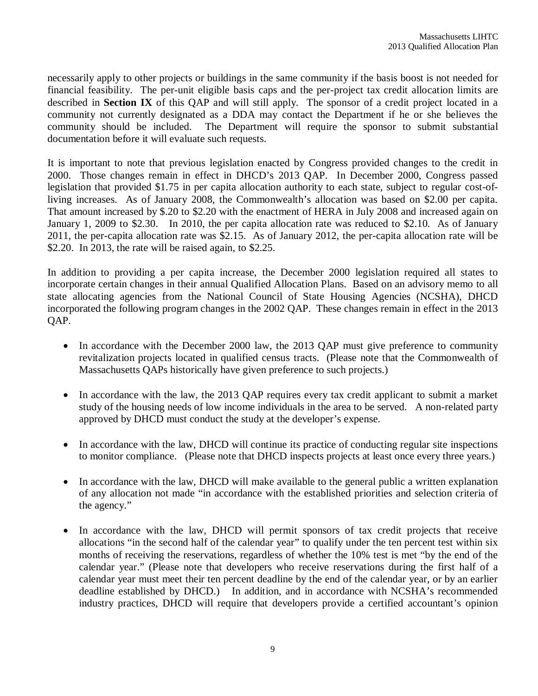necessarily apply to other projects or buildings in the same community if the basis boost is not needed for financial feasibility. The per-unit eligible basis caps and the per-project tax credit allocation limits are described in **Section IX** of this QAP and will still apply. The sponsor of a credit project located in a community not currently designated as a DDA may contact the Department if he or she believes the community should be included. The Department will require the sponsor to submit substantial documentation before it will evaluate such requests.

It is important to note that previous legislation enacted by Congress provided changes to the credit in 2000. Those changes remain in effect in DHCD's 2013 QAP. In December 2000, Congress passed legislation that provided \$1.75 in per capita allocation authority to each state, subject to regular cost-ofliving increases. As of January 2008, the Commonwealth's allocation was based on \$2.00 per capita. That amount increased by \$.20 to \$2.20 with the enactment of HERA in July 2008 and increased again on January 1, 2009 to \$2.30. In 2010, the per capita allocation rate was reduced to \$2.10. As of January 2011, the per-capita allocation rate was \$2.15. As of January 2012, the per-capita allocation rate will be \$2.20. In 2013, the rate will be raised again, to \$2.25.

In addition to providing a per capita increase, the December 2000 legislation required all states to incorporate certain changes in their annual Qualified Allocation Plans. Based on an advisory memo to all state allocating agencies from the National Council of State Housing Agencies (NCSHA), DHCD incorporated the following program changes in the 2002 QAP. These changes remain in effect in the 2013 QAP.

- In accordance with the December 2000 law, the 2013 OAP must give preference to community revitalization projects located in qualified census tracts. (Please note that the Commonwealth of Massachusetts QAPs historically have given preference to such projects.)
- In accordance with the law, the 2013 QAP requires every tax credit applicant to submit a market study of the housing needs of low income individuals in the area to be served. A non-related party approved by DHCD must conduct the study at the developer's expense.
- In accordance with the law, DHCD will continue its practice of conducting regular site inspections to monitor compliance. (Please note that DHCD inspects projects at least once every three years.)
- In accordance with the law, DHCD will make available to the general public a written explanation of any allocation not made "in accordance with the established priorities and selection criteria of the agency."
- In accordance with the law, DHCD will permit sponsors of tax credit projects that receive allocations "in the second half of the calendar year" to qualify under the ten percent test within six months of receiving the reservations, regardless of whether the 10% test is met "by the end of the calendar year." (Please note that developers who receive reservations during the first half of a calendar year must meet their ten percent deadline by the end of the calendar year, or by an earlier deadline established by DHCD.) In addition, and in accordance with NCSHA's recommended industry practices, DHCD will require that developers provide a certified accountant's opinion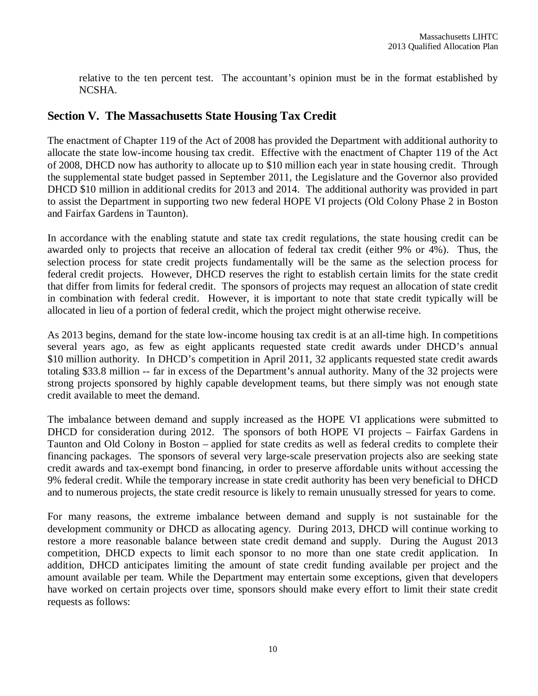relative to the ten percent test. The accountant's opinion must be in the format established by NCSHA.

### **Section V. The Massachusetts State Housing Tax Credit**

The enactment of Chapter 119 of the Act of 2008 has provided the Department with additional authority to allocate the state low-income housing tax credit. Effective with the enactment of Chapter 119 of the Act of 2008, DHCD now has authority to allocate up to \$10 million each year in state housing credit. Through the supplemental state budget passed in September 2011, the Legislature and the Governor also provided DHCD \$10 million in additional credits for 2013 and 2014. The additional authority was provided in part to assist the Department in supporting two new federal HOPE VI projects (Old Colony Phase 2 in Boston and Fairfax Gardens in Taunton).

In accordance with the enabling statute and state tax credit regulations, the state housing credit can be awarded only to projects that receive an allocation of federal tax credit (either 9% or 4%). Thus, the selection process for state credit projects fundamentally will be the same as the selection process for federal credit projects. However, DHCD reserves the right to establish certain limits for the state credit that differ from limits for federal credit. The sponsors of projects may request an allocation of state credit in combination with federal credit. However, it is important to note that state credit typically will be allocated in lieu of a portion of federal credit, which the project might otherwise receive.

As 2013 begins, demand for the state low-income housing tax credit is at an all-time high. In competitions several years ago, as few as eight applicants requested state credit awards under DHCD's annual \$10 million authority. In DHCD's competition in April 2011, 32 applicants requested state credit awards totaling \$33.8 million -- far in excess of the Department's annual authority. Many of the 32 projects were strong projects sponsored by highly capable development teams, but there simply was not enough state credit available to meet the demand.

The imbalance between demand and supply increased as the HOPE VI applications were submitted to DHCD for consideration during 2012. The sponsors of both HOPE VI projects – Fairfax Gardens in Taunton and Old Colony in Boston – applied for state credits as well as federal credits to complete their financing packages. The sponsors of several very large-scale preservation projects also are seeking state credit awards and tax-exempt bond financing, in order to preserve affordable units without accessing the 9% federal credit. While the temporary increase in state credit authority has been very beneficial to DHCD and to numerous projects, the state credit resource is likely to remain unusually stressed for years to come.

For many reasons, the extreme imbalance between demand and supply is not sustainable for the development community or DHCD as allocating agency. During 2013, DHCD will continue working to restore a more reasonable balance between state credit demand and supply. During the August 2013 competition, DHCD expects to limit each sponsor to no more than one state credit application. In addition, DHCD anticipates limiting the amount of state credit funding available per project and the amount available per team. While the Department may entertain some exceptions, given that developers have worked on certain projects over time, sponsors should make every effort to limit their state credit requests as follows: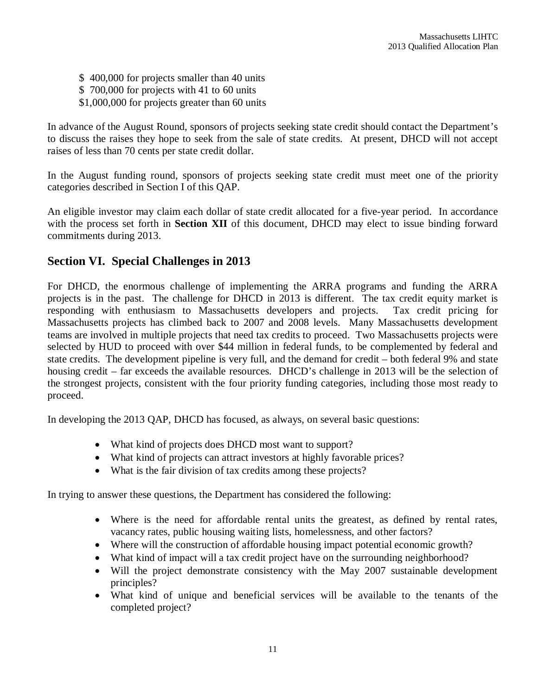\$ 400,000 for projects smaller than 40 units

- \$ 700,000 for projects with 41 to 60 units
- \$1,000,000 for projects greater than 60 units

In advance of the August Round, sponsors of projects seeking state credit should contact the Department's to discuss the raises they hope to seek from the sale of state credits. At present, DHCD will not accept raises of less than 70 cents per state credit dollar.

In the August funding round, sponsors of projects seeking state credit must meet one of the priority categories described in Section I of this QAP.

An eligible investor may claim each dollar of state credit allocated for a five-year period. In accordance with the process set forth in **Section XII** of this document, DHCD may elect to issue binding forward commitments during 2013.

### **Section VI. Special Challenges in 2013**

For DHCD, the enormous challenge of implementing the ARRA programs and funding the ARRA projects is in the past. The challenge for DHCD in 2013 is different. The tax credit equity market is responding with enthusiasm to Massachusetts developers and projects. Tax credit pricing for Massachusetts projects has climbed back to 2007 and 2008 levels. Many Massachusetts development teams are involved in multiple projects that need tax credits to proceed. Two Massachusetts projects were selected by HUD to proceed with over \$44 million in federal funds, to be complemented by federal and state credits. The development pipeline is very full, and the demand for credit – both federal 9% and state housing credit – far exceeds the available resources. DHCD's challenge in 2013 will be the selection of the strongest projects, consistent with the four priority funding categories, including those most ready to proceed.

In developing the 2013 QAP, DHCD has focused, as always, on several basic questions:

- What kind of projects does DHCD most want to support?
- What kind of projects can attract investors at highly favorable prices?
- What is the fair division of tax credits among these projects?

In trying to answer these questions, the Department has considered the following:

- Where is the need for affordable rental units the greatest, as defined by rental rates, vacancy rates, public housing waiting lists, homelessness, and other factors?
- Where will the construction of affordable housing impact potential economic growth?
- What kind of impact will a tax credit project have on the surrounding neighborhood?
- Will the project demonstrate consistency with the May 2007 sustainable development principles?
- What kind of unique and beneficial services will be available to the tenants of the completed project?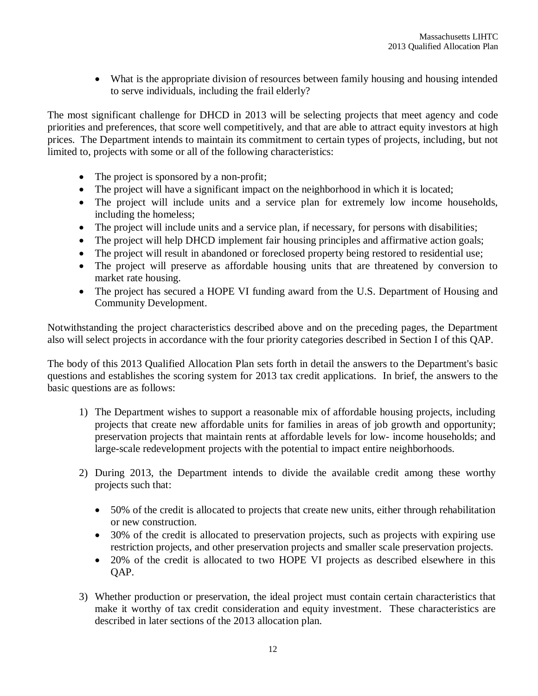What is the appropriate division of resources between family housing and housing intended to serve individuals, including the frail elderly?

The most significant challenge for DHCD in 2013 will be selecting projects that meet agency and code priorities and preferences, that score well competitively, and that are able to attract equity investors at high prices. The Department intends to maintain its commitment to certain types of projects, including, but not limited to, projects with some or all of the following characteristics:

- The project is sponsored by a non-profit;
- The project will have a significant impact on the neighborhood in which it is located;
- The project will include units and a service plan for extremely low income households, including the homeless;
- The project will include units and a service plan, if necessary, for persons with disabilities;
- The project will help DHCD implement fair housing principles and affirmative action goals;
- The project will result in abandoned or foreclosed property being restored to residential use;
- The project will preserve as affordable housing units that are threatened by conversion to market rate housing.
- The project has secured a HOPE VI funding award from the U.S. Department of Housing and Community Development.

Notwithstanding the project characteristics described above and on the preceding pages, the Department also will select projects in accordance with the four priority categories described in Section I of this QAP.

The body of this 2013 Qualified Allocation Plan sets forth in detail the answers to the Department's basic questions and establishes the scoring system for 2013 tax credit applications. In brief, the answers to the basic questions are as follows:

- 1) The Department wishes to support a reasonable mix of affordable housing projects, including projects that create new affordable units for families in areas of job growth and opportunity; preservation projects that maintain rents at affordable levels for low- income households; and large-scale redevelopment projects with the potential to impact entire neighborhoods.
- 2) During 2013, the Department intends to divide the available credit among these worthy projects such that:
	- 50% of the credit is allocated to projects that create new units, either through rehabilitation or new construction.
	- 30% of the credit is allocated to preservation projects, such as projects with expiring use restriction projects, and other preservation projects and smaller scale preservation projects.
	- 20% of the credit is allocated to two HOPE VI projects as described elsewhere in this QAP.
- 3) Whether production or preservation, the ideal project must contain certain characteristics that make it worthy of tax credit consideration and equity investment. These characteristics are described in later sections of the 2013 allocation plan.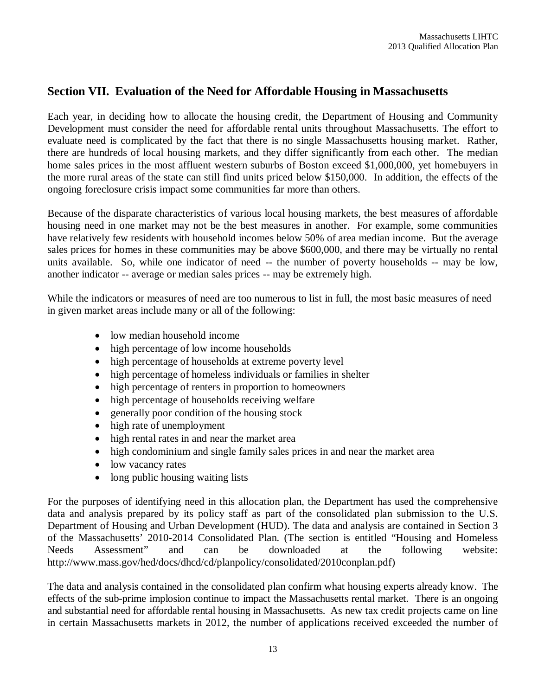# **Section VII. Evaluation of the Need for Affordable Housing in Massachusetts**

Each year, in deciding how to allocate the housing credit, the Department of Housing and Community Development must consider the need for affordable rental units throughout Massachusetts. The effort to evaluate need is complicated by the fact that there is no single Massachusetts housing market. Rather, there are hundreds of local housing markets, and they differ significantly from each other. The median home sales prices in the most affluent western suburbs of Boston exceed \$1,000,000, yet homebuyers in the more rural areas of the state can still find units priced below \$150,000. In addition, the effects of the ongoing foreclosure crisis impact some communities far more than others.

Because of the disparate characteristics of various local housing markets, the best measures of affordable housing need in one market may not be the best measures in another. For example, some communities have relatively few residents with household incomes below 50% of area median income. But the average sales prices for homes in these communities may be above \$600,000, and there may be virtually no rental units available. So, while one indicator of need -- the number of poverty households -- may be low, another indicator -- average or median sales prices -- may be extremely high.

While the indicators or measures of need are too numerous to list in full, the most basic measures of need in given market areas include many or all of the following:

- low median household income
- high percentage of low income households
- high percentage of households at extreme poverty level
- high percentage of homeless individuals or families in shelter
- high percentage of renters in proportion to homeowners
- high percentage of households receiving welfare
- generally poor condition of the housing stock
- high rate of unemployment
- high rental rates in and near the market area
- high condominium and single family sales prices in and near the market area
- low vacancy rates
- long public housing waiting lists

For the purposes of identifying need in this allocation plan, the Department has used the comprehensive data and analysis prepared by its policy staff as part of the consolidated plan submission to the U.S. Department of Housing and Urban Development (HUD). The data and analysis are contained in Section 3 of the Massachusetts' 2010-2014 Consolidated Plan. (The section is entitled "Housing and Homeless Needs Assessment" and can be downloaded at the following website: http://www.mass.gov/hed/docs/dhcd/cd/planpolicy/consolidated/2010conplan.pdf)

The data and analysis contained in the consolidated plan confirm what housing experts already know. The effects of the sub-prime implosion continue to impact the Massachusetts rental market. There is an ongoing and substantial need for affordable rental housing in Massachusetts. As new tax credit projects came on line in certain Massachusetts markets in 2012, the number of applications received exceeded the number of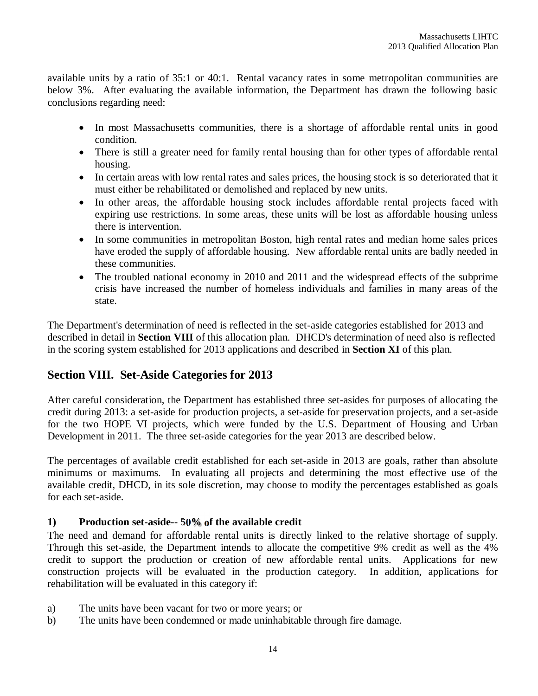available units by a ratio of 35:1 or 40:1. Rental vacancy rates in some metropolitan communities are below 3%. After evaluating the available information, the Department has drawn the following basic conclusions regarding need:

- In most Massachusetts communities, there is a shortage of affordable rental units in good condition.
- There is still a greater need for family rental housing than for other types of affordable rental housing.
- In certain areas with low rental rates and sales prices, the housing stock is so deteriorated that it must either be rehabilitated or demolished and replaced by new units.
- In other areas, the affordable housing stock includes affordable rental projects faced with expiring use restrictions. In some areas, these units will be lost as affordable housing unless there is intervention.
- In some communities in metropolitan Boston, high rental rates and median home sales prices have eroded the supply of affordable housing. New affordable rental units are badly needed in these communities.
- The troubled national economy in 2010 and 2011 and the widespread effects of the subprime crisis have increased the number of homeless individuals and families in many areas of the state.

The Department's determination of need is reflected in the set-aside categories established for 2013 and described in detail in **Section VIII** of this allocation plan. DHCD's determination of need also is reflected in the scoring system established for 2013 applications and described in **Section XI** of this plan.

# **Section VIII. Set-Aside Categories for 2013**

After careful consideration, the Department has established three set-asides for purposes of allocating the credit during 2013: a set-aside for production projects, a set-aside for preservation projects, and a set-aside for the two HOPE VI projects, which were funded by the U.S. Department of Housing and Urban Development in 2011. The three set-aside categories for the year 2013 are described below.

The percentages of available credit established for each set-aside in 2013 are goals, rather than absolute minimums or maximums. In evaluating all projects and determining the most effective use of the available credit, DHCD, in its sole discretion, may choose to modify the percentages established as goals for each set-aside.

### **1) Production set-aside**-- **50% of the available credit**

The need and demand for affordable rental units is directly linked to the relative shortage of supply. Through this set-aside, the Department intends to allocate the competitive 9% credit as well as the 4% credit to support the production or creation of new affordable rental units. Applications for new construction projects will be evaluated in the production category. In addition, applications for rehabilitation will be evaluated in this category if:

- a) The units have been vacant for two or more years; or
- b) The units have been condemned or made uninhabitable through fire damage.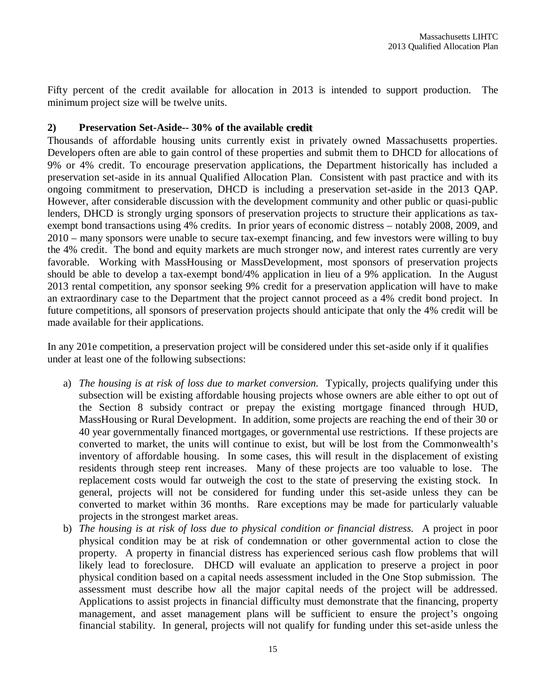Fifty percent of the credit available for allocation in 2013 is intended to support production. The minimum project size will be twelve units.

### **2) Preservation Set-Aside-- 30% of the available credit**

Thousands of affordable housing units currently exist in privately owned Massachusetts properties. Developers often are able to gain control of these properties and submit them to DHCD for allocations of 9% or 4% credit. To encourage preservation applications, the Department historically has included a preservation set-aside in its annual Qualified Allocation Plan. Consistent with past practice and with its ongoing commitment to preservation, DHCD is including a preservation set-aside in the 2013 QAP. However, after considerable discussion with the development community and other public or quasi-public lenders, DHCD is strongly urging sponsors of preservation projects to structure their applications as taxexempt bond transactions using 4% credits. In prior years of economic distress – notably 2008, 2009, and 2010 – many sponsors were unable to secure tax-exempt financing, and few investors were willing to buy the 4% credit. The bond and equity markets are much stronger now, and interest rates currently are very favorable. Working with MassHousing or MassDevelopment, most sponsors of preservation projects should be able to develop a tax-exempt bond/4% application in lieu of a 9% application. In the August 2013 rental competition, any sponsor seeking 9% credit for a preservation application will have to make an extraordinary case to the Department that the project cannot proceed as a 4% credit bond project. In future competitions, all sponsors of preservation projects should anticipate that only the 4% credit will be made available for their applications.

In any 201e competition, a preservation project will be considered under this set-aside only if it qualifies under at least one of the following subsections:

- a) *The housing is at risk of loss due to market conversion.* Typically, projects qualifying under this subsection will be existing affordable housing projects whose owners are able either to opt out of the Section 8 subsidy contract or prepay the existing mortgage financed through HUD, MassHousing or Rural Development. In addition, some projects are reaching the end of their 30 or 40 year governmentally financed mortgages, or governmental use restrictions. If these projects are converted to market, the units will continue to exist, but will be lost from the Commonwealth's inventory of affordable housing. In some cases, this will result in the displacement of existing residents through steep rent increases. Many of these projects are too valuable to lose. The replacement costs would far outweigh the cost to the state of preserving the existing stock. In general, projects will not be considered for funding under this set-aside unless they can be converted to market within 36 months. Rare exceptions may be made for particularly valuable projects in the strongest market areas.
- b) *The housing is at risk of loss due to physical condition or financial distress.* A project in poor physical condition may be at risk of condemnation or other governmental action to close the property. A property in financial distress has experienced serious cash flow problems that will likely lead to foreclosure. DHCD will evaluate an application to preserve a project in poor physical condition based on a capital needs assessment included in the One Stop submission. The assessment must describe how all the major capital needs of the project will be addressed. Applications to assist projects in financial difficulty must demonstrate that the financing, property management, and asset management plans will be sufficient to ensure the project's ongoing financial stability. In general, projects will not qualify for funding under this set-aside unless the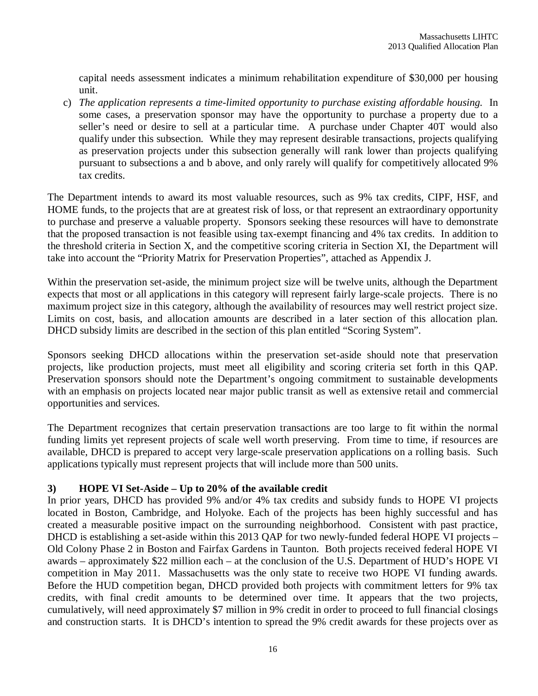capital needs assessment indicates a minimum rehabilitation expenditure of \$30,000 per housing unit.

c) *The application represents a time-limited opportunity to purchase existing affordable housing.* In some cases, a preservation sponsor may have the opportunity to purchase a property due to a seller's need or desire to sell at a particular time. A purchase under Chapter 40T would also qualify under this subsection. While they may represent desirable transactions, projects qualifying as preservation projects under this subsection generally will rank lower than projects qualifying pursuant to subsections a and b above, and only rarely will qualify for competitively allocated 9% tax credits.

The Department intends to award its most valuable resources, such as 9% tax credits, CIPF, HSF, and HOME funds, to the projects that are at greatest risk of loss, or that represent an extraordinary opportunity to purchase and preserve a valuable property. Sponsors seeking these resources will have to demonstrate that the proposed transaction is not feasible using tax-exempt financing and 4% tax credits. In addition to the threshold criteria in Section X, and the competitive scoring criteria in Section XI, the Department will take into account the "Priority Matrix for Preservation Properties", attached as Appendix J.

Within the preservation set-aside, the minimum project size will be twelve units, although the Department expects that most or all applications in this category will represent fairly large-scale projects. There is no maximum project size in this category, although the availability of resources may well restrict project size. Limits on cost, basis, and allocation amounts are described in a later section of this allocation plan. DHCD subsidy limits are described in the section of this plan entitled "Scoring System".

Sponsors seeking DHCD allocations within the preservation set-aside should note that preservation projects, like production projects, must meet all eligibility and scoring criteria set forth in this QAP. Preservation sponsors should note the Department's ongoing commitment to sustainable developments with an emphasis on projects located near major public transit as well as extensive retail and commercial opportunities and services.

The Department recognizes that certain preservation transactions are too large to fit within the normal funding limits yet represent projects of scale well worth preserving. From time to time, if resources are available, DHCD is prepared to accept very large-scale preservation applications on a rolling basis. Such applications typically must represent projects that will include more than 500 units.

### **3) HOPE VI Set-Aside – Up to 20% of the available credit**

In prior years, DHCD has provided 9% and/or 4% tax credits and subsidy funds to HOPE VI projects located in Boston, Cambridge, and Holyoke. Each of the projects has been highly successful and has created a measurable positive impact on the surrounding neighborhood. Consistent with past practice, DHCD is establishing a set-aside within this 2013 QAP for two newly-funded federal HOPE VI projects – Old Colony Phase 2 in Boston and Fairfax Gardens in Taunton. Both projects received federal HOPE VI awards – approximately \$22 million each – at the conclusion of the U.S. Department of HUD's HOPE VI competition in May 2011. Massachusetts was the only state to receive two HOPE VI funding awards. Before the HUD competition began, DHCD provided both projects with commitment letters for 9% tax credits, with final credit amounts to be determined over time. It appears that the two projects, cumulatively, will need approximately \$7 million in 9% credit in order to proceed to full financial closings and construction starts. It is DHCD's intention to spread the 9% credit awards for these projects over as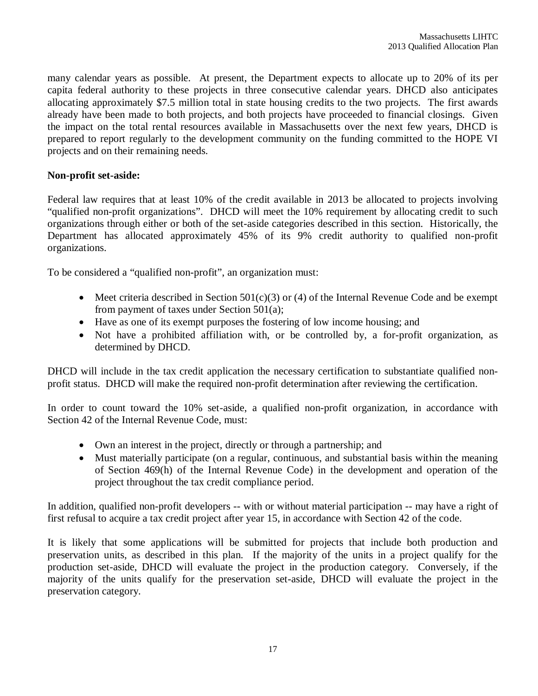many calendar years as possible. At present, the Department expects to allocate up to 20% of its per capita federal authority to these projects in three consecutive calendar years. DHCD also anticipates allocating approximately \$7.5 million total in state housing credits to the two projects. The first awards already have been made to both projects, and both projects have proceeded to financial closings. Given the impact on the total rental resources available in Massachusetts over the next few years, DHCD is prepared to report regularly to the development community on the funding committed to the HOPE VI projects and on their remaining needs.

### **Non-profit set-aside:**

Federal law requires that at least 10% of the credit available in 2013 be allocated to projects involving "qualified non-profit organizations". DHCD will meet the 10% requirement by allocating credit to such organizations through either or both of the set-aside categories described in this section. Historically, the Department has allocated approximately 45% of its 9% credit authority to qualified non-profit organizations.

To be considered a "qualified non-profit", an organization must:

- $\bullet$  Meet criteria described in Section 501(c)(3) or (4) of the Internal Revenue Code and be exempt from payment of taxes under Section 501(a);
- Have as one of its exempt purposes the fostering of low income housing; and
- Not have a prohibited affiliation with, or be controlled by, a for-profit organization, as determined by DHCD.

DHCD will include in the tax credit application the necessary certification to substantiate qualified nonprofit status. DHCD will make the required non-profit determination after reviewing the certification.

In order to count toward the 10% set-aside, a qualified non-profit organization, in accordance with Section 42 of the Internal Revenue Code, must:

- Own an interest in the project, directly or through a partnership; and
- Must materially participate (on a regular, continuous, and substantial basis within the meaning of Section 469(h) of the Internal Revenue Code) in the development and operation of the project throughout the tax credit compliance period.

In addition, qualified non-profit developers -- with or without material participation -- may have a right of first refusal to acquire a tax credit project after year 15, in accordance with Section 42 of the code.

It is likely that some applications will be submitted for projects that include both production and preservation units, as described in this plan. If the majority of the units in a project qualify for the production set-aside, DHCD will evaluate the project in the production category. Conversely, if the majority of the units qualify for the preservation set-aside, DHCD will evaluate the project in the preservation category.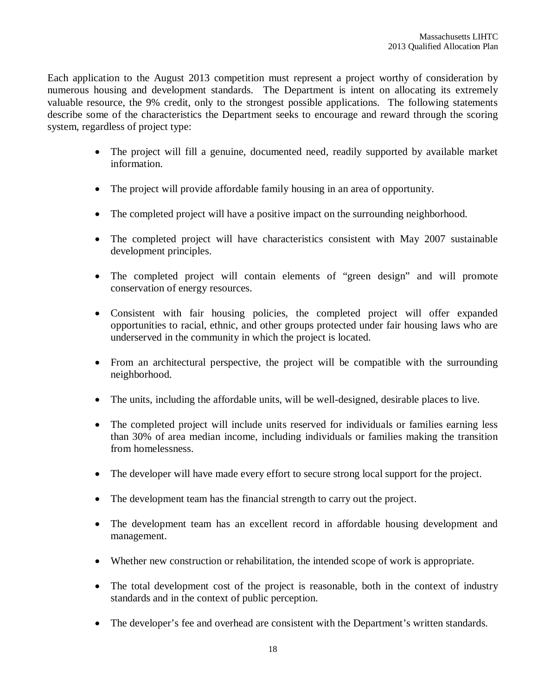Each application to the August 2013 competition must represent a project worthy of consideration by numerous housing and development standards. The Department is intent on allocating its extremely valuable resource, the 9% credit, only to the strongest possible applications. The following statements describe some of the characteristics the Department seeks to encourage and reward through the scoring system, regardless of project type:

- The project will fill a genuine, documented need, readily supported by available market information.
- The project will provide affordable family housing in an area of opportunity.
- The completed project will have a positive impact on the surrounding neighborhood.
- The completed project will have characteristics consistent with May 2007 sustainable development principles.
- The completed project will contain elements of "green design" and will promote conservation of energy resources.
- Consistent with fair housing policies, the completed project will offer expanded opportunities to racial, ethnic, and other groups protected under fair housing laws who are underserved in the community in which the project is located.
- From an architectural perspective, the project will be compatible with the surrounding neighborhood.
- The units, including the affordable units, will be well-designed, desirable places to live.
- The completed project will include units reserved for individuals or families earning less than 30% of area median income, including individuals or families making the transition from homelessness.
- The developer will have made every effort to secure strong local support for the project.
- The development team has the financial strength to carry out the project.
- The development team has an excellent record in affordable housing development and management.
- Whether new construction or rehabilitation, the intended scope of work is appropriate.
- The total development cost of the project is reasonable, both in the context of industry standards and in the context of public perception.
- The developer's fee and overhead are consistent with the Department's written standards.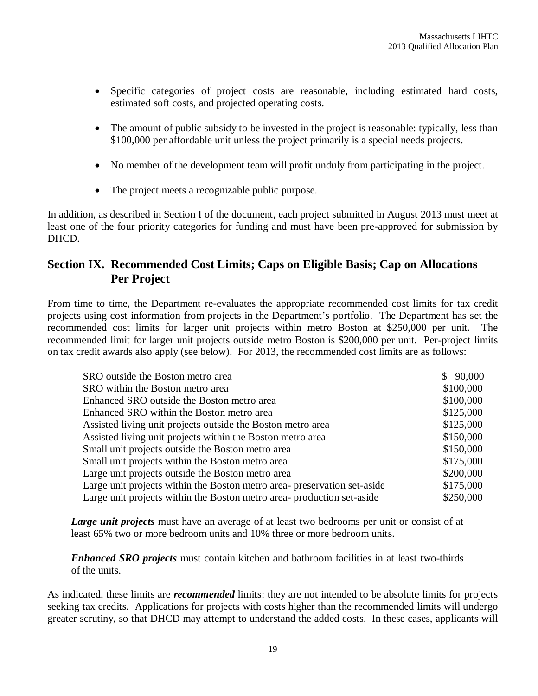- Specific categories of project costs are reasonable, including estimated hard costs, estimated soft costs, and projected operating costs.
- The amount of public subsidy to be invested in the project is reasonable: typically, less than \$100,000 per affordable unit unless the project primarily is a special needs projects.
- No member of the development team will profit unduly from participating in the project.
- The project meets a recognizable public purpose.

In addition, as described in Section I of the document, each project submitted in August 2013 must meet at least one of the four priority categories for funding and must have been pre-approved for submission by DHCD.

# **Section IX. Recommended Cost Limits; Caps on Eligible Basis; Cap on Allocations Per Project**

From time to time, the Department re-evaluates the appropriate recommended cost limits for tax credit projects using cost information from projects in the Department's portfolio. The Department has set the recommended cost limits for larger unit projects within metro Boston at \$250,000 per unit. The recommended limit for larger unit projects outside metro Boston is \$200,000 per unit. Per-project limits on tax credit awards also apply (see below). For 2013, the recommended cost limits are as follows:

| SRO outside the Boston metro area                                        | \$90,000  |
|--------------------------------------------------------------------------|-----------|
| SRO within the Boston metro area                                         | \$100,000 |
| Enhanced SRO outside the Boston metro area                               | \$100,000 |
| Enhanced SRO within the Boston metro area                                | \$125,000 |
| Assisted living unit projects outside the Boston metro area              | \$125,000 |
| Assisted living unit projects within the Boston metro area               | \$150,000 |
| Small unit projects outside the Boston metro area                        | \$150,000 |
| Small unit projects within the Boston metro area                         | \$175,000 |
| Large unit projects outside the Boston metro area                        | \$200,000 |
| Large unit projects within the Boston metro area- preservation set-aside | \$175,000 |
| Large unit projects within the Boston metro area- production set-aside   | \$250,000 |

*Large unit projects* must have an average of at least two bedrooms per unit or consist of at least 65% two or more bedroom units and 10% three or more bedroom units.

*Enhanced SRO projects* must contain kitchen and bathroom facilities in at least two-thirds of the units.

As indicated, these limits are *recommended* limits: they are not intended to be absolute limits for projects seeking tax credits. Applications for projects with costs higher than the recommended limits will undergo greater scrutiny, so that DHCD may attempt to understand the added costs. In these cases, applicants will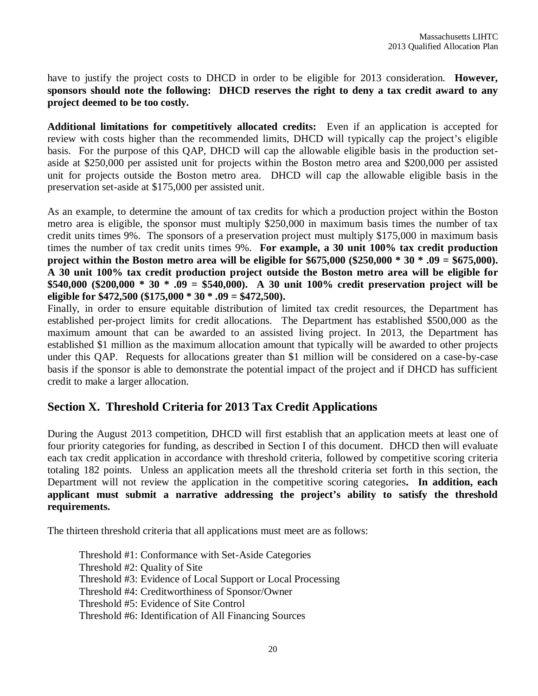have to justify the project costs to DHCD in order to be eligible for 2013 consideration. **However, sponsors should note the following: DHCD reserves the right to deny a tax credit award to any project deemed to be too costly.**

**Additional limitations for competitively allocated credits:** Even if an application is accepted for review with costs higher than the recommended limits, DHCD will typically cap the project's eligible basis. For the purpose of this QAP, DHCD will cap the allowable eligible basis in the production setaside at \$250,000 per assisted unit for projects within the Boston metro area and \$200,000 per assisted unit for projects outside the Boston metro area. DHCD will cap the allowable eligible basis in the preservation set-aside at \$175,000 per assisted unit.

As an example, to determine the amount of tax credits for which a production project within the Boston metro area is eligible, the sponsor must multiply \$250,000 in maximum basis times the number of tax credit units times 9%. The sponsors of a preservation project must multiply \$175,000 in maximum basis times the number of tax credit units times 9%. **For example, a 30 unit 100% tax credit production project within the Boston metro area will be eligible for \$675,000 (\$250,000 \* 30 \* .09 = \$675,000). A 30 unit 100% tax credit production project outside the Boston metro area will be eligible for \$540,000 (\$200,000 \* 30 \* .09 = \$540,000). A 30 unit 100% credit preservation project will be eligible for \$472,500 (\$175,000 \* 30 \* .09 = \$472,500).**

Finally, in order to ensure equitable distribution of limited tax credit resources, the Department has established per-project limits for credit allocations. The Department has established \$500,000 as the maximum amount that can be awarded to an assisted living project. In 2013, the Department has established \$1 million as the maximum allocation amount that typically will be awarded to other projects under this QAP. Requests for allocations greater than \$1 million will be considered on a case-by-case basis if the sponsor is able to demonstrate the potential impact of the project and if DHCD has sufficient credit to make a larger allocation.

### **Section X. Threshold Criteria for 2013 Tax Credit Applications**

During the August 2013 competition, DHCD will first establish that an application meets at least one of four priority categories for funding, as described in Section I of this document. DHCD then will evaluate each tax credit application in accordance with threshold criteria, followed by competitive scoring criteria totaling 182 points. Unless an application meets all the threshold criteria set forth in this section, the Department will not review the application in the competitive scoring categories**. In addition, each applicant must submit a narrative addressing the project's ability to satisfy the threshold requirements.** 

The thirteen threshold criteria that all applications must meet are as follows:

Threshold #1: Conformance with Set-Aside Categories Threshold #2: Quality of Site Threshold #3: Evidence of Local Support or Local Processing Threshold #4: Creditworthiness of Sponsor/Owner Threshold #5: Evidence of Site Control Threshold #6: Identification of All Financing Sources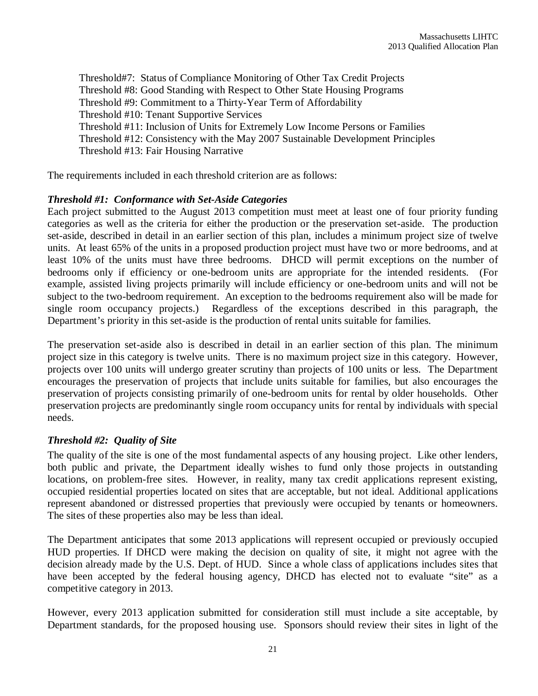Threshold#7: Status of Compliance Monitoring of Other Tax Credit Projects Threshold #8: Good Standing with Respect to Other State Housing Programs Threshold #9: Commitment to a Thirty-Year Term of Affordability Threshold #10: Tenant Supportive Services Threshold #11: Inclusion of Units for Extremely Low Income Persons or Families Threshold #12: Consistency with the May 2007 Sustainable Development Principles Threshold #13: Fair Housing Narrative

The requirements included in each threshold criterion are as follows:

### *Threshold #1: Conformance with Set-Aside Categories*

Each project submitted to the August 2013 competition must meet at least one of four priority funding categories as well as the criteria for either the production or the preservation set-aside. The production set-aside, described in detail in an earlier section of this plan, includes a minimum project size of twelve units. At least 65% of the units in a proposed production project must have two or more bedrooms, and at least 10% of the units must have three bedrooms. DHCD will permit exceptions on the number of bedrooms only if efficiency or one-bedroom units are appropriate for the intended residents. (For example, assisted living projects primarily will include efficiency or one-bedroom units and will not be subject to the two-bedroom requirement. An exception to the bedrooms requirement also will be made for single room occupancy projects.) Regardless of the exceptions described in this paragraph, the Department's priority in this set-aside is the production of rental units suitable for families.

The preservation set-aside also is described in detail in an earlier section of this plan. The minimum project size in this category is twelve units. There is no maximum project size in this category. However, projects over 100 units will undergo greater scrutiny than projects of 100 units or less. The Department encourages the preservation of projects that include units suitable for families, but also encourages the preservation of projects consisting primarily of one-bedroom units for rental by older households. Other preservation projects are predominantly single room occupancy units for rental by individuals with special needs.

### *Threshold #2: Quality of Site*

The quality of the site is one of the most fundamental aspects of any housing project. Like other lenders, both public and private, the Department ideally wishes to fund only those projects in outstanding locations, on problem-free sites. However, in reality, many tax credit applications represent existing, occupied residential properties located on sites that are acceptable, but not ideal. Additional applications represent abandoned or distressed properties that previously were occupied by tenants or homeowners. The sites of these properties also may be less than ideal.

The Department anticipates that some 2013 applications will represent occupied or previously occupied HUD properties. If DHCD were making the decision on quality of site, it might not agree with the decision already made by the U.S. Dept. of HUD. Since a whole class of applications includes sites that have been accepted by the federal housing agency, DHCD has elected not to evaluate "site" as a competitive category in 2013.

However, every 2013 application submitted for consideration still must include a site acceptable, by Department standards, for the proposed housing use. Sponsors should review their sites in light of the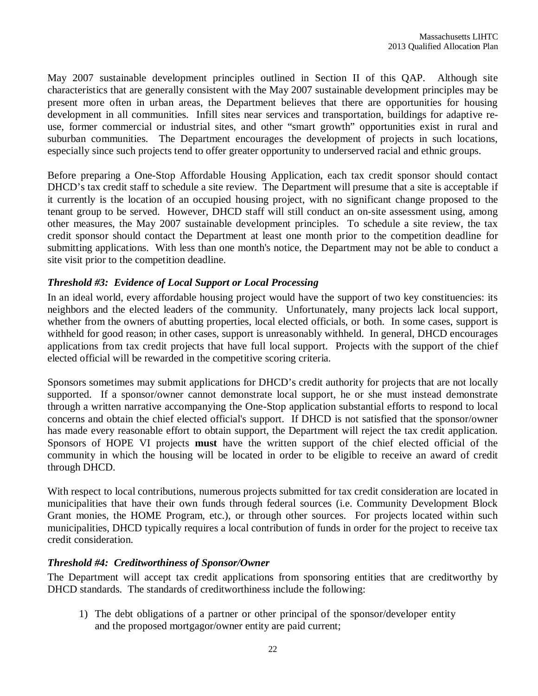May 2007 sustainable development principles outlined in Section II of this QAP. Although site characteristics that are generally consistent with the May 2007 sustainable development principles may be present more often in urban areas, the Department believes that there are opportunities for housing development in all communities. Infill sites near services and transportation, buildings for adaptive reuse, former commercial or industrial sites, and other "smart growth" opportunities exist in rural and suburban communities. The Department encourages the development of projects in such locations, especially since such projects tend to offer greater opportunity to underserved racial and ethnic groups.

Before preparing a One-Stop Affordable Housing Application, each tax credit sponsor should contact DHCD's tax credit staff to schedule a site review. The Department will presume that a site is acceptable if it currently is the location of an occupied housing project, with no significant change proposed to the tenant group to be served. However, DHCD staff will still conduct an on-site assessment using, among other measures, the May 2007 sustainable development principles. To schedule a site review, the tax credit sponsor should contact the Department at least one month prior to the competition deadline for submitting applications. With less than one month's notice, the Department may not be able to conduct a site visit prior to the competition deadline.

### *Threshold #3: Evidence of Local Support or Local Processing*

In an ideal world, every affordable housing project would have the support of two key constituencies: its neighbors and the elected leaders of the community. Unfortunately, many projects lack local support, whether from the owners of abutting properties, local elected officials, or both. In some cases, support is withheld for good reason; in other cases, support is unreasonably withheld. In general, DHCD encourages applications from tax credit projects that have full local support. Projects with the support of the chief elected official will be rewarded in the competitive scoring criteria.

Sponsors sometimes may submit applications for DHCD's credit authority for projects that are not locally supported. If a sponsor/owner cannot demonstrate local support, he or she must instead demonstrate through a written narrative accompanying the One-Stop application substantial efforts to respond to local concerns and obtain the chief elected official's support. If DHCD is not satisfied that the sponsor/owner has made every reasonable effort to obtain support, the Department will reject the tax credit application. Sponsors of HOPE VI projects **must** have the written support of the chief elected official of the community in which the housing will be located in order to be eligible to receive an award of credit through DHCD.

With respect to local contributions, numerous projects submitted for tax credit consideration are located in municipalities that have their own funds through federal sources (i.e. Community Development Block Grant monies, the HOME Program, etc.), or through other sources. For projects located within such municipalities, DHCD typically requires a local contribution of funds in order for the project to receive tax credit consideration.

### *Threshold #4: Creditworthiness of Sponsor/Owner*

The Department will accept tax credit applications from sponsoring entities that are creditworthy by DHCD standards. The standards of creditworthiness include the following:

1) The debt obligations of a partner or other principal of the sponsor/developer entity and the proposed mortgagor/owner entity are paid current;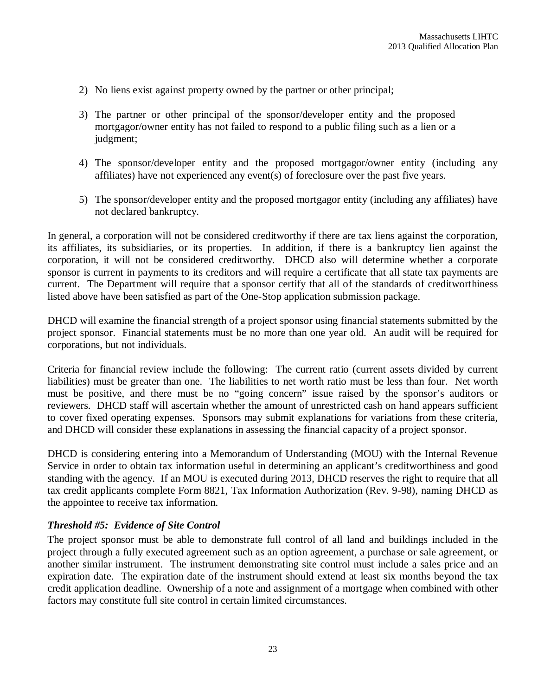- 2) No liens exist against property owned by the partner or other principal;
- 3) The partner or other principal of the sponsor/developer entity and the proposed mortgagor/owner entity has not failed to respond to a public filing such as a lien or a judgment;
- 4) The sponsor/developer entity and the proposed mortgagor/owner entity (including any affiliates) have not experienced any event(s) of foreclosure over the past five years.
- 5) The sponsor/developer entity and the proposed mortgagor entity (including any affiliates) have not declared bankruptcy.

In general, a corporation will not be considered creditworthy if there are tax liens against the corporation, its affiliates, its subsidiaries, or its properties. In addition, if there is a bankruptcy lien against the corporation, it will not be considered creditworthy. DHCD also will determine whether a corporate sponsor is current in payments to its creditors and will require a certificate that all state tax payments are current. The Department will require that a sponsor certify that all of the standards of creditworthiness listed above have been satisfied as part of the One-Stop application submission package.

DHCD will examine the financial strength of a project sponsor using financial statements submitted by the project sponsor. Financial statements must be no more than one year old. An audit will be required for corporations, but not individuals.

Criteria for financial review include the following: The current ratio (current assets divided by current liabilities) must be greater than one. The liabilities to net worth ratio must be less than four. Net worth must be positive, and there must be no "going concern" issue raised by the sponsor's auditors or reviewers. DHCD staff will ascertain whether the amount of unrestricted cash on hand appears sufficient to cover fixed operating expenses. Sponsors may submit explanations for variations from these criteria, and DHCD will consider these explanations in assessing the financial capacity of a project sponsor.

DHCD is considering entering into a Memorandum of Understanding (MOU) with the Internal Revenue Service in order to obtain tax information useful in determining an applicant's creditworthiness and good standing with the agency. If an MOU is executed during 2013, DHCD reserves the right to require that all tax credit applicants complete Form 8821, Tax Information Authorization (Rev. 9-98), naming DHCD as the appointee to receive tax information.

### *Threshold #5: Evidence of Site Control*

The project sponsor must be able to demonstrate full control of all land and buildings included in the project through a fully executed agreement such as an option agreement, a purchase or sale agreement, or another similar instrument. The instrument demonstrating site control must include a sales price and an expiration date. The expiration date of the instrument should extend at least six months beyond the tax credit application deadline. Ownership of a note and assignment of a mortgage when combined with other factors may constitute full site control in certain limited circumstances.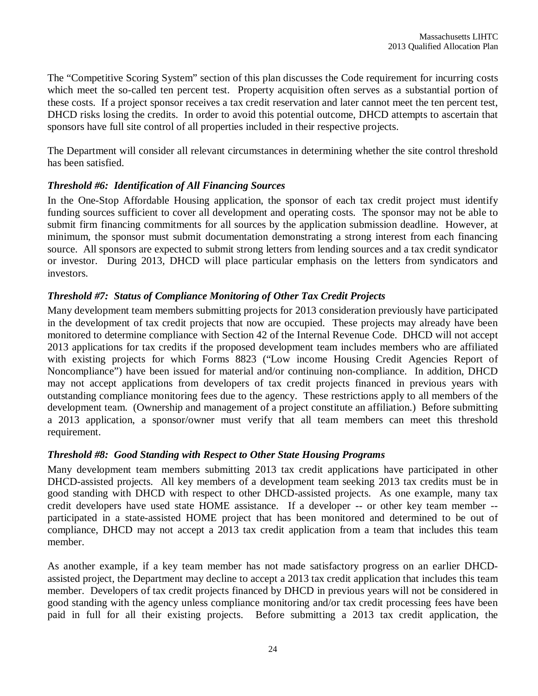The "Competitive Scoring System" section of this plan discusses the Code requirement for incurring costs which meet the so-called ten percent test. Property acquisition often serves as a substantial portion of these costs. If a project sponsor receives a tax credit reservation and later cannot meet the ten percent test, DHCD risks losing the credits. In order to avoid this potential outcome, DHCD attempts to ascertain that sponsors have full site control of all properties included in their respective projects.

The Department will consider all relevant circumstances in determining whether the site control threshold has been satisfied.

### *Threshold #6: Identification of All Financing Sources*

In the One-Stop Affordable Housing application, the sponsor of each tax credit project must identify funding sources sufficient to cover all development and operating costs. The sponsor may not be able to submit firm financing commitments for all sources by the application submission deadline. However, at minimum, the sponsor must submit documentation demonstrating a strong interest from each financing source. All sponsors are expected to submit strong letters from lending sources and a tax credit syndicator or investor. During 2013, DHCD will place particular emphasis on the letters from syndicators and investors.

### *Threshold #7: Status of Compliance Monitoring of Other Tax Credit Projects*

Many development team members submitting projects for 2013 consideration previously have participated in the development of tax credit projects that now are occupied. These projects may already have been monitored to determine compliance with Section 42 of the Internal Revenue Code. DHCD will not accept 2013 applications for tax credits if the proposed development team includes members who are affiliated with existing projects for which Forms 8823 ("Low income Housing Credit Agencies Report of Noncompliance") have been issued for material and/or continuing non-compliance. In addition, DHCD may not accept applications from developers of tax credit projects financed in previous years with outstanding compliance monitoring fees due to the agency. These restrictions apply to all members of the development team. (Ownership and management of a project constitute an affiliation.) Before submitting a 2013 application, a sponsor/owner must verify that all team members can meet this threshold requirement.

### *Threshold #8: Good Standing with Respect to Other State Housing Programs*

Many development team members submitting 2013 tax credit applications have participated in other DHCD-assisted projects. All key members of a development team seeking 2013 tax credits must be in good standing with DHCD with respect to other DHCD-assisted projects. As one example, many tax credit developers have used state HOME assistance. If a developer -- or other key team member - participated in a state-assisted HOME project that has been monitored and determined to be out of compliance, DHCD may not accept a 2013 tax credit application from a team that includes this team member.

As another example, if a key team member has not made satisfactory progress on an earlier DHCDassisted project, the Department may decline to accept a 2013 tax credit application that includes this team member. Developers of tax credit projects financed by DHCD in previous years will not be considered in good standing with the agency unless compliance monitoring and/or tax credit processing fees have been paid in full for all their existing projects. Before submitting a 2013 tax credit application, the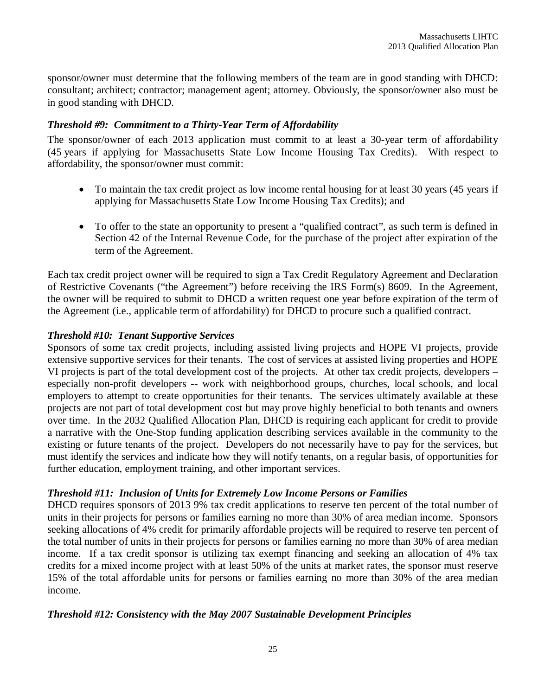sponsor/owner must determine that the following members of the team are in good standing with DHCD: consultant; architect; contractor; management agent; attorney. Obviously, the sponsor/owner also must be in good standing with DHCD.

### *Threshold #9: Commitment to a Thirty-Year Term of Affordability*

The sponsor/owner of each 2013 application must commit to at least a 30-year term of affordability (45 years if applying for Massachusetts State Low Income Housing Tax Credits). With respect to affordability, the sponsor/owner must commit:

- To maintain the tax credit project as low income rental housing for at least 30 years (45 years if applying for Massachusetts State Low Income Housing Tax Credits); and
- To offer to the state an opportunity to present a "qualified contract", as such term is defined in Section 42 of the Internal Revenue Code, for the purchase of the project after expiration of the term of the Agreement.

Each tax credit project owner will be required to sign a Tax Credit Regulatory Agreement and Declaration of Restrictive Covenants ("the Agreement") before receiving the IRS Form(s) 8609. In the Agreement, the owner will be required to submit to DHCD a written request one year before expiration of the term of the Agreement (i.e., applicable term of affordability) for DHCD to procure such a qualified contract.

### *Threshold #10: Tenant Supportive Services*

Sponsors of some tax credit projects, including assisted living projects and HOPE VI projects, provide extensive supportive services for their tenants. The cost of services at assisted living properties and HOPE VI projects is part of the total development cost of the projects. At other tax credit projects, developers – especially non-profit developers -- work with neighborhood groups, churches, local schools, and local employers to attempt to create opportunities for their tenants. The services ultimately available at these projects are not part of total development cost but may prove highly beneficial to both tenants and owners over time. In the 2032 Qualified Allocation Plan, DHCD is requiring each applicant for credit to provide a narrative with the One-Stop funding application describing services available in the community to the existing or future tenants of the project. Developers do not necessarily have to pay for the services, but must identify the services and indicate how they will notify tenants, on a regular basis, of opportunities for further education, employment training, and other important services.

### *Threshold #11: Inclusion of Units for Extremely Low Income Persons or Families*

DHCD requires sponsors of 2013 9% tax credit applications to reserve ten percent of the total number of units in their projects for persons or families earning no more than 30% of area median income. Sponsors seeking allocations of 4% credit for primarily affordable projects will be required to reserve ten percent of the total number of units in their projects for persons or families earning no more than 30% of area median income. If a tax credit sponsor is utilizing tax exempt financing and seeking an allocation of 4% tax credits for a mixed income project with at least 50% of the units at market rates, the sponsor must reserve 15% of the total affordable units for persons or families earning no more than 30% of the area median income.

### *Threshold #12: Consistency with the May 2007 Sustainable Development Principles*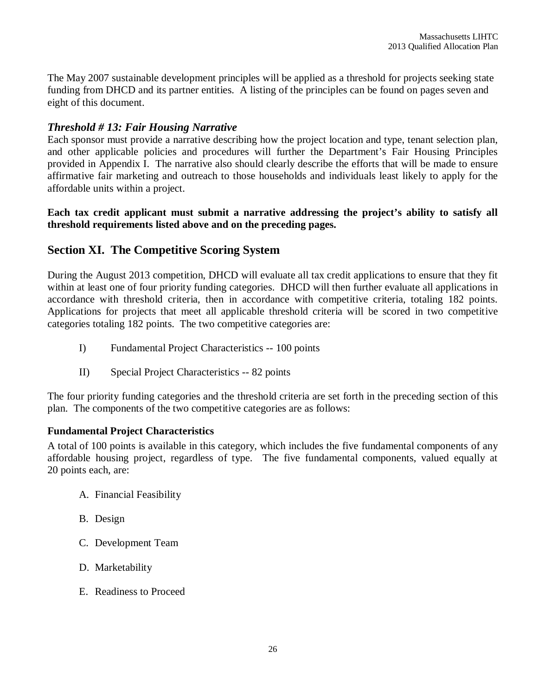The May 2007 sustainable development principles will be applied as a threshold for projects seeking state funding from DHCD and its partner entities. A listing of the principles can be found on pages seven and eight of this document.

### *Threshold # 13: Fair Housing Narrative*

Each sponsor must provide a narrative describing how the project location and type, tenant selection plan, and other applicable policies and procedures will further the Department's Fair Housing Principles provided in Appendix I. The narrative also should clearly describe the efforts that will be made to ensure affirmative fair marketing and outreach to those households and individuals least likely to apply for the affordable units within a project.

### **Each tax credit applicant must submit a narrative addressing the project's ability to satisfy all threshold requirements listed above and on the preceding pages.**

### **Section XI. The Competitive Scoring System**

During the August 2013 competition, DHCD will evaluate all tax credit applications to ensure that they fit within at least one of four priority funding categories. DHCD will then further evaluate all applications in accordance with threshold criteria, then in accordance with competitive criteria, totaling 182 points. Applications for projects that meet all applicable threshold criteria will be scored in two competitive categories totaling 182 points. The two competitive categories are:

- I) Fundamental Project Characteristics -- 100 points
- II) Special Project Characteristics -- 82 points

The four priority funding categories and the threshold criteria are set forth in the preceding section of this plan. The components of the two competitive categories are as follows:

### **Fundamental Project Characteristics**

A total of 100 points is available in this category, which includes the five fundamental components of any affordable housing project, regardless of type. The five fundamental components, valued equally at 20 points each, are:

- A. Financial Feasibility
- B. Design
- C. Development Team
- D. Marketability
- E. Readiness to Proceed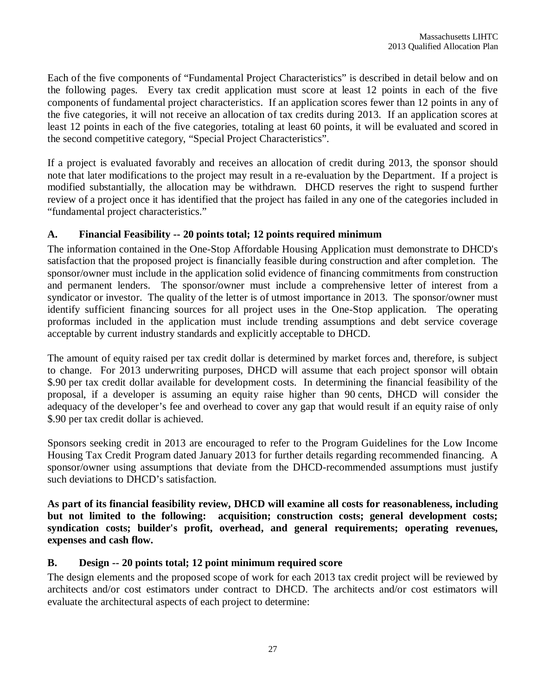Each of the five components of "Fundamental Project Characteristics" is described in detail below and on the following pages. Every tax credit application must score at least 12 points in each of the five components of fundamental project characteristics. If an application scores fewer than 12 points in any of the five categories, it will not receive an allocation of tax credits during 2013. If an application scores at least 12 points in each of the five categories, totaling at least 60 points, it will be evaluated and scored in the second competitive category, "Special Project Characteristics".

If a project is evaluated favorably and receives an allocation of credit during 2013, the sponsor should note that later modifications to the project may result in a re-evaluation by the Department. If a project is modified substantially, the allocation may be withdrawn. DHCD reserves the right to suspend further review of a project once it has identified that the project has failed in any one of the categories included in "fundamental project characteristics."

### **A. Financial Feasibility -- 20 points total; 12 points required minimum**

The information contained in the One-Stop Affordable Housing Application must demonstrate to DHCD's satisfaction that the proposed project is financially feasible during construction and after completion. The sponsor/owner must include in the application solid evidence of financing commitments from construction and permanent lenders. The sponsor/owner must include a comprehensive letter of interest from a syndicator or investor. The quality of the letter is of utmost importance in 2013. The sponsor/owner must identify sufficient financing sources for all project uses in the One-Stop application. The operating proformas included in the application must include trending assumptions and debt service coverage acceptable by current industry standards and explicitly acceptable to DHCD.

The amount of equity raised per tax credit dollar is determined by market forces and, therefore, is subject to change. For 2013 underwriting purposes, DHCD will assume that each project sponsor will obtain \$.90 per tax credit dollar available for development costs. In determining the financial feasibility of the proposal, if a developer is assuming an equity raise higher than 90 cents, DHCD will consider the adequacy of the developer's fee and overhead to cover any gap that would result if an equity raise of only \$.90 per tax credit dollar is achieved.

Sponsors seeking credit in 2013 are encouraged to refer to the Program Guidelines for the Low Income Housing Tax Credit Program dated January 2013 for further details regarding recommended financing. A sponsor/owner using assumptions that deviate from the DHCD-recommended assumptions must justify such deviations to DHCD's satisfaction.

**As part of its financial feasibility review, DHCD will examine all costs for reasonableness, including but not limited to the following: acquisition; construction costs; general development costs; syndication costs; builder's profit, overhead, and general requirements; operating revenues, expenses and cash flow.** 

### **B. Design -- 20 points total; 12 point minimum required score**

The design elements and the proposed scope of work for each 2013 tax credit project will be reviewed by architects and/or cost estimators under contract to DHCD. The architects and/or cost estimators will evaluate the architectural aspects of each project to determine: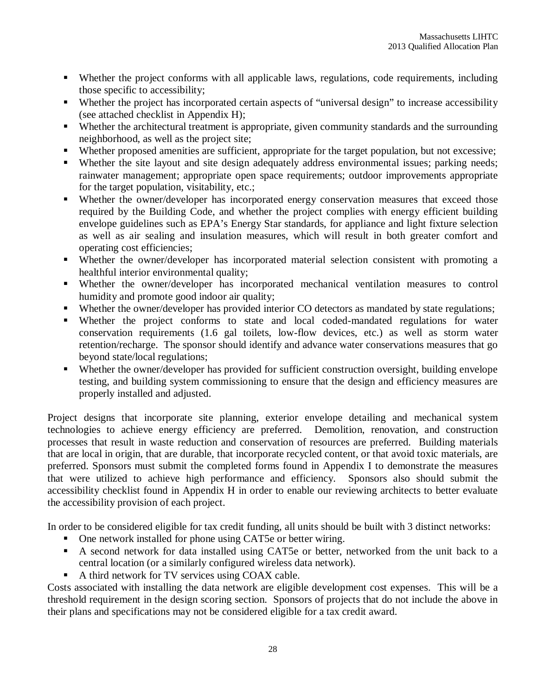- Whether the project conforms with all applicable laws, regulations, code requirements, including those specific to accessibility;
- Whether the project has incorporated certain aspects of "universal design" to increase accessibility (see attached checklist in Appendix H);
- Whether the architectural treatment is appropriate, given community standards and the surrounding neighborhood, as well as the project site;
- Whether proposed amenities are sufficient, appropriate for the target population, but not excessive;
- Whether the site layout and site design adequately address environmental issues; parking needs; rainwater management; appropriate open space requirements; outdoor improvements appropriate for the target population, visitability, etc.;
- Whether the owner/developer has incorporated energy conservation measures that exceed those required by the Building Code, and whether the project complies with energy efficient building envelope guidelines such as EPA's Energy Star standards, for appliance and light fixture selection as well as air sealing and insulation measures, which will result in both greater comfort and operating cost efficiencies;
- Whether the owner/developer has incorporated material selection consistent with promoting a healthful interior environmental quality;
- Whether the owner/developer has incorporated mechanical ventilation measures to control humidity and promote good indoor air quality;
- Whether the owner/developer has provided interior CO detectors as mandated by state regulations;
- Whether the project conforms to state and local coded-mandated regulations for water conservation requirements (1.6 gal toilets, low-flow devices, etc.) as well as storm water retention/recharge. The sponsor should identify and advance water conservations measures that go beyond state/local regulations;
- Whether the owner/developer has provided for sufficient construction oversight, building envelope testing, and building system commissioning to ensure that the design and efficiency measures are properly installed and adjusted.

Project designs that incorporate site planning, exterior envelope detailing and mechanical system technologies to achieve energy efficiency are preferred. Demolition, renovation, and construction processes that result in waste reduction and conservation of resources are preferred. Building materials that are local in origin, that are durable, that incorporate recycled content, or that avoid toxic materials, are preferred. Sponsors must submit the completed forms found in Appendix I to demonstrate the measures that were utilized to achieve high performance and efficiency. Sponsors also should submit the accessibility checklist found in Appendix H in order to enable our reviewing architects to better evaluate the accessibility provision of each project.

In order to be considered eligible for tax credit funding, all units should be built with 3 distinct networks:

- One network installed for phone using CAT5e or better wiring.
- A second network for data installed using CAT5e or better, networked from the unit back to a central location (or a similarly configured wireless data network).
- A third network for TV services using COAX cable.

Costs associated with installing the data network are eligible development cost expenses. This will be a threshold requirement in the design scoring section. Sponsors of projects that do not include the above in their plans and specifications may not be considered eligible for a tax credit award.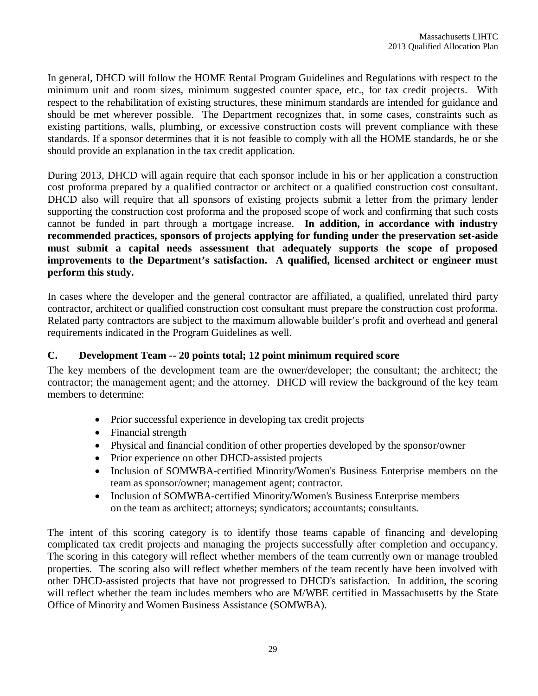In general, DHCD will follow the HOME Rental Program Guidelines and Regulations with respect to the minimum unit and room sizes, minimum suggested counter space, etc., for tax credit projects. With respect to the rehabilitation of existing structures, these minimum standards are intended for guidance and should be met wherever possible. The Department recognizes that, in some cases, constraints such as existing partitions, walls, plumbing, or excessive construction costs will prevent compliance with these standards. If a sponsor determines that it is not feasible to comply with all the HOME standards, he or she should provide an explanation in the tax credit application.

During 2013, DHCD will again require that each sponsor include in his or her application a construction cost proforma prepared by a qualified contractor or architect or a qualified construction cost consultant. DHCD also will require that all sponsors of existing projects submit a letter from the primary lender supporting the construction cost proforma and the proposed scope of work and confirming that such costs cannot be funded in part through a mortgage increase. **In addition, in accordance with industry recommended practices, sponsors of projects applying for funding under the preservation set-aside must submit a capital needs assessment that adequately supports the scope of proposed improvements to the Department's satisfaction. A qualified, licensed architect or engineer must perform this study.** 

In cases where the developer and the general contractor are affiliated, a qualified, unrelated third party contractor, architect or qualified construction cost consultant must prepare the construction cost proforma. Related party contractors are subject to the maximum allowable builder's profit and overhead and general requirements indicated in the Program Guidelines as well.

### **C. Development Team -- 20 points total; 12 point minimum required score**

The key members of the development team are the owner/developer; the consultant; the architect; the contractor; the management agent; and the attorney. DHCD will review the background of the key team members to determine:

- Prior successful experience in developing tax credit projects
- Financial strength
- Physical and financial condition of other properties developed by the sponsor/owner
- Prior experience on other DHCD-assisted projects
- Inclusion of SOMWBA-certified Minority/Women's Business Enterprise members on the team as sponsor/owner; management agent; contractor.
- Inclusion of SOMWBA-certified Minority/Women's Business Enterprise members on the team as architect; attorneys; syndicators; accountants; consultants.

The intent of this scoring category is to identify those teams capable of financing and developing complicated tax credit projects and managing the projects successfully after completion and occupancy. The scoring in this category will reflect whether members of the team currently own or manage troubled properties. The scoring also will reflect whether members of the team recently have been involved with other DHCD-assisted projects that have not progressed to DHCD's satisfaction. In addition, the scoring will reflect whether the team includes members who are M/WBE certified in Massachusetts by the State Office of Minority and Women Business Assistance (SOMWBA).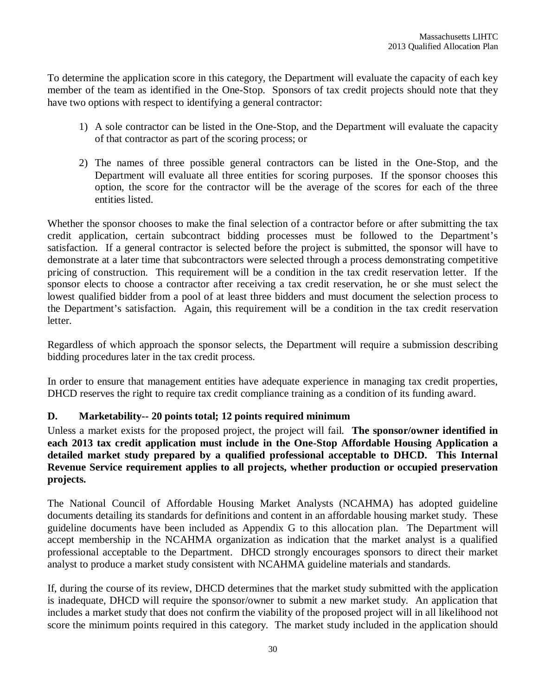To determine the application score in this category, the Department will evaluate the capacity of each key member of the team as identified in the One-Stop. Sponsors of tax credit projects should note that they have two options with respect to identifying a general contractor:

- 1) A sole contractor can be listed in the One-Stop, and the Department will evaluate the capacity of that contractor as part of the scoring process; or
- 2) The names of three possible general contractors can be listed in the One-Stop, and the Department will evaluate all three entities for scoring purposes. If the sponsor chooses this option, the score for the contractor will be the average of the scores for each of the three entities listed.

Whether the sponsor chooses to make the final selection of a contractor before or after submitting the tax credit application, certain subcontract bidding processes must be followed to the Department's satisfaction. If a general contractor is selected before the project is submitted, the sponsor will have to demonstrate at a later time that subcontractors were selected through a process demonstrating competitive pricing of construction. This requirement will be a condition in the tax credit reservation letter. If the sponsor elects to choose a contractor after receiving a tax credit reservation, he or she must select the lowest qualified bidder from a pool of at least three bidders and must document the selection process to the Department's satisfaction. Again, this requirement will be a condition in the tax credit reservation letter.

Regardless of which approach the sponsor selects, the Department will require a submission describing bidding procedures later in the tax credit process.

In order to ensure that management entities have adequate experience in managing tax credit properties, DHCD reserves the right to require tax credit compliance training as a condition of its funding award.

### **D. Marketability-- 20 points total; 12 points required minimum**

Unless a market exists for the proposed project, the project will fail. **The sponsor/owner identified in each 2013 tax credit application must include in the One-Stop Affordable Housing Application a detailed market study prepared by a qualified professional acceptable to DHCD. This Internal Revenue Service requirement applies to all projects, whether production or occupied preservation projects.**

The National Council of Affordable Housing Market Analysts (NCAHMA) has adopted guideline documents detailing its standards for definitions and content in an affordable housing market study. These guideline documents have been included as Appendix G to this allocation plan. The Department will accept membership in the NCAHMA organization as indication that the market analyst is a qualified professional acceptable to the Department. DHCD strongly encourages sponsors to direct their market analyst to produce a market study consistent with NCAHMA guideline materials and standards.

If, during the course of its review, DHCD determines that the market study submitted with the application is inadequate, DHCD will require the sponsor/owner to submit a new market study. An application that includes a market study that does not confirm the viability of the proposed project will in all likelihood not score the minimum points required in this category. The market study included in the application should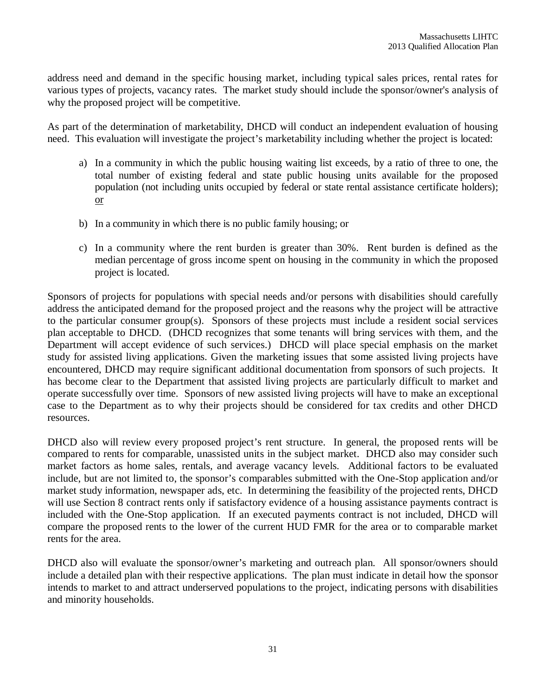address need and demand in the specific housing market, including typical sales prices, rental rates for various types of projects, vacancy rates. The market study should include the sponsor/owner's analysis of why the proposed project will be competitive.

As part of the determination of marketability, DHCD will conduct an independent evaluation of housing need. This evaluation will investigate the project's marketability including whether the project is located:

- a) In a community in which the public housing waiting list exceeds, by a ratio of three to one, the total number of existing federal and state public housing units available for the proposed population (not including units occupied by federal or state rental assistance certificate holders); or
- b) In a community in which there is no public family housing; or
- c) In a community where the rent burden is greater than 30%. Rent burden is defined as the median percentage of gross income spent on housing in the community in which the proposed project is located.

Sponsors of projects for populations with special needs and/or persons with disabilities should carefully address the anticipated demand for the proposed project and the reasons why the project will be attractive to the particular consumer group(s). Sponsors of these projects must include a resident social services plan acceptable to DHCD. (DHCD recognizes that some tenants will bring services with them, and the Department will accept evidence of such services.) DHCD will place special emphasis on the market study for assisted living applications. Given the marketing issues that some assisted living projects have encountered, DHCD may require significant additional documentation from sponsors of such projects. It has become clear to the Department that assisted living projects are particularly difficult to market and operate successfully over time. Sponsors of new assisted living projects will have to make an exceptional case to the Department as to why their projects should be considered for tax credits and other DHCD resources.

DHCD also will review every proposed project's rent structure. In general, the proposed rents will be compared to rents for comparable, unassisted units in the subject market. DHCD also may consider such market factors as home sales, rentals, and average vacancy levels. Additional factors to be evaluated include, but are not limited to, the sponsor's comparables submitted with the One-Stop application and/or market study information, newspaper ads, etc. In determining the feasibility of the projected rents, DHCD will use Section 8 contract rents only if satisfactory evidence of a housing assistance payments contract is included with the One-Stop application. If an executed payments contract is not included, DHCD will compare the proposed rents to the lower of the current HUD FMR for the area or to comparable market rents for the area.

DHCD also will evaluate the sponsor/owner's marketing and outreach plan. All sponsor/owners should include a detailed plan with their respective applications. The plan must indicate in detail how the sponsor intends to market to and attract underserved populations to the project, indicating persons with disabilities and minority households.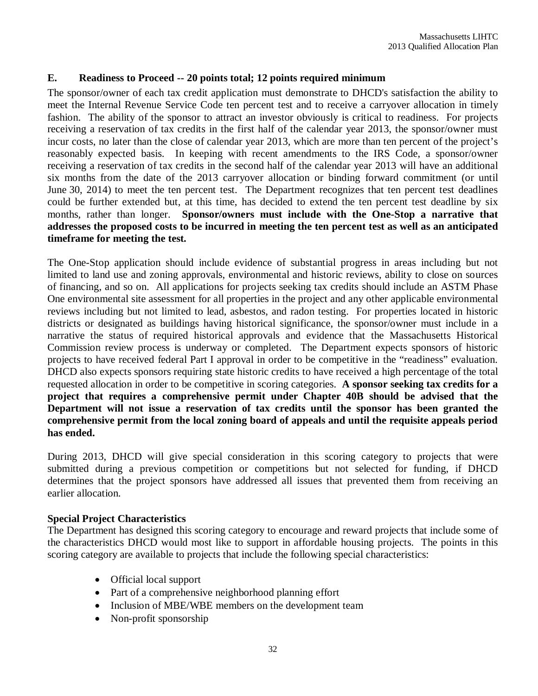### **E. Readiness to Proceed -- 20 points total; 12 points required minimum**

The sponsor/owner of each tax credit application must demonstrate to DHCD's satisfaction the ability to meet the Internal Revenue Service Code ten percent test and to receive a carryover allocation in timely fashion. The ability of the sponsor to attract an investor obviously is critical to readiness. For projects receiving a reservation of tax credits in the first half of the calendar year 2013, the sponsor/owner must incur costs, no later than the close of calendar year 2013, which are more than ten percent of the project's reasonably expected basis. In keeping with recent amendments to the IRS Code, a sponsor/owner receiving a reservation of tax credits in the second half of the calendar year 2013 will have an additional six months from the date of the 2013 carryover allocation or binding forward commitment (or until June 30, 2014) to meet the ten percent test. The Department recognizes that ten percent test deadlines could be further extended but, at this time, has decided to extend the ten percent test deadline by six months, rather than longer. **Sponsor/owners must include with the One-Stop a narrative that addresses the proposed costs to be incurred in meeting the ten percent test as well as an anticipated timeframe for meeting the test.**

The One-Stop application should include evidence of substantial progress in areas including but not limited to land use and zoning approvals, environmental and historic reviews, ability to close on sources of financing, and so on. All applications for projects seeking tax credits should include an ASTM Phase One environmental site assessment for all properties in the project and any other applicable environmental reviews including but not limited to lead, asbestos, and radon testing. For properties located in historic districts or designated as buildings having historical significance, the sponsor/owner must include in a narrative the status of required historical approvals and evidence that the Massachusetts Historical Commission review process is underway or completed.The Department expects sponsors of historic projects to have received federal Part I approval in order to be competitive in the "readiness" evaluation. DHCD also expects sponsors requiring state historic credits to have received a high percentage of the total requested allocation in order to be competitive in scoring categories. **A sponsor seeking tax credits for a project that requires a comprehensive permit under Chapter 40B should be advised that the Department will not issue a reservation of tax credits until the sponsor has been granted the comprehensive permit from the local zoning board of appeals and until the requisite appeals period has ended.** 

During 2013, DHCD will give special consideration in this scoring category to projects that were submitted during a previous competition or competitions but not selected for funding, if DHCD determines that the project sponsors have addressed all issues that prevented them from receiving an earlier allocation.

### **Special Project Characteristics**

The Department has designed this scoring category to encourage and reward projects that include some of the characteristics DHCD would most like to support in affordable housing projects. The points in this scoring category are available to projects that include the following special characteristics:

- Official local support
- Part of a comprehensive neighborhood planning effort
- Inclusion of MBE/WBE members on the development team
- Non-profit sponsorship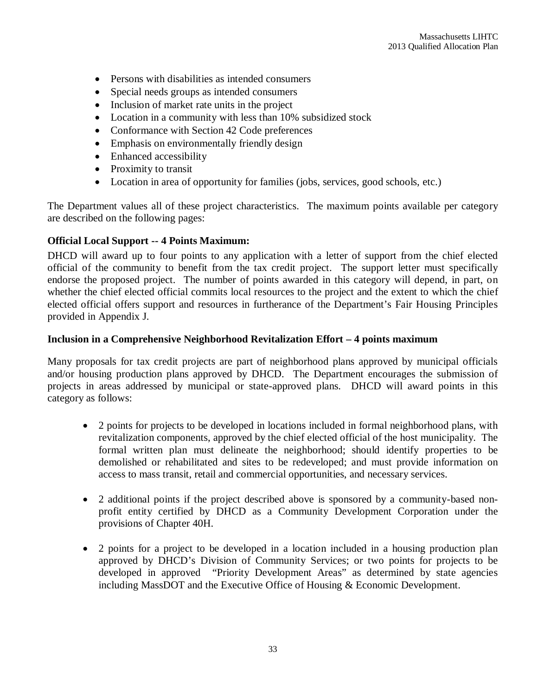- Persons with disabilities as intended consumers
- Special needs groups as intended consumers
- Inclusion of market rate units in the project
- Location in a community with less than 10% subsidized stock
- Conformance with Section 42 Code preferences
- Emphasis on environmentally friendly design
- Enhanced accessibility
- Proximity to transit
- Location in area of opportunity for families (jobs, services, good schools, etc.)

The Department values all of these project characteristics. The maximum points available per category are described on the following pages:

### **Official Local Support -- 4 Points Maximum:**

DHCD will award up to four points to any application with a letter of support from the chief elected official of the community to benefit from the tax credit project. The support letter must specifically endorse the proposed project. The number of points awarded in this category will depend, in part, on whether the chief elected official commits local resources to the project and the extent to which the chief elected official offers support and resources in furtherance of the Department's Fair Housing Principles provided in Appendix J.

### **Inclusion in a Comprehensive Neighborhood Revitalization Effort – 4 points maximum**

Many proposals for tax credit projects are part of neighborhood plans approved by municipal officials and/or housing production plans approved by DHCD. The Department encourages the submission of projects in areas addressed by municipal or state-approved plans. DHCD will award points in this category as follows:

- 2 points for projects to be developed in locations included in formal neighborhood plans, with revitalization components, approved by the chief elected official of the host municipality. The formal written plan must delineate the neighborhood; should identify properties to be demolished or rehabilitated and sites to be redeveloped; and must provide information on access to mass transit, retail and commercial opportunities, and necessary services.
- 2 additional points if the project described above is sponsored by a community-based nonprofit entity certified by DHCD as a Community Development Corporation under the provisions of Chapter 40H.
- 2 points for a project to be developed in a location included in a housing production plan approved by DHCD's Division of Community Services; or two points for projects to be developed in approved "Priority Development Areas" as determined by state agencies including MassDOT and the Executive Office of Housing & Economic Development.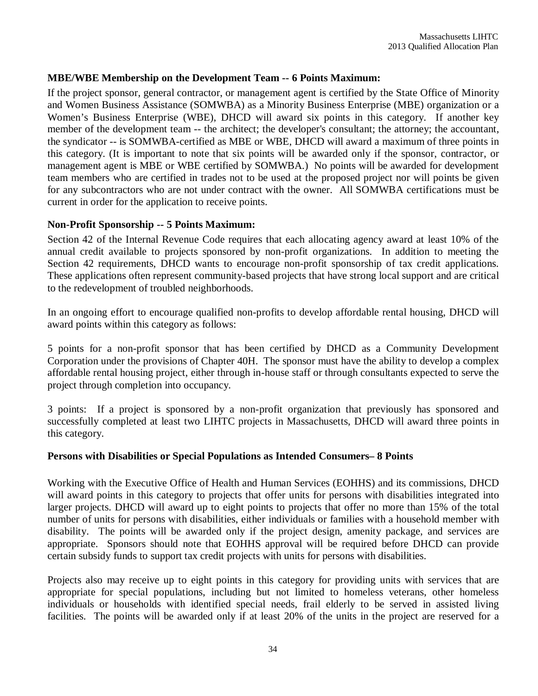### **MBE/WBE Membership on the Development Team -- 6 Points Maximum:**

If the project sponsor, general contractor, or management agent is certified by the State Office of Minority and Women Business Assistance (SOMWBA) as a Minority Business Enterprise (MBE) organization or a Women's Business Enterprise (WBE), DHCD will award six points in this category. If another key member of the development team -- the architect; the developer's consultant; the attorney; the accountant, the syndicator -- is SOMWBA-certified as MBE or WBE, DHCD will award a maximum of three points in this category. (It is important to note that six points will be awarded only if the sponsor, contractor, or management agent is MBE or WBE certified by SOMWBA.) No points will be awarded for development team members who are certified in trades not to be used at the proposed project nor will points be given for any subcontractors who are not under contract with the owner. All SOMWBA certifications must be current in order for the application to receive points.

### **Non-Profit Sponsorship -- 5 Points Maximum:**

Section 42 of the Internal Revenue Code requires that each allocating agency award at least 10% of the annual credit available to projects sponsored by non-profit organizations. In addition to meeting the Section 42 requirements, DHCD wants to encourage non-profit sponsorship of tax credit applications. These applications often represent community-based projects that have strong local support and are critical to the redevelopment of troubled neighborhoods.

In an ongoing effort to encourage qualified non-profits to develop affordable rental housing, DHCD will award points within this category as follows:

5 points for a non-profit sponsor that has been certified by DHCD as a Community Development Corporation under the provisions of Chapter 40H. The sponsor must have the ability to develop a complex affordable rental housing project, either through in-house staff or through consultants expected to serve the project through completion into occupancy.

3 points: If a project is sponsored by a non-profit organization that previously has sponsored and successfully completed at least two LIHTC projects in Massachusetts, DHCD will award three points in this category.

### **Persons with Disabilities or Special Populations as Intended Consumers– 8 Points**

Working with the Executive Office of Health and Human Services (EOHHS) and its commissions, DHCD will award points in this category to projects that offer units for persons with disabilities integrated into larger projects. DHCD will award up to eight points to projects that offer no more than 15% of the total number of units for persons with disabilities, either individuals or families with a household member with disability. The points will be awarded only if the project design, amenity package, and services are appropriate. Sponsors should note that EOHHS approval will be required before DHCD can provide certain subsidy funds to support tax credit projects with units for persons with disabilities.

Projects also may receive up to eight points in this category for providing units with services that are appropriate for special populations, including but not limited to homeless veterans, other homeless individuals or households with identified special needs, frail elderly to be served in assisted living facilities. The points will be awarded only if at least 20% of the units in the project are reserved for a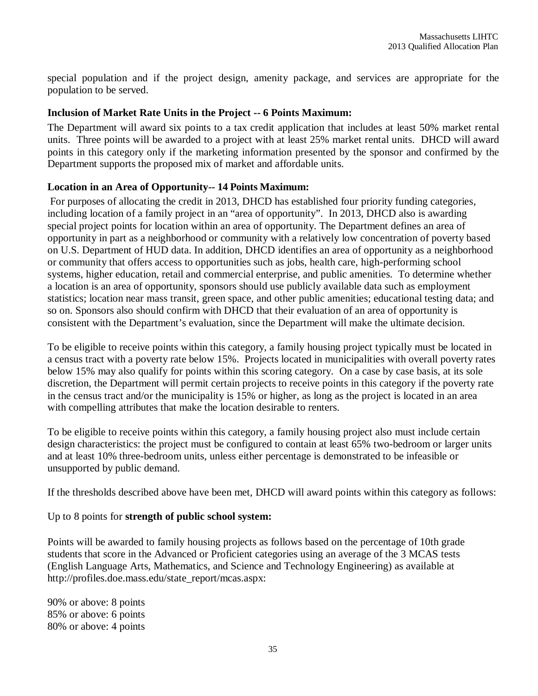special population and if the project design, amenity package, and services are appropriate for the population to be served.

### **Inclusion of Market Rate Units in the Project -- 6 Points Maximum:**

The Department will award six points to a tax credit application that includes at least 50% market rental units. Three points will be awarded to a project with at least 25% market rental units. DHCD will award points in this category only if the marketing information presented by the sponsor and confirmed by the Department supports the proposed mix of market and affordable units.

#### **Location in an Area of Opportunity-- 14 Points Maximum:**

For purposes of allocating the credit in 2013, DHCD has established four priority funding categories, including location of a family project in an "area of opportunity". In 2013, DHCD also is awarding special project points for location within an area of opportunity. The Department defines an area of opportunity in part as a neighborhood or community with a relatively low concentration of poverty based on U.S. Department of HUD data. In addition, DHCD identifies an area of opportunity as a neighborhood or community that offers access to opportunities such as jobs, health care, high-performing school systems, higher education, retail and commercial enterprise, and public amenities. To determine whether a location is an area of opportunity, sponsors should use publicly available data such as employment statistics; location near mass transit, green space, and other public amenities; educational testing data; and so on. Sponsors also should confirm with DHCD that their evaluation of an area of opportunity is consistent with the Department's evaluation, since the Department will make the ultimate decision.

To be eligible to receive points within this category, a family housing project typically must be located in a census tract with a poverty rate below 15%. Projects located in municipalities with overall poverty rates below 15% may also qualify for points within this scoring category. On a case by case basis, at its sole discretion, the Department will permit certain projects to receive points in this category if the poverty rate in the census tract and/or the municipality is 15% or higher, as long as the project is located in an area with compelling attributes that make the location desirable to renters.

To be eligible to receive points within this category, a family housing project also must include certain design characteristics: the project must be configured to contain at least 65% two-bedroom or larger units and at least 10% three-bedroom units, unless either percentage is demonstrated to be infeasible or unsupported by public demand.

If the thresholds described above have been met, DHCD will award points within this category as follows:

#### Up to 8 points for **strength of public school system:**

Points will be awarded to family housing projects as follows based on the percentage of 10th grade students that score in the Advanced or Proficient categories using an average of the 3 MCAS tests (English Language Arts, Mathematics, and Science and Technology Engineering) as available at http://profiles.doe.mass.edu/state\_report/mcas.aspx:

90% or above: 8 points 85% or above: 6 points 80% or above: 4 points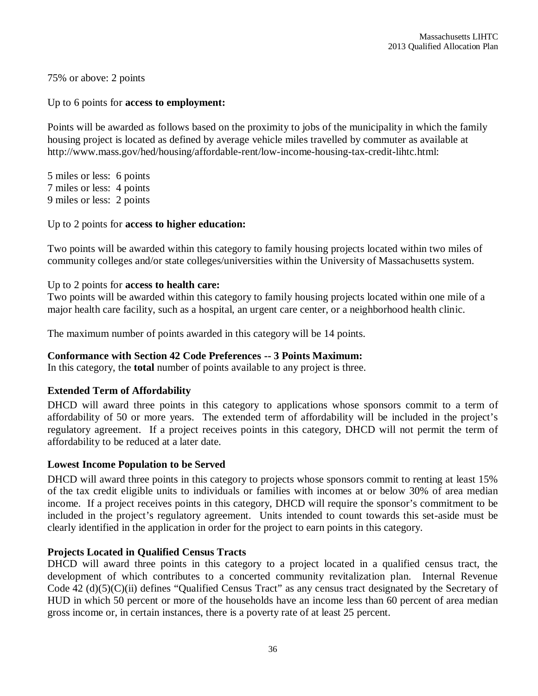75% or above: 2 points

#### Up to 6 points for **access to employment:**

Points will be awarded as follows based on the proximity to jobs of the municipality in which the family housing project is located as defined by average vehicle miles travelled by commuter as available at http://www.mass.gov/hed/housing/affordable-rent/low-income-housing-tax-credit-lihtc.html:

5 miles or less: 6 points 7 miles or less: 4 points 9 miles or less: 2 points

#### Up to 2 points for **access to higher education:**

Two points will be awarded within this category to family housing projects located within two miles of community colleges and/or state colleges/universities within the University of Massachusetts system.

#### Up to 2 points for **access to health care:**

Two points will be awarded within this category to family housing projects located within one mile of a major health care facility, such as a hospital, an urgent care center, or a neighborhood health clinic.

The maximum number of points awarded in this category will be 14 points.

#### **Conformance with Section 42 Code Preferences -- 3 Points Maximum:**

In this category, the **total** number of points available to any project is three.

#### **Extended Term of Affordability**

DHCD will award three points in this category to applications whose sponsors commit to a term of affordability of 50 or more years. The extended term of affordability will be included in the project's regulatory agreement. If a project receives points in this category, DHCD will not permit the term of affordability to be reduced at a later date.

#### **Lowest Income Population to be Served**

DHCD will award three points in this category to projects whose sponsors commit to renting at least 15% of the tax credit eligible units to individuals or families with incomes at or below 30% of area median income. If a project receives points in this category, DHCD will require the sponsor's commitment to be included in the project's regulatory agreement. Units intended to count towards this set-aside must be clearly identified in the application in order for the project to earn points in this category.

#### **Projects Located in Qualified Census Tracts**

DHCD will award three points in this category to a project located in a qualified census tract, the development of which contributes to a concerted community revitalization plan. Internal Revenue Code 42 (d)(5)(C)(ii) defines "Qualified Census Tract" as any census tract designated by the Secretary of HUD in which 50 percent or more of the households have an income less than 60 percent of area median gross income or, in certain instances, there is a poverty rate of at least 25 percent.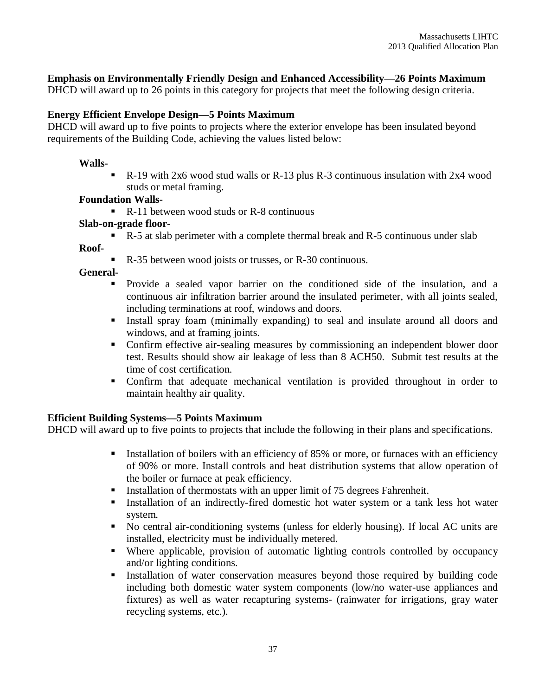#### **Emphasis on Environmentally Friendly Design and Enhanced Accessibility—26 Points Maximum**

DHCD will award up to 26 points in this category for projects that meet the following design criteria.

#### **Energy Efficient Envelope Design—5 Points Maximum**

DHCD will award up to five points to projects where the exterior envelope has been insulated beyond requirements of the Building Code, achieving the values listed below:

#### **Walls-**

R-19 with 2x6 wood stud walls or R-13 plus R-3 continuous insulation with 2x4 wood studs or metal framing.

#### **Foundation Walls-**

 $\blacksquare$  R-11 between wood studs or R-8 continuous

#### **Slab-on-grade floor**-

R-5 at slab perimeter with a complete thermal break and R-5 continuous under slab

**Roof-**

R-35 between wood joists or trusses, or R-30 continuous.

**General-**

- Provide a sealed vapor barrier on the conditioned side of the insulation, and a continuous air infiltration barrier around the insulated perimeter, with all joints sealed, including terminations at roof, windows and doors.
- Install spray foam (minimally expanding) to seal and insulate around all doors and windows, and at framing joints.
- Confirm effective air-sealing measures by commissioning an independent blower door test. Results should show air leakage of less than 8 ACH50. Submit test results at the time of cost certification.
- Confirm that adequate mechanical ventilation is provided throughout in order to maintain healthy air quality.

#### **Efficient Building Systems—5 Points Maximum**

DHCD will award up to five points to projects that include the following in their plans and specifications.

- Installation of boilers with an efficiency of 85% or more, or furnaces with an efficiency of 90% or more. Install controls and heat distribution systems that allow operation of the boiler or furnace at peak efficiency.
- Installation of thermostats with an upper limit of 75 degrees Fahrenheit.
- Installation of an indirectly-fired domestic hot water system or a tank less hot water system.
- No central air-conditioning systems (unless for elderly housing). If local AC units are installed, electricity must be individually metered.
- Where applicable, provision of automatic lighting controls controlled by occupancy and/or lighting conditions.
- Installation of water conservation measures beyond those required by building code including both domestic water system components (low/no water-use appliances and fixtures) as well as water recapturing systems- (rainwater for irrigations, gray water recycling systems, etc.).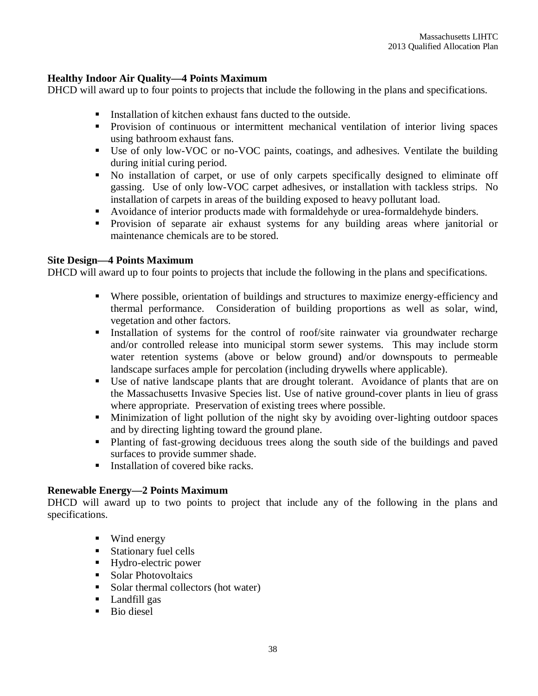#### **Healthy Indoor Air Quality—4 Points Maximum**

DHCD will award up to four points to projects that include the following in the plans and specifications.

- Installation of kitchen exhaust fans ducted to the outside.
- **Provision of continuous or intermittent mechanical ventilation of interior living spaces** using bathroom exhaust fans.
- Use of only low-VOC or no-VOC paints, coatings, and adhesives. Ventilate the building during initial curing period.
- No installation of carpet, or use of only carpets specifically designed to eliminate off gassing. Use of only low-VOC carpet adhesives, or installation with tackless strips. No installation of carpets in areas of the building exposed to heavy pollutant load.
- Avoidance of interior products made with formaldehyde or urea-formaldehyde binders.
- **Provision of separate air exhaust systems for any building areas where janitorial or** maintenance chemicals are to be stored.

#### **Site Design—4 Points Maximum**

DHCD will award up to four points to projects that include the following in the plans and specifications.

- Where possible, orientation of buildings and structures to maximize energy-efficiency and thermal performance. Consideration of building proportions as well as solar, wind, vegetation and other factors.
- Installation of systems for the control of roof/site rainwater via groundwater recharge and/or controlled release into municipal storm sewer systems. This may include storm water retention systems (above or below ground) and/or downspouts to permeable landscape surfaces ample for percolation (including drywells where applicable).
- Use of native landscape plants that are drought tolerant. Avoidance of plants that are on the Massachusetts Invasive Species list. Use of native ground-cover plants in lieu of grass where appropriate. Preservation of existing trees where possible.
- Minimization of light pollution of the night sky by avoiding over-lighting outdoor spaces and by directing lighting toward the ground plane.
- Planting of fast-growing deciduous trees along the south side of the buildings and paved surfaces to provide summer shade.
- $\blacksquare$  Installation of covered bike racks.

#### **Renewable Energy—2 Points Maximum**

DHCD will award up to two points to project that include any of the following in the plans and specifications.

- Wind energy
- **Stationary fuel cells**
- Hydro-electric power
- Solar Photovoltaics
- Solar thermal collectors (hot water)
- **Landfill gas**
- **Bio diesel**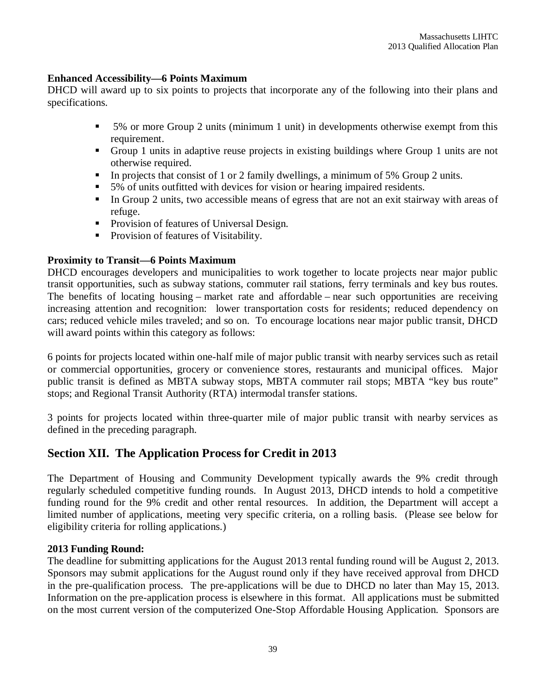#### **Enhanced Accessibility—6 Points Maximum**

DHCD will award up to six points to projects that incorporate any of the following into their plans and specifications.

- 5% or more Group 2 units (minimum 1 unit) in developments otherwise exempt from this requirement.
- Group 1 units in adaptive reuse projects in existing buildings where Group 1 units are not otherwise required.
- In projects that consist of 1 or 2 family dwellings, a minimum of 5% Group 2 units.
- 5% of units outfitted with devices for vision or hearing impaired residents.
- In Group 2 units, two accessible means of egress that are not an exit stairway with areas of refuge.
- **Provision of features of Universal Design.**
- **Provision of features of Visitability.**

#### **Proximity to Transit—6 Points Maximum**

DHCD encourages developers and municipalities to work together to locate projects near major public transit opportunities, such as subway stations, commuter rail stations, ferry terminals and key bus routes. The benefits of locating housing – market rate and affordable – near such opportunities are receiving increasing attention and recognition: lower transportation costs for residents; reduced dependency on cars; reduced vehicle miles traveled; and so on. To encourage locations near major public transit, DHCD will award points within this category as follows:

6 points for projects located within one-half mile of major public transit with nearby services such as retail or commercial opportunities, grocery or convenience stores, restaurants and municipal offices. Major public transit is defined as MBTA subway stops, MBTA commuter rail stops; MBTA "key bus route" stops; and Regional Transit Authority (RTA) intermodal transfer stations.

3 points for projects located within three-quarter mile of major public transit with nearby services as defined in the preceding paragraph.

# **Section XII. The Application Process for Credit in 2013**

The Department of Housing and Community Development typically awards the 9% credit through regularly scheduled competitive funding rounds. In August 2013, DHCD intends to hold a competitive funding round for the 9% credit and other rental resources. In addition, the Department will accept a limited number of applications, meeting very specific criteria, on a rolling basis. (Please see below for eligibility criteria for rolling applications.)

#### **2013 Funding Round:**

The deadline for submitting applications for the August 2013 rental funding round will be August 2, 2013. Sponsors may submit applications for the August round only if they have received approval from DHCD in the pre-qualification process. The pre-applications will be due to DHCD no later than May 15, 2013. Information on the pre-application process is elsewhere in this format. All applications must be submitted on the most current version of the computerized One-Stop Affordable Housing Application. Sponsors are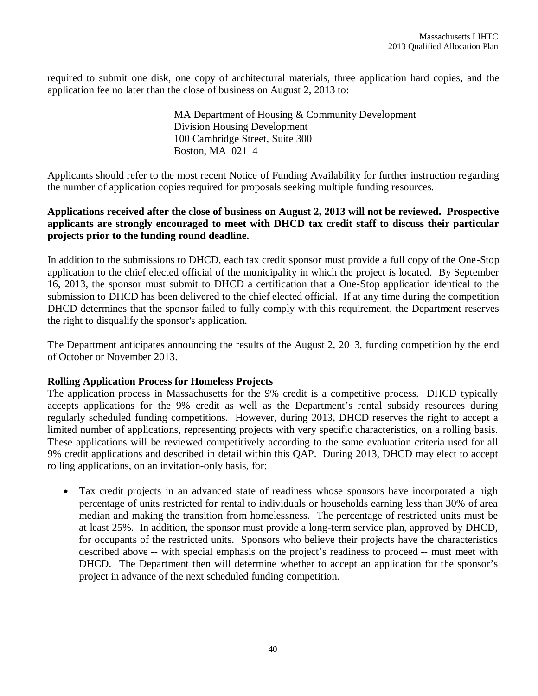required to submit one disk, one copy of architectural materials, three application hard copies, and the application fee no later than the close of business on August 2, 2013 to:

> MA Department of Housing & Community Development Division Housing Development 100 Cambridge Street, Suite 300 Boston, MA 02114

Applicants should refer to the most recent Notice of Funding Availability for further instruction regarding the number of application copies required for proposals seeking multiple funding resources.

#### **Applications received after the close of business on August 2, 2013 will not be reviewed. Prospective applicants are strongly encouraged to meet with DHCD tax credit staff to discuss their particular projects prior to the funding round deadline.**

In addition to the submissions to DHCD, each tax credit sponsor must provide a full copy of the One-Stop application to the chief elected official of the municipality in which the project is located. By September 16, 2013, the sponsor must submit to DHCD a certification that a One-Stop application identical to the submission to DHCD has been delivered to the chief elected official. If at any time during the competition DHCD determines that the sponsor failed to fully comply with this requirement, the Department reserves the right to disqualify the sponsor's application.

The Department anticipates announcing the results of the August 2, 2013, funding competition by the end of October or November 2013.

#### **Rolling Application Process for Homeless Projects**

The application process in Massachusetts for the 9% credit is a competitive process. DHCD typically accepts applications for the 9% credit as well as the Department's rental subsidy resources during regularly scheduled funding competitions. However, during 2013, DHCD reserves the right to accept a limited number of applications, representing projects with very specific characteristics, on a rolling basis. These applications will be reviewed competitively according to the same evaluation criteria used for all 9% credit applications and described in detail within this QAP. During 2013, DHCD may elect to accept rolling applications, on an invitation-only basis, for:

 Tax credit projects in an advanced state of readiness whose sponsors have incorporated a high percentage of units restricted for rental to individuals or households earning less than 30% of area median and making the transition from homelessness. The percentage of restricted units must be at least 25%. In addition, the sponsor must provide a long-term service plan, approved by DHCD, for occupants of the restricted units. Sponsors who believe their projects have the characteristics described above -- with special emphasis on the project's readiness to proceed -- must meet with DHCD. The Department then will determine whether to accept an application for the sponsor's project in advance of the next scheduled funding competition.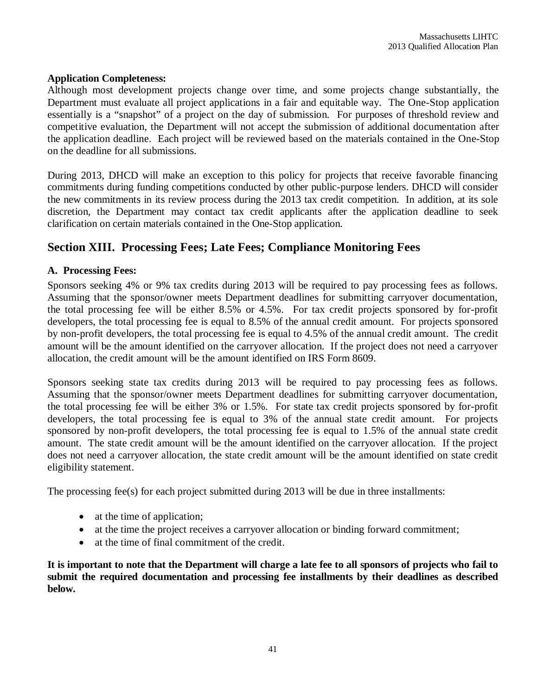#### **Application Completeness:**

Although most development projects change over time, and some projects change substantially, the Department must evaluate all project applications in a fair and equitable way. The One-Stop application essentially is a "snapshot" of a project on the day of submission. For purposes of threshold review and competitive evaluation, the Department will not accept the submission of additional documentation after the application deadline. Each project will be reviewed based on the materials contained in the One-Stop on the deadline for all submissions.

During 2013, DHCD will make an exception to this policy for projects that receive favorable financing commitments during funding competitions conducted by other public-purpose lenders. DHCD will consider the new commitments in its review process during the 2013 tax credit competition. In addition, at its sole discretion, the Department may contact tax credit applicants after the application deadline to seek clarification on certain materials contained in the One-Stop application.

# **Section XIII. Processing Fees; Late Fees; Compliance Monitoring Fees**

#### **A. Processing Fees:**

Sponsors seeking 4% or 9% tax credits during 2013 will be required to pay processing fees as follows. Assuming that the sponsor/owner meets Department deadlines for submitting carryover documentation, the total processing fee will be either 8.5% or 4.5%. For tax credit projects sponsored by for-profit developers, the total processing fee is equal to 8.5% of the annual credit amount. For projects sponsored by non-profit developers, the total processing fee is equal to 4.5% of the annual credit amount. The credit amount will be the amount identified on the carryover allocation. If the project does not need a carryover allocation, the credit amount will be the amount identified on IRS Form 8609.

Sponsors seeking state tax credits during 2013 will be required to pay processing fees as follows. Assuming that the sponsor/owner meets Department deadlines for submitting carryover documentation, the total processing fee will be either 3% or 1.5%. For state tax credit projects sponsored by for-profit developers, the total processing fee is equal to 3% of the annual state credit amount. For projects sponsored by non-profit developers, the total processing fee is equal to 1.5% of the annual state credit amount. The state credit amount will be the amount identified on the carryover allocation. If the project does not need a carryover allocation, the state credit amount will be the amount identified on state credit eligibility statement.

The processing fee(s) for each project submitted during 2013 will be due in three installments:

- at the time of application;
- at the time the project receives a carryover allocation or binding forward commitment;
- at the time of final commitment of the credit.

**It is important to note that the Department will charge a late fee to all sponsors of projects who fail to submit the required documentation and processing fee installments by their deadlines as described below.**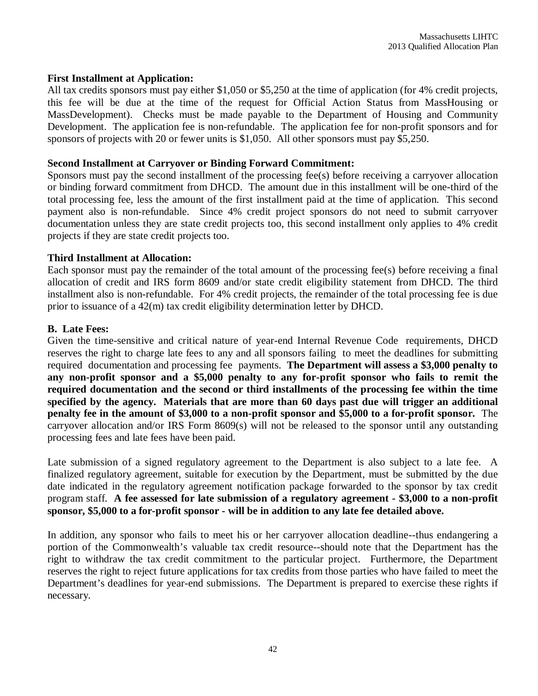#### **First Installment at Application:**

All tax credits sponsors must pay either \$1,050 or \$5,250 at the time of application (for 4% credit projects, this fee will be due at the time of the request for Official Action Status from MassHousing or MassDevelopment). Checks must be made payable to the Department of Housing and Community Development. The application fee is non-refundable. The application fee for non-profit sponsors and for sponsors of projects with 20 or fewer units is \$1,050. All other sponsors must pay \$5,250.

#### **Second Installment at Carryover or Binding Forward Commitment:**

Sponsors must pay the second installment of the processing fee(s) before receiving a carryover allocation or binding forward commitment from DHCD. The amount due in this installment will be one-third of the total processing fee, less the amount of the first installment paid at the time of application. This second payment also is non-refundable. Since 4% credit project sponsors do not need to submit carryover documentation unless they are state credit projects too, this second installment only applies to 4% credit projects if they are state credit projects too.

#### **Third Installment at Allocation:**

Each sponsor must pay the remainder of the total amount of the processing fee(s) before receiving a final allocation of credit and IRS form 8609 and/or state credit eligibility statement from DHCD. The third installment also is non-refundable. For 4% credit projects, the remainder of the total processing fee is due prior to issuance of a 42(m) tax credit eligibility determination letter by DHCD.

#### **B. Late Fees:**

Given the time-sensitive and critical nature of year-end Internal Revenue Code requirements, DHCD reserves the right to charge late fees to any and all sponsors failing to meet the deadlines for submitting required documentation and processing fee payments. **The Department will assess a \$3,000 penalty to any non-profit sponsor and a \$5,000 penalty to any for-profit sponsor who fails to remit the required documentation and the second or third installments of the processing fee within the time specified by the agency. Materials that are more than 60 days past due will trigger an additional penalty fee in the amount of \$3,000 to a non-profit sponsor and \$5,000 to a for-profit sponsor.** The carryover allocation and/or IRS Form 8609(s) will not be released to the sponsor until any outstanding processing fees and late fees have been paid.

Late submission of a signed regulatory agreement to the Department is also subject to a late fee. A finalized regulatory agreement, suitable for execution by the Department, must be submitted by the due date indicated in the regulatory agreement notification package forwarded to the sponsor by tax credit program staff. **A fee assessed for late submission of a regulatory agreement - \$3,000 to a non-profit sponsor, \$5,000 to a for-profit sponsor - will be in addition to any late fee detailed above.**

In addition, any sponsor who fails to meet his or her carryover allocation deadline--thus endangering a portion of the Commonwealth's valuable tax credit resource--should note that the Department has the right to withdraw the tax credit commitment to the particular project. Furthermore, the Department reserves the right to reject future applications for tax credits from those parties who have failed to meet the Department's deadlines for year-end submissions. The Department is prepared to exercise these rights if necessary.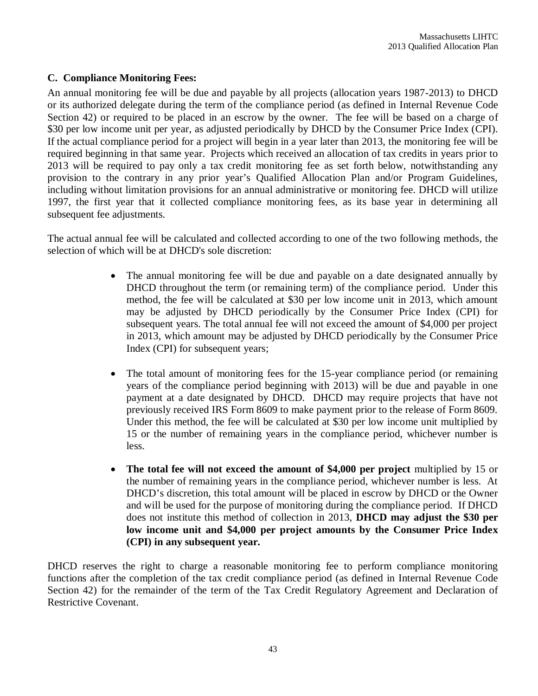#### **C. Compliance Monitoring Fees:**

An annual monitoring fee will be due and payable by all projects (allocation years 1987-2013) to DHCD or its authorized delegate during the term of the compliance period (as defined in Internal Revenue Code Section 42) or required to be placed in an escrow by the owner. The fee will be based on a charge of \$30 per low income unit per year, as adjusted periodically by DHCD by the Consumer Price Index (CPI). If the actual compliance period for a project will begin in a year later than 2013, the monitoring fee will be required beginning in that same year. Projects which received an allocation of tax credits in years prior to 2013 will be required to pay only a tax credit monitoring fee as set forth below, notwithstanding any provision to the contrary in any prior year's Qualified Allocation Plan and/or Program Guidelines, including without limitation provisions for an annual administrative or monitoring fee. DHCD will utilize 1997, the first year that it collected compliance monitoring fees, as its base year in determining all subsequent fee adjustments.

The actual annual fee will be calculated and collected according to one of the two following methods, the selection of which will be at DHCD's sole discretion:

- The annual monitoring fee will be due and payable on a date designated annually by DHCD throughout the term (or remaining term) of the compliance period. Under this method, the fee will be calculated at \$30 per low income unit in 2013, which amount may be adjusted by DHCD periodically by the Consumer Price Index (CPI) for subsequent years. The total annual fee will not exceed the amount of \$4,000 per project in 2013, which amount may be adjusted by DHCD periodically by the Consumer Price Index (CPI) for subsequent years;
- The total amount of monitoring fees for the 15-year compliance period (or remaining years of the compliance period beginning with 2013) will be due and payable in one payment at a date designated by DHCD. DHCD may require projects that have not previously received IRS Form 8609 to make payment prior to the release of Form 8609. Under this method, the fee will be calculated at \$30 per low income unit multiplied by 15 or the number of remaining years in the compliance period, whichever number is less.
- **The total fee will not exceed the amount of \$4,000 per project** multiplied by 15 or the number of remaining years in the compliance period, whichever number is less. At DHCD's discretion, this total amount will be placed in escrow by DHCD or the Owner and will be used for the purpose of monitoring during the compliance period. If DHCD does not institute this method of collection in 2013, **DHCD may adjust the \$30 per low income unit and \$4,000 per project amounts by the Consumer Price Index (CPI) in any subsequent year.**

DHCD reserves the right to charge a reasonable monitoring fee to perform compliance monitoring functions after the completion of the tax credit compliance period (as defined in Internal Revenue Code Section 42) for the remainder of the term of the Tax Credit Regulatory Agreement and Declaration of Restrictive Covenant.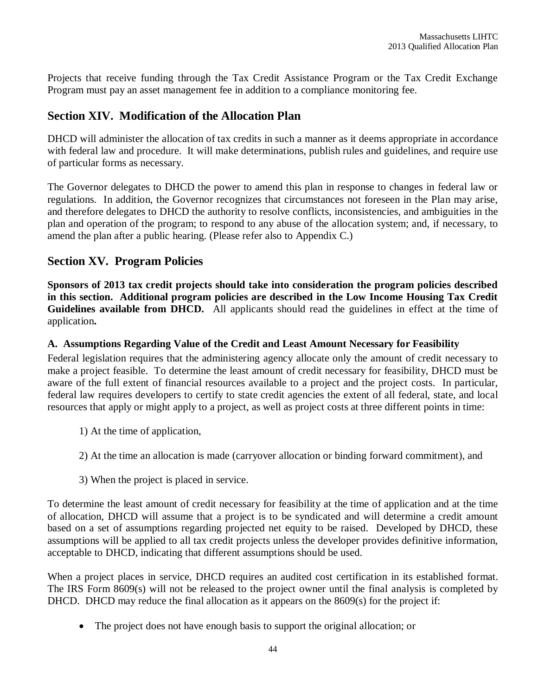Projects that receive funding through the Tax Credit Assistance Program or the Tax Credit Exchange Program must pay an asset management fee in addition to a compliance monitoring fee.

# **Section XIV. Modification of the Allocation Plan**

DHCD will administer the allocation of tax credits in such a manner as it deems appropriate in accordance with federal law and procedure. It will make determinations, publish rules and guidelines, and require use of particular forms as necessary.

The Governor delegates to DHCD the power to amend this plan in response to changes in federal law or regulations. In addition, the Governor recognizes that circumstances not foreseen in the Plan may arise, and therefore delegates to DHCD the authority to resolve conflicts, inconsistencies, and ambiguities in the plan and operation of the program; to respond to any abuse of the allocation system; and, if necessary, to amend the plan after a public hearing. (Please refer also to Appendix C.)

# **Section XV. Program Policies**

**Sponsors of 2013 tax credit projects should take into consideration the program policies described in this section. Additional program policies are described in the Low Income Housing Tax Credit Guidelines available from DHCD.** All applicants should read the guidelines in effect at the time of application**.**

### **A. Assumptions Regarding Value of the Credit and Least Amount Necessary for Feasibility**

Federal legislation requires that the administering agency allocate only the amount of credit necessary to make a project feasible. To determine the least amount of credit necessary for feasibility, DHCD must be aware of the full extent of financial resources available to a project and the project costs. In particular, federal law requires developers to certify to state credit agencies the extent of all federal, state, and local resources that apply or might apply to a project, as well as project costs at three different points in time:

- 1) At the time of application,
- 2) At the time an allocation is made (carryover allocation or binding forward commitment), and
- 3) When the project is placed in service.

To determine the least amount of credit necessary for feasibility at the time of application and at the time of allocation, DHCD will assume that a project is to be syndicated and will determine a credit amount based on a set of assumptions regarding projected net equity to be raised. Developed by DHCD, these assumptions will be applied to all tax credit projects unless the developer provides definitive information, acceptable to DHCD, indicating that different assumptions should be used.

When a project places in service, DHCD requires an audited cost certification in its established format. The IRS Form 8609(s) will not be released to the project owner until the final analysis is completed by DHCD. DHCD may reduce the final allocation as it appears on the 8609(s) for the project if:

The project does not have enough basis to support the original allocation; or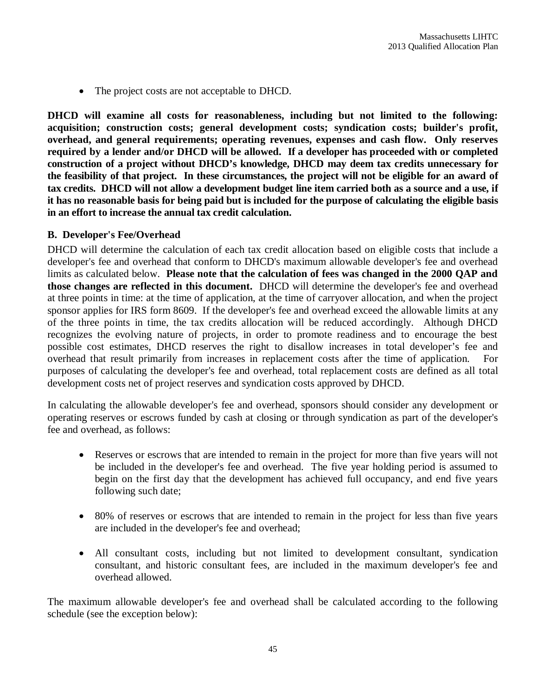• The project costs are not acceptable to DHCD.

**DHCD will examine all costs for reasonableness, including but not limited to the following: acquisition; construction costs; general development costs; syndication costs; builder's profit, overhead, and general requirements; operating revenues, expenses and cash flow. Only reserves required by a lender and/or DHCD will be allowed. If a developer has proceeded with or completed construction of a project without DHCD's knowledge, DHCD may deem tax credits unnecessary for the feasibility of that project. In these circumstances, the project will not be eligible for an award of tax credits. DHCD will not allow a development budget line item carried both as a source and a use, if it has no reasonable basis for being paid but is included for the purpose of calculating the eligible basis in an effort to increase the annual tax credit calculation.**

#### **B. Developer's Fee/Overhead**

DHCD will determine the calculation of each tax credit allocation based on eligible costs that include a developer's fee and overhead that conform to DHCD's maximum allowable developer's fee and overhead limits as calculated below. **Please note that the calculation of fees was changed in the 2000 QAP and those changes are reflected in this document.** DHCD will determine the developer's fee and overhead at three points in time: at the time of application, at the time of carryover allocation, and when the project sponsor applies for IRS form 8609. If the developer's fee and overhead exceed the allowable limits at any of the three points in time, the tax credits allocation will be reduced accordingly. Although DHCD recognizes the evolving nature of projects, in order to promote readiness and to encourage the best possible cost estimates, DHCD reserves the right to disallow increases in total developer's fee and overhead that result primarily from increases in replacement costs after the time of application. For purposes of calculating the developer's fee and overhead, total replacement costs are defined as all total development costs net of project reserves and syndication costs approved by DHCD.

In calculating the allowable developer's fee and overhead, sponsors should consider any development or operating reserves or escrows funded by cash at closing or through syndication as part of the developer's fee and overhead, as follows:

- Reserves or escrows that are intended to remain in the project for more than five years will not be included in the developer's fee and overhead. The five year holding period is assumed to begin on the first day that the development has achieved full occupancy, and end five years following such date;
- 80% of reserves or escrows that are intended to remain in the project for less than five years are included in the developer's fee and overhead;
- All consultant costs, including but not limited to development consultant, syndication consultant, and historic consultant fees, are included in the maximum developer's fee and overhead allowed.

The maximum allowable developer's fee and overhead shall be calculated according to the following schedule (see the exception below):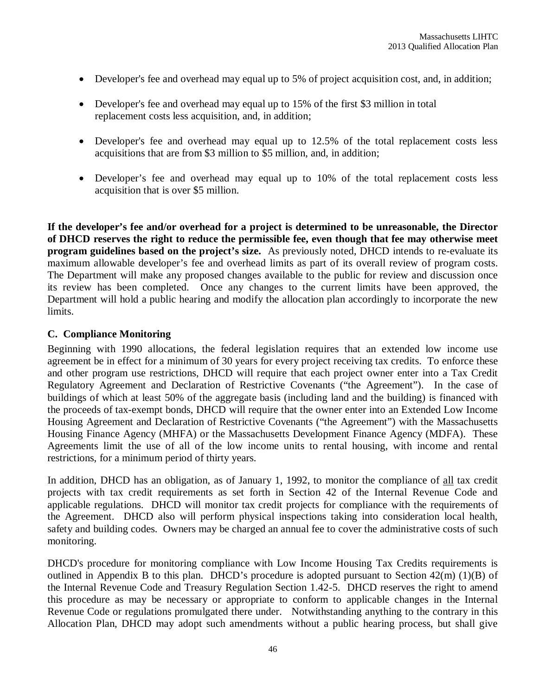- Developer's fee and overhead may equal up to 5% of project acquisition cost, and, in addition;
- Developer's fee and overhead may equal up to 15% of the first \$3 million in total replacement costs less acquisition, and, in addition;
- Developer's fee and overhead may equal up to 12.5% of the total replacement costs less acquisitions that are from \$3 million to \$5 million, and, in addition;
- Developer's fee and overhead may equal up to 10% of the total replacement costs less acquisition that is over \$5 million.

**If the developer's fee and/or overhead for a project is determined to be unreasonable, the Director of DHCD reserves the right to reduce the permissible fee, even though that fee may otherwise meet program guidelines based on the project's size.** As previously noted, DHCD intends to re-evaluate its maximum allowable developer's fee and overhead limits as part of its overall review of program costs. The Department will make any proposed changes available to the public for review and discussion once its review has been completed. Once any changes to the current limits have been approved, the Department will hold a public hearing and modify the allocation plan accordingly to incorporate the new limits.

#### **C. Compliance Monitoring**

Beginning with 1990 allocations, the federal legislation requires that an extended low income use agreement be in effect for a minimum of 30 years for every project receiving tax credits. To enforce these and other program use restrictions, DHCD will require that each project owner enter into a Tax Credit Regulatory Agreement and Declaration of Restrictive Covenants ("the Agreement"). In the case of buildings of which at least 50% of the aggregate basis (including land and the building) is financed with the proceeds of tax-exempt bonds, DHCD will require that the owner enter into an Extended Low Income Housing Agreement and Declaration of Restrictive Covenants ("the Agreement") with the Massachusetts Housing Finance Agency (MHFA) or the Massachusetts Development Finance Agency (MDFA). These Agreements limit the use of all of the low income units to rental housing, with income and rental restrictions, for a minimum period of thirty years.

In addition, DHCD has an obligation, as of January 1, 1992, to monitor the compliance of all tax credit projects with tax credit requirements as set forth in Section 42 of the Internal Revenue Code and applicable regulations. DHCD will monitor tax credit projects for compliance with the requirements of the Agreement. DHCD also will perform physical inspections taking into consideration local health, safety and building codes. Owners may be charged an annual fee to cover the administrative costs of such monitoring.

DHCD's procedure for monitoring compliance with Low Income Housing Tax Credits requirements is outlined in Appendix B to this plan. DHCD's procedure is adopted pursuant to Section 42(m) (1)(B) of the Internal Revenue Code and Treasury Regulation Section 1.42-5. DHCD reserves the right to amend this procedure as may be necessary or appropriate to conform to applicable changes in the Internal Revenue Code or regulations promulgated there under. Notwithstanding anything to the contrary in this Allocation Plan, DHCD may adopt such amendments without a public hearing process, but shall give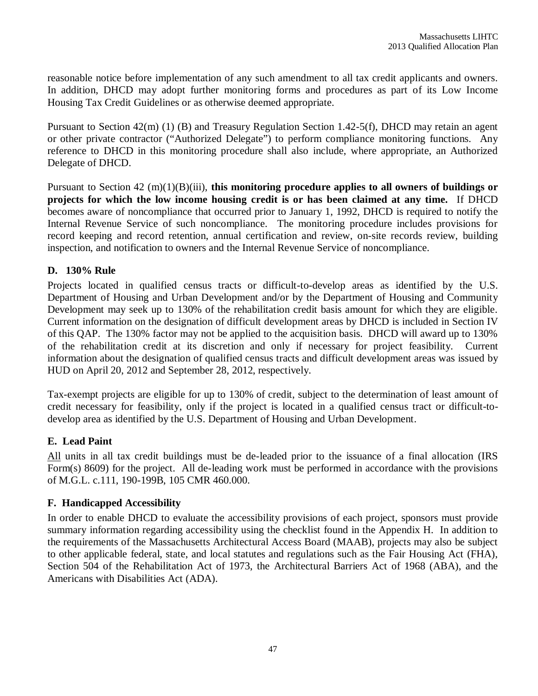reasonable notice before implementation of any such amendment to all tax credit applicants and owners. In addition, DHCD may adopt further monitoring forms and procedures as part of its Low Income Housing Tax Credit Guidelines or as otherwise deemed appropriate.

Pursuant to Section 42(m) (1) (B) and Treasury Regulation Section 1.42-5(f), DHCD may retain an agent or other private contractor ("Authorized Delegate") to perform compliance monitoring functions. Any reference to DHCD in this monitoring procedure shall also include, where appropriate, an Authorized Delegate of DHCD.

Pursuant to Section 42 (m)(1)(B)(iii), **this monitoring procedure applies to all owners of buildings or projects for which the low income housing credit is or has been claimed at any time.** If DHCD becomes aware of noncompliance that occurred prior to January 1, 1992, DHCD is required to notify the Internal Revenue Service of such noncompliance. The monitoring procedure includes provisions for record keeping and record retention, annual certification and review, on-site records review, building inspection, and notification to owners and the Internal Revenue Service of noncompliance.

# **D. 130% Rule**

Projects located in qualified census tracts or difficult-to-develop areas as identified by the U.S. Department of Housing and Urban Development and/or by the Department of Housing and Community Development may seek up to 130% of the rehabilitation credit basis amount for which they are eligible. Current information on the designation of difficult development areas by DHCD is included in Section IV of this QAP. The 130% factor may not be applied to the acquisition basis. DHCD will award up to 130% of the rehabilitation credit at its discretion and only if necessary for project feasibility. Current information about the designation of qualified census tracts and difficult development areas was issued by HUD on April 20, 2012 and September 28, 2012, respectively.

Tax-exempt projects are eligible for up to 130% of credit, subject to the determination of least amount of credit necessary for feasibility, only if the project is located in a qualified census tract or difficult-todevelop area as identified by the U.S. Department of Housing and Urban Development.

# **E. Lead Paint**

All units in all tax credit buildings must be de-leaded prior to the issuance of a final allocation (IRS Form(s) 8609) for the project. All de-leading work must be performed in accordance with the provisions of M.G.L. c.111, 190-199B, 105 CMR 460.000.

#### **F. Handicapped Accessibility**

In order to enable DHCD to evaluate the accessibility provisions of each project, sponsors must provide summary information regarding accessibility using the checklist found in the Appendix H. In addition to the requirements of the Massachusetts Architectural Access Board (MAAB), projects may also be subject to other applicable federal, state, and local statutes and regulations such as the Fair Housing Act (FHA), Section 504 of the Rehabilitation Act of 1973, the Architectural Barriers Act of 1968 (ABA), and the Americans with Disabilities Act (ADA).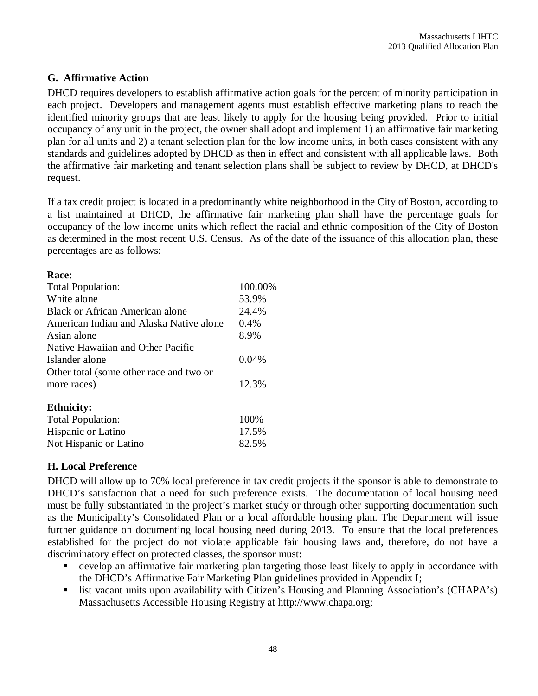# **G. Affirmative Action**

DHCD requires developers to establish affirmative action goals for the percent of minority participation in each project. Developers and management agents must establish effective marketing plans to reach the identified minority groups that are least likely to apply for the housing being provided. Prior to initial occupancy of any unit in the project, the owner shall adopt and implement 1) an affirmative fair marketing plan for all units and 2) a tenant selection plan for the low income units, in both cases consistent with any standards and guidelines adopted by DHCD as then in effect and consistent with all applicable laws. Both the affirmative fair marketing and tenant selection plans shall be subject to review by DHCD, at DHCD's request.

If a tax credit project is located in a predominantly white neighborhood in the City of Boston, according to a list maintained at DHCD, the affirmative fair marketing plan shall have the percentage goals for occupancy of the low income units which reflect the racial and ethnic composition of the City of Boston as determined in the most recent U.S. Census. As of the date of the issuance of this allocation plan, these percentages are as follows:

| <b>Race:</b>     |  |
|------------------|--|
| <b>Total Pop</b> |  |

| <b>Total Population:</b>                | 100.00% |
|-----------------------------------------|---------|
| White alone                             | 53.9%   |
| Black or African American alone         | 24.4%   |
| American Indian and Alaska Native alone | 0.4%    |
| Asian alone                             | 8.9%    |
| Native Hawaiian and Other Pacific       |         |
| Islander alone                          | 0.04%   |
| Other total (some other race and two or |         |
| more races)                             | 12.3%   |
| <b>Ethnicity:</b>                       |         |
| Total Population:                       | 100%    |
| Hispanic or Latino                      | 17.5%   |
| Not Hispanic or Latino                  | 82.5%   |

# **H. Local Preference**

DHCD will allow up to 70% local preference in tax credit projects if the sponsor is able to demonstrate to DHCD's satisfaction that a need for such preference exists. The documentation of local housing need must be fully substantiated in the project's market study or through other supporting documentation such as the Municipality's Consolidated Plan or a local affordable housing plan. The Department will issue further guidance on documenting local housing need during 2013. To ensure that the local preferences established for the project do not violate applicable fair housing laws and, therefore, do not have a discriminatory effect on protected classes, the sponsor must:

- develop an affirmative fair marketing plan targeting those least likely to apply in accordance with the DHCD's Affirmative Fair Marketing Plan guidelines provided in Appendix I;
- **Example 1** list vacant units upon availability with Citizen's Housing and Planning Association's (CHAPA's) Massachusetts Accessible Housing Registry at http://www.chapa.org;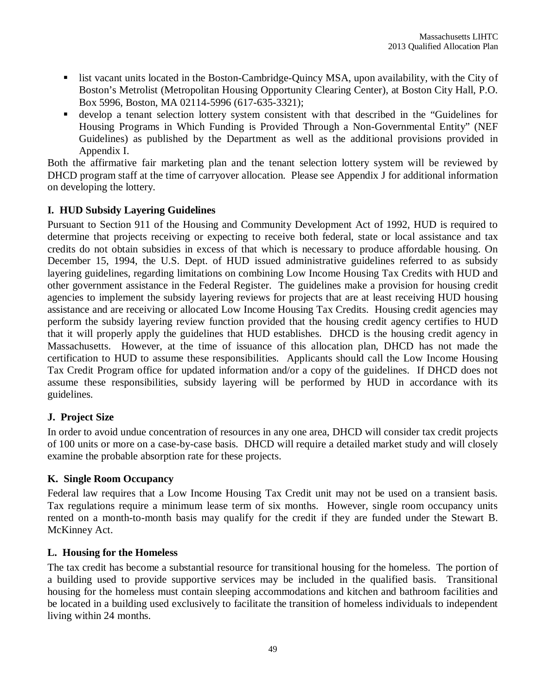- list vacant units located in the Boston-Cambridge-Quincy MSA, upon availability, with the City of Boston's Metrolist (Metropolitan Housing Opportunity Clearing Center), at Boston City Hall, P.O. Box 5996, Boston, MA 02114-5996 (617-635-3321);
- develop a tenant selection lottery system consistent with that described in the "Guidelines for Housing Programs in Which Funding is Provided Through a Non-Governmental Entity" (NEF Guidelines) as published by the Department as well as the additional provisions provided in Appendix I.

Both the affirmative fair marketing plan and the tenant selection lottery system will be reviewed by DHCD program staff at the time of carryover allocation. Please see Appendix J for additional information on developing the lottery.

# **I. HUD Subsidy Layering Guidelines**

Pursuant to Section 911 of the Housing and Community Development Act of 1992, HUD is required to determine that projects receiving or expecting to receive both federal, state or local assistance and tax credits do not obtain subsidies in excess of that which is necessary to produce affordable housing. On December 15, 1994, the U.S. Dept. of HUD issued administrative guidelines referred to as subsidy layering guidelines, regarding limitations on combining Low Income Housing Tax Credits with HUD and other government assistance in the Federal Register. The guidelines make a provision for housing credit agencies to implement the subsidy layering reviews for projects that are at least receiving HUD housing assistance and are receiving or allocated Low Income Housing Tax Credits. Housing credit agencies may perform the subsidy layering review function provided that the housing credit agency certifies to HUD that it will properly apply the guidelines that HUD establishes. DHCD is the housing credit agency in Massachusetts. However, at the time of issuance of this allocation plan, DHCD has not made the certification to HUD to assume these responsibilities. Applicants should call the Low Income Housing Tax Credit Program office for updated information and/or a copy of the guidelines. If DHCD does not assume these responsibilities, subsidy layering will be performed by HUD in accordance with its guidelines.

# **J. Project Size**

In order to avoid undue concentration of resources in any one area, DHCD will consider tax credit projects of 100 units or more on a case-by-case basis. DHCD will require a detailed market study and will closely examine the probable absorption rate for these projects.

# **K. Single Room Occupancy**

Federal law requires that a Low Income Housing Tax Credit unit may not be used on a transient basis. Tax regulations require a minimum lease term of six months. However, single room occupancy units rented on a month-to-month basis may qualify for the credit if they are funded under the Stewart B. McKinney Act.

# **L. Housing for the Homeless**

The tax credit has become a substantial resource for transitional housing for the homeless. The portion of a building used to provide supportive services may be included in the qualified basis. Transitional housing for the homeless must contain sleeping accommodations and kitchen and bathroom facilities and be located in a building used exclusively to facilitate the transition of homeless individuals to independent living within 24 months.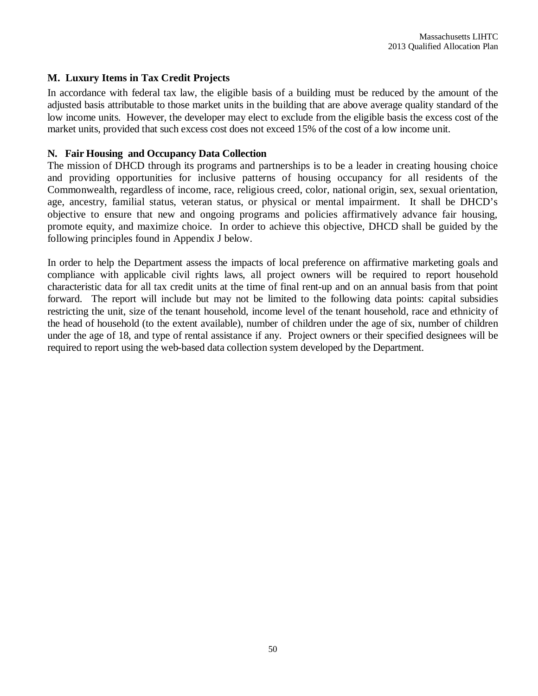#### **M. Luxury Items in Tax Credit Projects**

In accordance with federal tax law, the eligible basis of a building must be reduced by the amount of the adjusted basis attributable to those market units in the building that are above average quality standard of the low income units. However, the developer may elect to exclude from the eligible basis the excess cost of the market units, provided that such excess cost does not exceed 15% of the cost of a low income unit.

#### **N. Fair Housing and Occupancy Data Collection**

The mission of DHCD through its programs and partnerships is to be a leader in creating housing choice and providing opportunities for inclusive patterns of housing occupancy for all residents of the Commonwealth, regardless of income, race, religious creed, color, national origin, sex, sexual orientation, age, ancestry, familial status, veteran status, or physical or mental impairment. It shall be DHCD's objective to ensure that new and ongoing programs and policies affirmatively advance fair housing, promote equity, and maximize choice. In order to achieve this objective, DHCD shall be guided by the following principles found in Appendix J below.

In order to help the Department assess the impacts of local preference on affirmative marketing goals and compliance with applicable civil rights laws, all project owners will be required to report household characteristic data for all tax credit units at the time of final rent-up and on an annual basis from that point forward. The report will include but may not be limited to the following data points: capital subsidies restricting the unit, size of the tenant household, income level of the tenant household, race and ethnicity of the head of household (to the extent available), number of children under the age of six, number of children under the age of 18, and type of rental assistance if any. Project owners or their specified designees will be required to report using the web-based data collection system developed by the Department.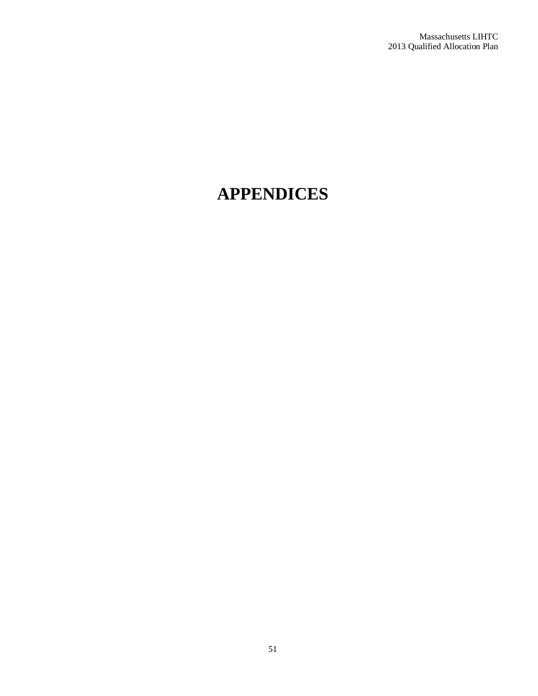# **APPENDICES**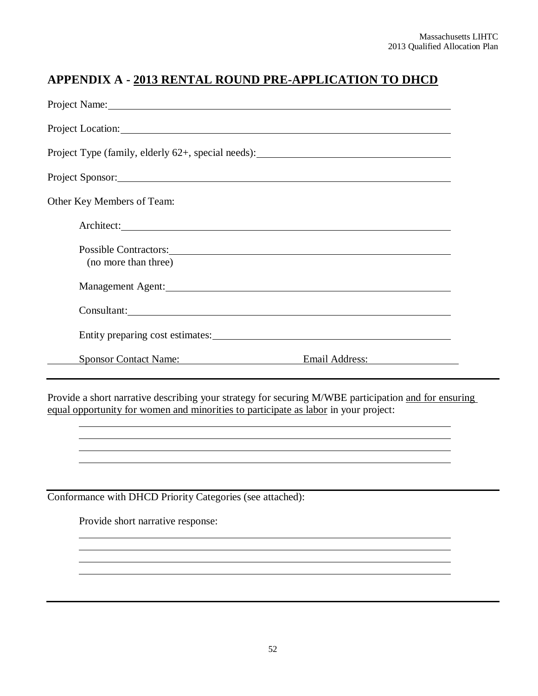# **APPENDIX A - 2013 RENTAL ROUND PRE-APPLICATION TO DHCD**

| Project Name: 1000 Manual Communication of the Manual Communication of the Manual Communication of the Manual Communication of the Manual Communication of the Manual Communication of the Manual Communication of the Manual                          |                                                                                                                                                                                                                                |
|--------------------------------------------------------------------------------------------------------------------------------------------------------------------------------------------------------------------------------------------------------|--------------------------------------------------------------------------------------------------------------------------------------------------------------------------------------------------------------------------------|
| Project Location:                                                                                                                                                                                                                                      |                                                                                                                                                                                                                                |
| Project Type (family, elderly 62+, special needs): ______________________________                                                                                                                                                                      |                                                                                                                                                                                                                                |
| Project Sponsor: 2000 and 2000 and 2000 and 2000 and 2000 and 2000 and 2000 and 2000 and 2000 and 2000 and 200                                                                                                                                         |                                                                                                                                                                                                                                |
| Other Key Members of Team:                                                                                                                                                                                                                             |                                                                                                                                                                                                                                |
| Architect:                                                                                                                                                                                                                                             |                                                                                                                                                                                                                                |
| Possible Contractors: 2000 and 2000 and 2000 and 2000 and 2000 and 2000 and 2000 and 2000 and 2000 and 2000 and 2000 and 2000 and 2000 and 2000 and 2000 and 2000 and 2000 and 2000 and 2000 and 2000 and 2000 and 2000 and 20<br>(no more than three) |                                                                                                                                                                                                                                |
| Management Agent: 1997 and 1997 and 1997 and 1997 and 1997 and 1997 and 1997 and 1997 and 1997 and 1997 and 19                                                                                                                                         |                                                                                                                                                                                                                                |
| Consultant: Consultant Consultant Consultant Consultant Consultant Consultant Consultant Consultant Consultant                                                                                                                                         |                                                                                                                                                                                                                                |
|                                                                                                                                                                                                                                                        | Entity preparing cost estimates: No. 1996. The set of the set of the set of the set of the set of the set of the set of the set of the set of the set of the set of the set of the set of the set of the set of the set of the |
| <b>Sponsor Contact Name:</b>                                                                                                                                                                                                                           | Email Address:                                                                                                                                                                                                                 |

Provide a short narrative describing your strategy for securing M/WBE participation and for ensuring equal opportunity for women and minorities to participate as labor in your project:

Conformance with DHCD Priority Categories (see attached):

Provide short narrative response: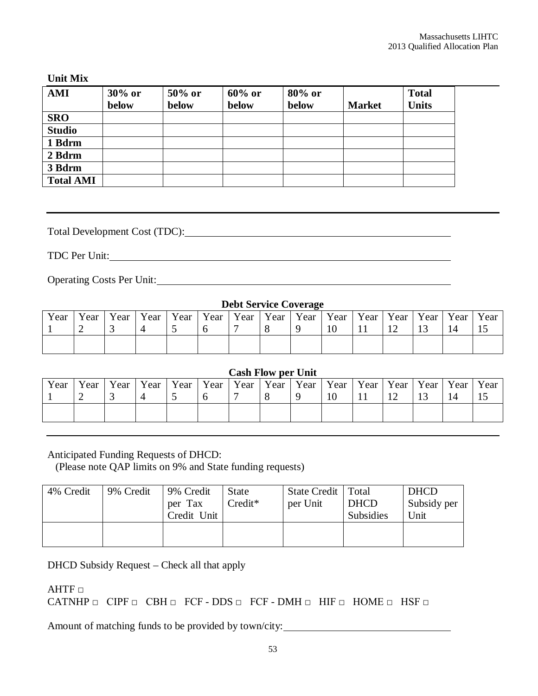#### **Unit Mix**

| <b>AMI</b>       | $30\%$ or<br>below | 50% or<br>below | $60\%$ or<br>below | 80% or<br>below | <b>Market</b> | <b>Total</b><br><b>Units</b> |
|------------------|--------------------|-----------------|--------------------|-----------------|---------------|------------------------------|
| <b>SRO</b>       |                    |                 |                    |                 |               |                              |
| <b>Studio</b>    |                    |                 |                    |                 |               |                              |
| 1 Bdrm           |                    |                 |                    |                 |               |                              |
| 2 Bdrm           |                    |                 |                    |                 |               |                              |
| 3 Bdrm           |                    |                 |                    |                 |               |                              |
| <b>Total AMI</b> |                    |                 |                    |                 |               |                              |

Total Development Cost (TDC):

TDC Per Unit:

Operating Costs Per Unit:

#### **Debt Service Coverage** Year 1 Year 2 Year 3 Year 4 Year 5 Year 6 Year 7 Year 8 Year 9 Year 10 Year 11 Year 12 Year 13 Year 14 Year 15

#### **Cash Flow per Unit**

| Year | Year | Year | Year   Year   Year | Year Year | $\vert$ Year $\vert$ | Year   Year   Year   Year   Year |                  |  | Year |
|------|------|------|--------------------|-----------|----------------------|----------------------------------|------------------|--|------|
|      |      |      |                    |           |                      | 10                               | $1^{\circ}$<br>┸ |  |      |
|      |      |      |                    |           |                      |                                  |                  |  |      |

Anticipated Funding Requests of DHCD:

(Please note QAP limits on 9% and State funding requests)

| 4% Credit | 9% Credit | 9% Credit<br>per Tax<br>Credit Unit | <b>State</b><br>$Credit*$ | State Credit   Total<br>per Unit | <b>DHCD</b><br><b>Subsidies</b> | <b>DHCD</b><br>Subsidy per<br>Unit |
|-----------|-----------|-------------------------------------|---------------------------|----------------------------------|---------------------------------|------------------------------------|
|           |           |                                     |                           |                                  |                                 |                                    |

DHCD Subsidy Request – Check all that apply

 $\mathsf{AHTF}\ \Box$ 

CATNHP  $\Box$  CIPF  $\Box$  CBH  $\Box$  FCF - DDS  $\Box$  FCF - DMH  $\Box$  HIF  $\Box$  HOME  $\Box$  HSF  $\Box$ 

Amount of matching funds to be provided by town/city: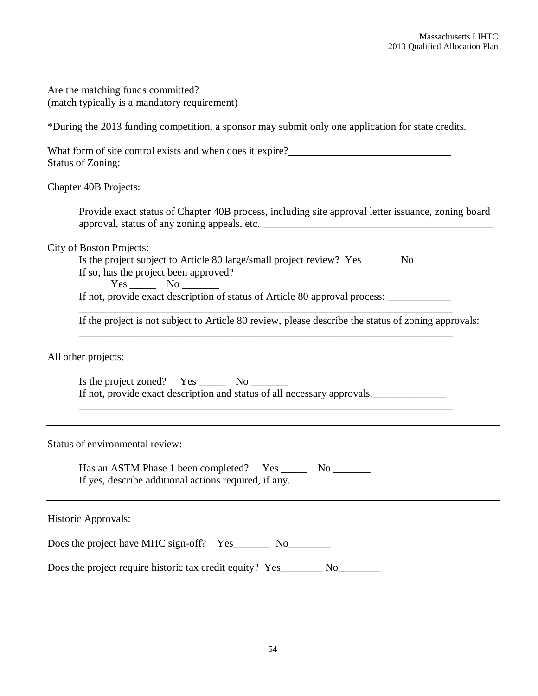| Are the matching funds committed?<br>(match typically is a mandatory requirement)                                                                                                                                                                                                                                                                                         |  |  |  |  |
|---------------------------------------------------------------------------------------------------------------------------------------------------------------------------------------------------------------------------------------------------------------------------------------------------------------------------------------------------------------------------|--|--|--|--|
| *During the 2013 funding competition, a sponsor may submit only one application for state credits.                                                                                                                                                                                                                                                                        |  |  |  |  |
| What form of site control exists and when does it expire?<br><u>Letting</u><br><b>Status of Zoning:</b>                                                                                                                                                                                                                                                                   |  |  |  |  |
| Chapter 40B Projects:                                                                                                                                                                                                                                                                                                                                                     |  |  |  |  |
| Provide exact status of Chapter 40B process, including site approval letter issuance, zoning board                                                                                                                                                                                                                                                                        |  |  |  |  |
| <b>City of Boston Projects:</b><br>Is the project subject to Article 80 large/small project review? Yes ________ No ________<br>If so, has the project been approved?<br>If not, provide exact description of status of Article 80 approval process: _____________<br>If the project is not subject to Article 80 review, please describe the status of zoning approvals: |  |  |  |  |
| All other projects:                                                                                                                                                                                                                                                                                                                                                       |  |  |  |  |
| Is the project zoned? $Yes \_\_\_\_$ No $\_\_\_\_\_$<br>If not, provide exact description and status of all necessary approvals.<br>,我们也不能在这里的人,我们也不能在这里的人,我们也不能在这里的人,我们也不能在这里的人,我们也不能在这里的人,我们也不能在这里的人,我们也不能在这里的人,我们也                                                                                                                                                     |  |  |  |  |
| Status of environmental review:                                                                                                                                                                                                                                                                                                                                           |  |  |  |  |
| Has an ASTM Phase 1 been completed?<br>Yes<br>No<br>If yes, describe additional actions required, if any.                                                                                                                                                                                                                                                                 |  |  |  |  |
| Historic Approvals:                                                                                                                                                                                                                                                                                                                                                       |  |  |  |  |
| Does the project have MHC sign-off? Yes________ No_________                                                                                                                                                                                                                                                                                                               |  |  |  |  |
| Does the project require historic tax credit equity? Yes_________ No___                                                                                                                                                                                                                                                                                                   |  |  |  |  |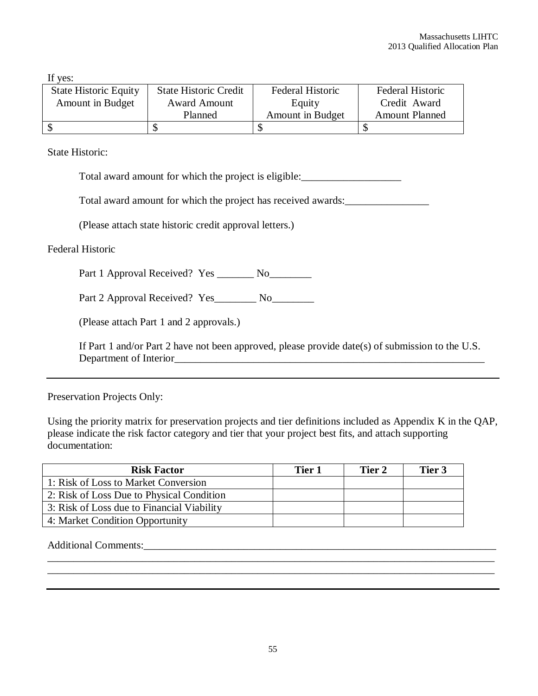If yes:

| <b>State Historic Equity</b> | <b>State Historic Credit</b> | Federal Historic | Federal Historic      |
|------------------------------|------------------------------|------------------|-----------------------|
| Amount in Budget             | <b>Award Amount</b>          | Equity           | Credit Award          |
|                              | Planned                      | Amount in Budget | <b>Amount Planned</b> |
|                              |                              |                  |                       |

State Historic:

Total award amount for which the project is eligible:\_\_\_\_\_\_\_\_\_\_\_\_\_\_\_\_\_\_\_

Total award amount for which the project has received awards:\_\_\_\_\_\_\_\_\_\_\_\_\_\_\_\_\_\_\_

(Please attach state historic credit approval letters.)

Federal Historic

Part 1 Approval Received? Yes \_\_\_\_\_\_\_ No\_\_\_\_\_\_\_\_

Part 2 Approval Received? Yes\_\_\_\_\_\_\_\_ No\_\_\_\_\_\_\_\_\_

(Please attach Part 1 and 2 approvals.)

If Part 1 and/or Part 2 have not been approved, please provide date(s) of submission to the U.S. Department of Interior

Preservation Projects Only:

Using the priority matrix for preservation projects and tier definitions included as Appendix K in the QAP, please indicate the risk factor category and tier that your project best fits, and attach supporting documentation:

| <b>Risk Factor</b>                         | Tier 1 | Tier 2 | Tier 3 |
|--------------------------------------------|--------|--------|--------|
| 1: Risk of Loss to Market Conversion       |        |        |        |
| 2: Risk of Loss Due to Physical Condition  |        |        |        |
| 3: Risk of Loss due to Financial Viability |        |        |        |
| 4: Market Condition Opportunity            |        |        |        |
|                                            |        |        |        |

Additional Comments:\_\_\_\_\_\_\_\_\_\_\_\_\_\_\_\_\_\_\_\_\_\_\_\_\_\_\_\_\_\_\_\_\_\_\_\_\_\_\_\_\_\_\_\_\_\_\_\_\_\_\_\_\_\_\_\_\_\_\_\_\_\_\_\_\_\_\_

\_\_\_\_\_\_\_\_\_\_\_\_\_\_\_\_\_\_\_\_\_\_\_\_\_\_\_\_\_\_\_\_\_\_\_\_\_\_\_\_\_\_\_\_\_\_\_\_\_\_\_\_\_\_\_\_\_\_\_\_\_\_\_\_\_\_\_\_\_\_\_\_\_\_\_\_\_\_\_\_\_\_\_\_\_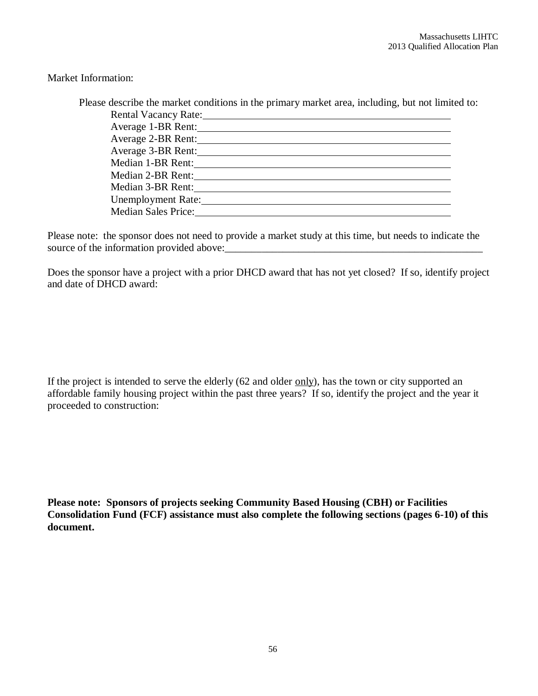Market Information:

| Please describe the market conditions in the primary market area, including, but not limited to:                                                                                                                               |  |
|--------------------------------------------------------------------------------------------------------------------------------------------------------------------------------------------------------------------------------|--|
| Rental Vacancy Rate: 1988 and 1988 and 1988 and 1988 and 1988 and 1988 and 1988 and 1988 and 1988 and 1988 and 1988 and 1988 and 1988 and 1988 and 1988 and 1988 and 1988 and 1988 and 1988 and 1988 and 1988 and 1988 and 198 |  |
| Average 1-BR Rent:                                                                                                                                                                                                             |  |
| Average 2-BR Rent:                                                                                                                                                                                                             |  |
| Average 3-BR Rent:                                                                                                                                                                                                             |  |
| Median 1-BR Rent:                                                                                                                                                                                                              |  |
| Median 2-BR Rent:                                                                                                                                                                                                              |  |
| Median 3-BR Rent:                                                                                                                                                                                                              |  |
| Unemployment Rate:                                                                                                                                                                                                             |  |
| <b>Median Sales Price:</b>                                                                                                                                                                                                     |  |
|                                                                                                                                                                                                                                |  |

Please note: the sponsor does not need to provide a market study at this time, but needs to indicate the source of the information provided above:

Does the sponsor have a project with a prior DHCD award that has not yet closed? If so, identify project and date of DHCD award:

If the project is intended to serve the elderly  $(62 \text{ and older only})$ , has the town or city supported an affordable family housing project within the past three years? If so, identify the project and the year it proceeded to construction:

**Please note: Sponsors of projects seeking Community Based Housing (CBH) or Facilities Consolidation Fund (FCF) assistance must also complete the following sections (pages 6-10) of this document.**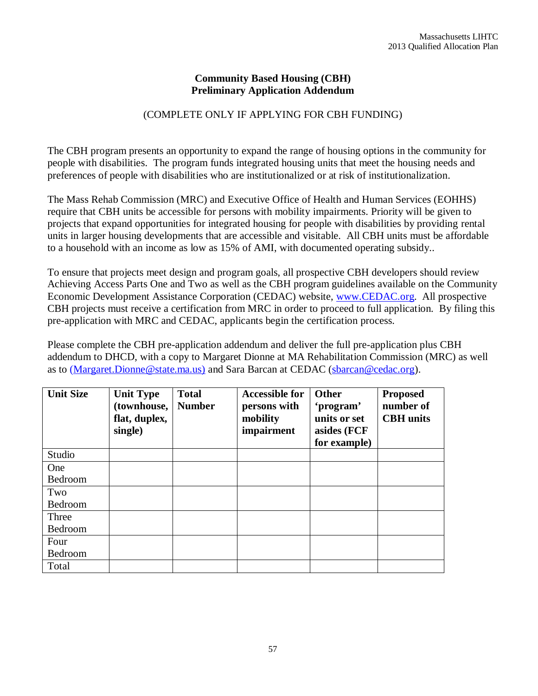#### **Community Based Housing (CBH) Preliminary Application Addendum**

# (COMPLETE ONLY IF APPLYING FOR CBH FUNDING)

The CBH program presents an opportunity to expand the range of housing options in the community for people with disabilities. The program funds integrated housing units that meet the housing needs and preferences of people with disabilities who are institutionalized or at risk of institutionalization.

The Mass Rehab Commission (MRC) and Executive Office of Health and Human Services (EOHHS) require that CBH units be accessible for persons with mobility impairments. Priority will be given to projects that expand opportunities for integrated housing for people with disabilities by providing rental units in larger housing developments that are accessible and visitable. All CBH units must be affordable to a household with an income as low as 15% of AMI, with documented operating subsidy..

To ensure that projects meet design and program goals, all prospective CBH developers should review Achieving Access Parts One and Two as well as the CBH program guidelines available on the Community Economic Development Assistance Corporation (CEDAC) website, www.CEDAC.org. All prospective CBH projects must receive a certification from MRC in order to proceed to full application. By filing this pre-application with MRC and CEDAC, applicants begin the certification process.

Please complete the CBH pre-application addendum and deliver the full pre-application plus CBH addendum to DHCD, with a copy to Margaret Dionne at MA Rehabilitation Commission (MRC) as well as to (Margaret.Dionne@state.ma.us) and Sara Barcan at CEDAC (sbarcan@cedac.org).

| <b>Unit Size</b> | <b>Unit Type</b><br>(townhouse,<br>flat, duplex,<br>single) | <b>Total</b><br><b>Number</b> | <b>Accessible for</b><br>persons with<br>mobility<br>impairment | Other<br>'program'<br>units or set<br>asides (FCF<br>for example) | <b>Proposed</b><br>number of<br><b>CBH</b> units |
|------------------|-------------------------------------------------------------|-------------------------------|-----------------------------------------------------------------|-------------------------------------------------------------------|--------------------------------------------------|
| Studio           |                                                             |                               |                                                                 |                                                                   |                                                  |
| One              |                                                             |                               |                                                                 |                                                                   |                                                  |
| Bedroom          |                                                             |                               |                                                                 |                                                                   |                                                  |
| Two              |                                                             |                               |                                                                 |                                                                   |                                                  |
| Bedroom          |                                                             |                               |                                                                 |                                                                   |                                                  |
| Three            |                                                             |                               |                                                                 |                                                                   |                                                  |
| Bedroom          |                                                             |                               |                                                                 |                                                                   |                                                  |
| Four<br>Bedroom  |                                                             |                               |                                                                 |                                                                   |                                                  |
| Total            |                                                             |                               |                                                                 |                                                                   |                                                  |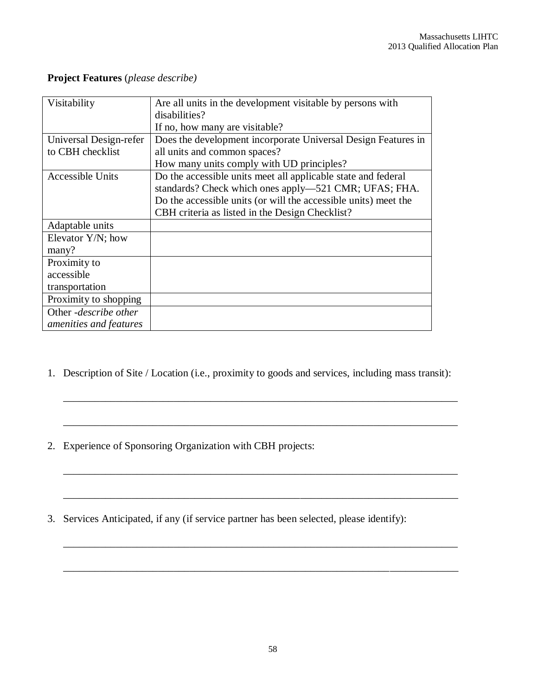| Visitability                  | Are all units in the development visitable by persons with      |
|-------------------------------|-----------------------------------------------------------------|
|                               | disabilities?                                                   |
|                               | If no, how many are visitable?                                  |
| Universal Design-refer        | Does the development incorporate Universal Design Features in   |
| to CBH checklist              | all units and common spaces?                                    |
|                               | How many units comply with UD principles?                       |
| <b>Accessible Units</b>       | Do the accessible units meet all applicable state and federal   |
|                               | standards? Check which ones apply—521 CMR; UFAS; FHA.           |
|                               | Do the accessible units (or will the accessible units) meet the |
|                               | CBH criteria as listed in the Design Checklist?                 |
| Adaptable units               |                                                                 |
| Elevator $Y/N$ ; how          |                                                                 |
| many?                         |                                                                 |
| Proximity to                  |                                                                 |
| accessible                    |                                                                 |
| transportation                |                                                                 |
| Proximity to shopping         |                                                                 |
| Other - <i>describe other</i> |                                                                 |
| amenities and features        |                                                                 |

# **Project Features** (*please describe)*

1. Description of Site / Location (i.e., proximity to goods and services, including mass transit):

\_\_\_\_\_\_\_\_\_\_\_\_\_\_\_\_\_\_\_\_\_\_\_\_\_\_\_\_\_\_\_\_\_\_\_\_\_\_\_\_\_\_\_\_\_\_\_\_\_\_\_\_\_\_\_\_\_\_\_\_\_\_\_\_\_\_\_\_\_\_\_\_\_\_\_

\_\_\_\_\_\_\_\_\_\_\_\_\_\_\_\_\_\_\_\_\_\_\_\_\_\_\_\_\_\_\_\_\_\_\_\_\_\_\_\_\_\_\_\_\_\_\_\_\_\_\_\_\_\_\_\_\_\_\_\_\_\_\_\_\_\_\_\_\_\_\_\_\_\_\_

\_\_\_\_\_\_\_\_\_\_\_\_\_\_\_\_\_\_\_\_\_\_\_\_\_\_\_\_\_\_\_\_\_\_\_\_\_\_\_\_\_\_\_\_\_\_\_\_\_\_\_\_\_\_\_\_\_\_\_\_\_\_\_\_\_\_\_\_\_\_\_\_\_\_\_

\_\_\_\_\_\_\_\_\_\_\_\_\_\_\_\_\_\_\_\_\_\_\_\_\_\_\_\_\_\_\_\_\_\_\_\_\_\_\_\_\_\_\_\_\_\_\_\_\_\_\_\_\_\_\_\_\_\_\_\_\_\_\_\_\_\_\_\_\_\_\_\_\_\_\_

- 2. Experience of Sponsoring Organization with CBH projects:
- 3. Services Anticipated, if any (if service partner has been selected, please identify):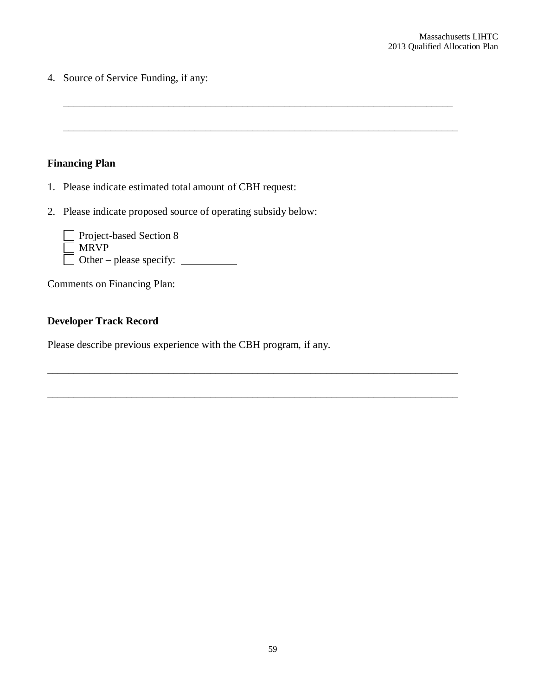4. Source of Service Funding, if any:

# **Financing Plan**

- 1. Please indicate estimated total amount of CBH request:
- 2. Please indicate proposed source of operating subsidy below:

\_\_\_\_\_\_\_\_\_\_\_\_\_\_\_\_\_\_\_\_\_\_\_\_\_\_\_\_\_\_\_\_\_\_\_\_\_\_\_\_\_\_\_\_\_\_\_\_\_\_\_\_\_\_\_\_\_\_\_\_\_\_\_\_\_\_\_\_\_\_\_\_\_\_

\_\_\_\_\_\_\_\_\_\_\_\_\_\_\_\_\_\_\_\_\_\_\_\_\_\_\_\_\_\_\_\_\_\_\_\_\_\_\_\_\_\_\_\_\_\_\_\_\_\_\_\_\_\_\_\_\_\_\_\_\_\_\_\_\_\_\_\_\_\_\_\_\_\_\_

\_\_\_\_\_\_\_\_\_\_\_\_\_\_\_\_\_\_\_\_\_\_\_\_\_\_\_\_\_\_\_\_\_\_\_\_\_\_\_\_\_\_\_\_\_\_\_\_\_\_\_\_\_\_\_\_\_\_\_\_\_\_\_\_\_\_\_\_\_\_\_\_\_\_\_\_\_\_

\_\_\_\_\_\_\_\_\_\_\_\_\_\_\_\_\_\_\_\_\_\_\_\_\_\_\_\_\_\_\_\_\_\_\_\_\_\_\_\_\_\_\_\_\_\_\_\_\_\_\_\_\_\_\_\_\_\_\_\_\_\_\_\_\_\_\_\_\_\_\_\_\_\_\_\_\_\_

| Project-based Section 8        |  |
|--------------------------------|--|
| $\Box$ MRVP                    |  |
| $\Box$ Other – please specify: |  |

Comments on Financing Plan:

# **Developer Track Record**

Please describe previous experience with the CBH program, if any.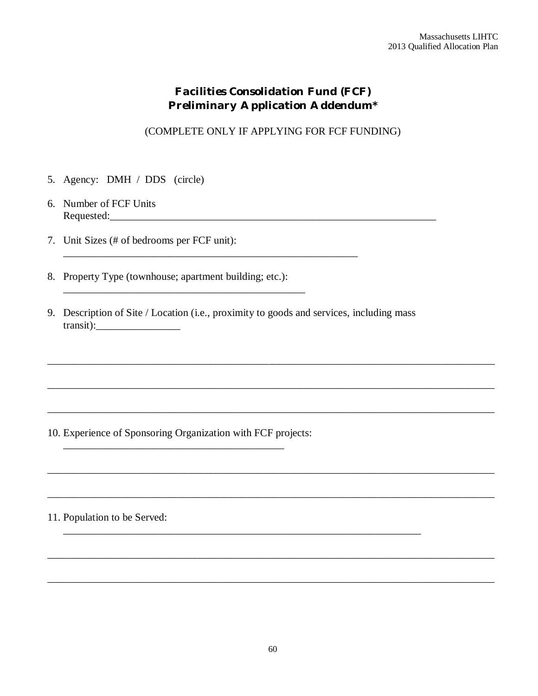# *Facilities Consolidation Fund (FCF) Preliminary Application Addendum\**

(COMPLETE ONLY IF APPLYING FOR FCF FUNDING)

- 5. Agency: DMH / DDS (circle)
- 6. Number of FCF Units Requested:\_\_\_\_\_\_\_\_\_\_\_\_\_\_\_\_\_\_\_\_\_\_\_\_\_\_\_\_\_\_\_\_\_\_\_\_\_\_\_\_\_\_\_\_\_\_\_\_\_\_\_\_\_\_\_\_\_\_\_\_\_\_
- 7. Unit Sizes (# of bedrooms per FCF unit):
- 8. Property Type (townhouse; apartment building; etc.):

\_\_\_\_\_\_\_\_\_\_\_\_\_\_\_\_\_\_\_\_\_\_\_\_\_\_\_\_\_\_\_\_\_\_\_\_\_\_\_\_\_\_\_\_\_\_

9. Description of Site / Location (i.e., proximity to goods and services, including mass transit):\_\_\_\_\_\_\_\_\_\_\_\_\_\_\_\_

\_\_\_\_\_\_\_\_\_\_\_\_\_\_\_\_\_\_\_\_\_\_\_\_\_\_\_\_\_\_\_\_\_\_\_\_\_\_\_\_\_\_\_\_\_\_\_\_\_\_\_\_\_\_\_\_\_\_\_\_\_\_\_\_\_\_\_\_\_\_\_\_\_\_\_\_\_\_\_\_\_\_\_\_\_

\_\_\_\_\_\_\_\_\_\_\_\_\_\_\_\_\_\_\_\_\_\_\_\_\_\_\_\_\_\_\_\_\_\_\_\_\_\_\_\_\_\_\_\_\_\_\_\_\_\_\_\_\_\_\_\_\_\_\_\_\_\_\_\_\_\_\_\_\_\_\_\_\_\_\_\_\_\_\_\_\_\_\_\_\_

\_\_\_\_\_\_\_\_\_\_\_\_\_\_\_\_\_\_\_\_\_\_\_\_\_\_\_\_\_\_\_\_\_\_\_\_\_\_\_\_\_\_\_\_\_\_\_\_\_\_\_\_\_\_\_\_\_\_\_\_\_\_\_\_\_\_\_\_\_\_\_\_\_\_\_\_\_\_\_\_\_\_\_\_\_

\_\_\_\_\_\_\_\_\_\_\_\_\_\_\_\_\_\_\_\_\_\_\_\_\_\_\_\_\_\_\_\_\_\_\_\_\_\_\_\_\_\_\_\_\_\_\_\_\_\_\_\_\_\_\_\_\_\_\_\_\_\_\_\_\_\_\_\_\_\_\_\_\_\_\_\_\_\_\_\_\_\_\_\_\_

\_\_\_\_\_\_\_\_\_\_\_\_\_\_\_\_\_\_\_\_\_\_\_\_\_\_\_\_\_\_\_\_\_\_\_\_\_\_\_\_\_\_\_\_\_\_\_\_\_\_\_\_\_\_\_\_\_\_\_\_\_\_\_\_\_\_\_\_\_\_\_\_\_\_\_\_\_\_\_\_\_\_\_\_\_

\_\_\_\_\_\_\_\_\_\_\_\_\_\_\_\_\_\_\_\_\_\_\_\_\_\_\_\_\_\_\_\_\_\_\_\_\_\_\_\_\_\_\_\_\_\_\_\_\_\_\_\_\_\_\_\_\_\_\_\_\_\_\_\_\_\_\_\_\_\_\_\_\_\_\_\_\_\_\_\_\_\_\_\_\_

\_\_\_\_\_\_\_\_\_\_\_\_\_\_\_\_\_\_\_\_\_\_\_\_\_\_\_\_\_\_\_\_\_\_\_\_\_\_\_\_\_\_\_\_\_\_\_\_\_\_\_\_\_\_\_\_\_\_\_\_\_\_\_\_\_\_\_\_\_\_\_\_\_\_\_\_\_\_\_\_\_\_\_\_\_

\_\_\_\_\_\_\_\_\_\_\_\_\_\_\_\_\_\_\_\_\_\_\_\_\_\_\_\_\_\_\_\_\_\_\_\_\_\_\_\_\_\_\_\_\_\_\_\_\_\_\_\_\_\_\_\_\_\_\_\_\_\_\_\_\_\_\_\_

\_\_\_\_\_\_\_\_\_\_\_\_\_\_\_\_\_\_\_\_\_\_\_\_\_\_\_\_\_\_\_\_\_\_\_\_\_\_\_\_\_\_\_\_\_\_\_\_\_\_\_\_\_\_\_\_

10. Experience of Sponsoring Organization with FCF projects:

\_\_\_\_\_\_\_\_\_\_\_\_\_\_\_\_\_\_\_\_\_\_\_\_\_\_\_\_\_\_\_\_\_\_\_\_\_\_\_\_\_\_

11. Population to be Served: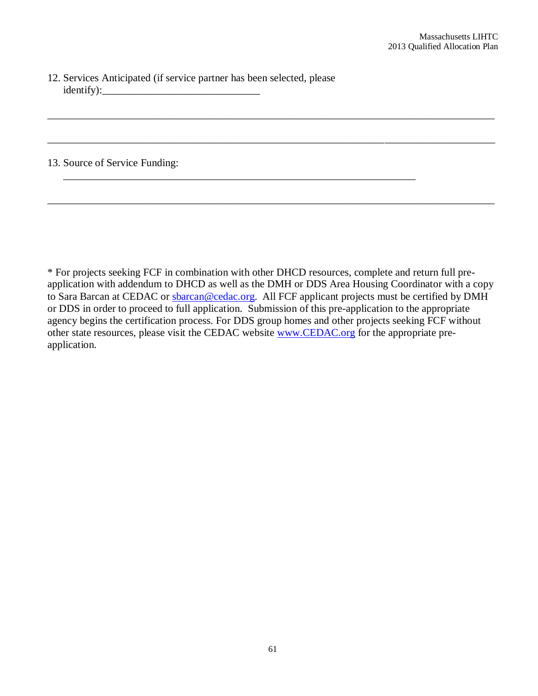12. Services Anticipated (if service partner has been selected, please  $identity):$ 

#### 13. Source of Service Funding:

\* For projects seeking FCF in combination with other DHCD resources, complete and return full preapplication with addendum to DHCD as well as the DMH or DDS Area Housing Coordinator with a copy to Sara Barcan at CEDAC or sbarcan@cedac.org. All FCF applicant projects must be certified by DMH or DDS in order to proceed to full application. Submission of this pre-application to the appropriate agency begins the certification process. For DDS group homes and other projects seeking FCF without other state resources, please visit the CEDAC website www.CEDAC.org for the appropriate preapplication.

\_\_\_\_\_\_\_\_\_\_\_\_\_\_\_\_\_\_\_\_\_\_\_\_\_\_\_\_\_\_\_\_\_\_\_\_\_\_\_\_\_\_\_\_\_\_\_\_\_\_\_\_\_\_\_\_\_\_\_\_\_\_\_\_\_\_\_\_\_\_\_\_\_\_\_\_\_\_\_\_\_\_\_\_\_

\_\_\_\_\_\_\_\_\_\_\_\_\_\_\_\_\_\_\_\_\_\_\_\_\_\_\_\_\_\_\_\_\_\_\_\_\_\_\_\_\_\_\_\_\_\_\_\_\_\_\_\_\_\_\_\_\_\_\_\_\_\_\_\_\_\_\_\_\_\_\_\_\_\_\_\_\_\_\_\_\_\_\_\_\_

\_\_\_\_\_\_\_\_\_\_\_\_\_\_\_\_\_\_\_\_\_\_\_\_\_\_\_\_\_\_\_\_\_\_\_\_\_\_\_\_\_\_\_\_\_\_\_\_\_\_\_\_\_\_\_\_\_\_\_\_\_\_\_\_\_\_\_\_\_\_\_\_\_\_\_\_\_\_\_\_\_\_\_\_\_

\_\_\_\_\_\_\_\_\_\_\_\_\_\_\_\_\_\_\_\_\_\_\_\_\_\_\_\_\_\_\_\_\_\_\_\_\_\_\_\_\_\_\_\_\_\_\_\_\_\_\_\_\_\_\_\_\_\_\_\_\_\_\_\_\_\_\_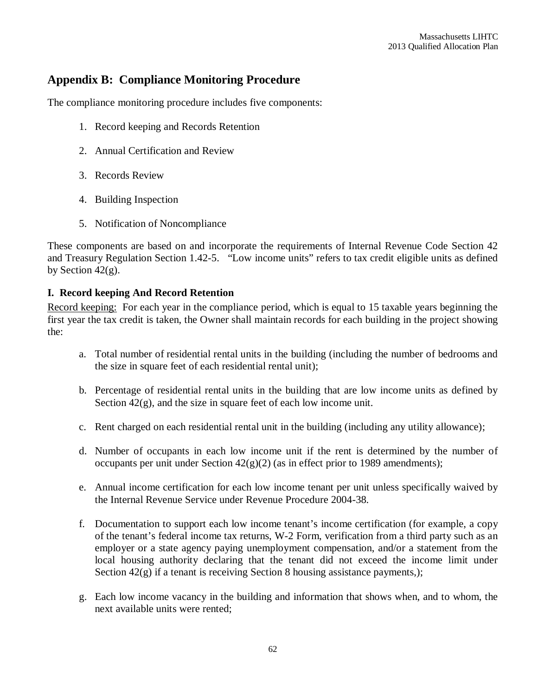# **Appendix B: Compliance Monitoring Procedure**

The compliance monitoring procedure includes five components:

- 1. Record keeping and Records Retention
- 2. Annual Certification and Review
- 3. Records Review
- 4. Building Inspection
- 5. Notification of Noncompliance

These components are based on and incorporate the requirements of Internal Revenue Code Section 42 and Treasury Regulation Section 1.42-5. "Low income units" refers to tax credit eligible units as defined by Section  $42(g)$ .

#### **I. Record keeping And Record Retention**

Record keeping: For each year in the compliance period, which is equal to 15 taxable years beginning the first year the tax credit is taken, the Owner shall maintain records for each building in the project showing the:

- a. Total number of residential rental units in the building (including the number of bedrooms and the size in square feet of each residential rental unit);
- b. Percentage of residential rental units in the building that are low income units as defined by Section  $42(g)$ , and the size in square feet of each low income unit.
- c. Rent charged on each residential rental unit in the building (including any utility allowance);
- d. Number of occupants in each low income unit if the rent is determined by the number of occupants per unit under Section  $42(g)(2)$  (as in effect prior to 1989 amendments);
- e. Annual income certification for each low income tenant per unit unless specifically waived by the Internal Revenue Service under Revenue Procedure 2004-38.
- f. Documentation to support each low income tenant's income certification (for example, a copy of the tenant's federal income tax returns, W-2 Form, verification from a third party such as an employer or a state agency paying unemployment compensation, and/or a statement from the local housing authority declaring that the tenant did not exceed the income limit under Section  $42(g)$  if a tenant is receiving Section 8 housing assistance payments,);
- g. Each low income vacancy in the building and information that shows when, and to whom, the next available units were rented;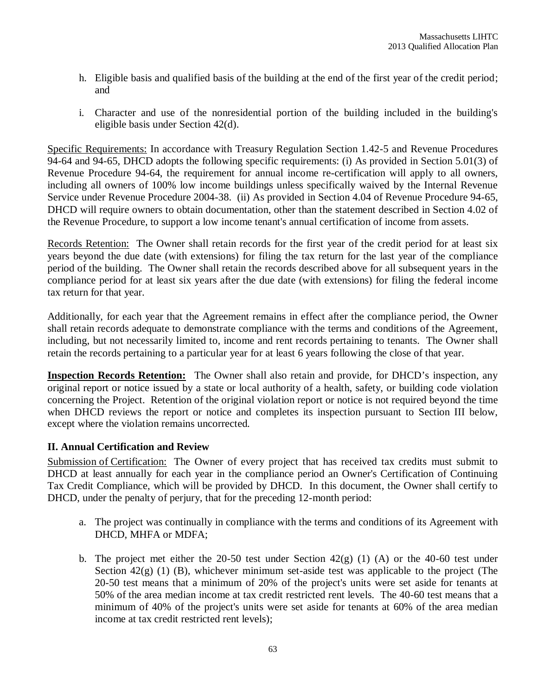- h. Eligible basis and qualified basis of the building at the end of the first year of the credit period; and
- i. Character and use of the nonresidential portion of the building included in the building's eligible basis under Section 42(d).

Specific Requirements: In accordance with Treasury Regulation Section 1.42-5 and Revenue Procedures 94-64 and 94-65, DHCD adopts the following specific requirements: (i) As provided in Section 5.01(3) of Revenue Procedure 94-64, the requirement for annual income re-certification will apply to all owners, including all owners of 100% low income buildings unless specifically waived by the Internal Revenue Service under Revenue Procedure 2004-38. (ii) As provided in Section 4.04 of Revenue Procedure 94-65, DHCD will require owners to obtain documentation, other than the statement described in Section 4.02 of the Revenue Procedure, to support a low income tenant's annual certification of income from assets.

Records Retention: The Owner shall retain records for the first year of the credit period for at least six years beyond the due date (with extensions) for filing the tax return for the last year of the compliance period of the building. The Owner shall retain the records described above for all subsequent years in the compliance period for at least six years after the due date (with extensions) for filing the federal income tax return for that year.

Additionally, for each year that the Agreement remains in effect after the compliance period, the Owner shall retain records adequate to demonstrate compliance with the terms and conditions of the Agreement, including, but not necessarily limited to, income and rent records pertaining to tenants. The Owner shall retain the records pertaining to a particular year for at least 6 years following the close of that year.

**Inspection Records Retention:** The Owner shall also retain and provide, for DHCD's inspection, any original report or notice issued by a state or local authority of a health, safety, or building code violation concerning the Project. Retention of the original violation report or notice is not required beyond the time when DHCD reviews the report or notice and completes its inspection pursuant to Section III below, except where the violation remains uncorrected*.*

# **II. Annual Certification and Review**

Submission of Certification: The Owner of every project that has received tax credits must submit to DHCD at least annually for each year in the compliance period an Owner's Certification of Continuing Tax Credit Compliance, which will be provided by DHCD. In this document, the Owner shall certify to DHCD, under the penalty of perjury, that for the preceding 12-month period:

- a. The project was continually in compliance with the terms and conditions of its Agreement with DHCD, MHFA or MDFA;
- b. The project met either the 20-50 test under Section  $42(g)$  (1) (A) or the 40-60 test under Section  $42(g)$  (1) (B), whichever minimum set-aside test was applicable to the project (The 20-50 test means that a minimum of 20% of the project's units were set aside for tenants at 50% of the area median income at tax credit restricted rent levels. The 40-60 test means that a minimum of 40% of the project's units were set aside for tenants at 60% of the area median income at tax credit restricted rent levels);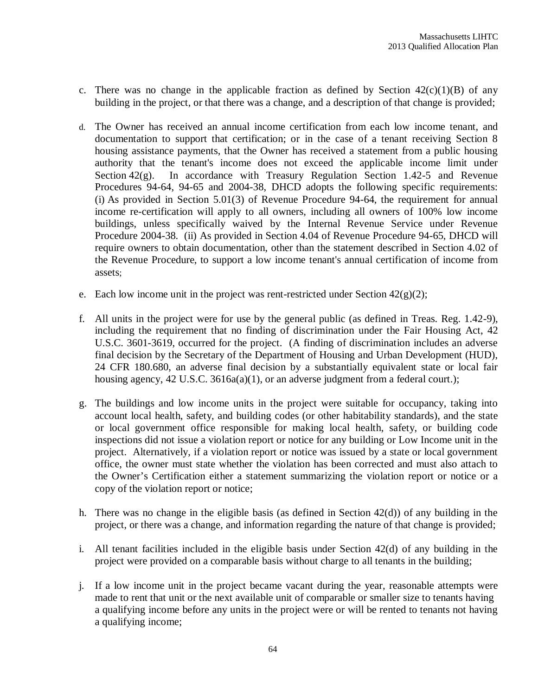- c. There was no change in the applicable fraction as defined by Section  $42(c)(1)(B)$  of any building in the project, or that there was a change, and a description of that change is provided;
- d. The Owner has received an annual income certification from each low income tenant, and documentation to support that certification; or in the case of a tenant receiving Section 8 housing assistance payments, that the Owner has received a statement from a public housing authority that the tenant's income does not exceed the applicable income limit under Section 42(g). In accordance with Treasury Regulation Section 1.42-5 and Revenue Procedures 94-64, 94-65 and 2004-38, DHCD adopts the following specific requirements: (i) As provided in Section 5.01(3) of Revenue Procedure 94-64, the requirement for annual income re-certification will apply to all owners, including all owners of 100% low income buildings, unless specifically waived by the Internal Revenue Service under Revenue Procedure 2004-38. (ii) As provided in Section 4.04 of Revenue Procedure 94-65, DHCD will require owners to obtain documentation, other than the statement described in Section 4.02 of the Revenue Procedure, to support a low income tenant's annual certification of income from assets;
- e. Each low income unit in the project was rent-restricted under Section  $42(g)(2)$ ;
- f. All units in the project were for use by the general public (as defined in Treas. Reg. 1.42-9), including the requirement that no finding of discrimination under the Fair Housing Act, 42 U.S.C. 3601-3619, occurred for the project. (A finding of discrimination includes an adverse final decision by the Secretary of the Department of Housing and Urban Development (HUD), 24 CFR 180.680, an adverse final decision by a substantially equivalent state or local fair housing agency, 42 U.S.C. 3616a(a)(1), or an adverse judgment from a federal court.);
- g. The buildings and low income units in the project were suitable for occupancy, taking into account local health, safety, and building codes (or other habitability standards), and the state or local government office responsible for making local health, safety, or building code inspections did not issue a violation report or notice for any building or Low Income unit in the project. Alternatively, if a violation report or notice was issued by a state or local government office, the owner must state whether the violation has been corrected and must also attach to the Owner's Certification either a statement summarizing the violation report or notice or a copy of the violation report or notice;
- h. There was no change in the eligible basis (as defined in Section 42(d)) of any building in the project, or there was a change, and information regarding the nature of that change is provided;
- i. All tenant facilities included in the eligible basis under Section 42(d) of any building in the project were provided on a comparable basis without charge to all tenants in the building;
- j. If a low income unit in the project became vacant during the year, reasonable attempts were made to rent that unit or the next available unit of comparable or smaller size to tenants having a qualifying income before any units in the project were or will be rented to tenants not having a qualifying income;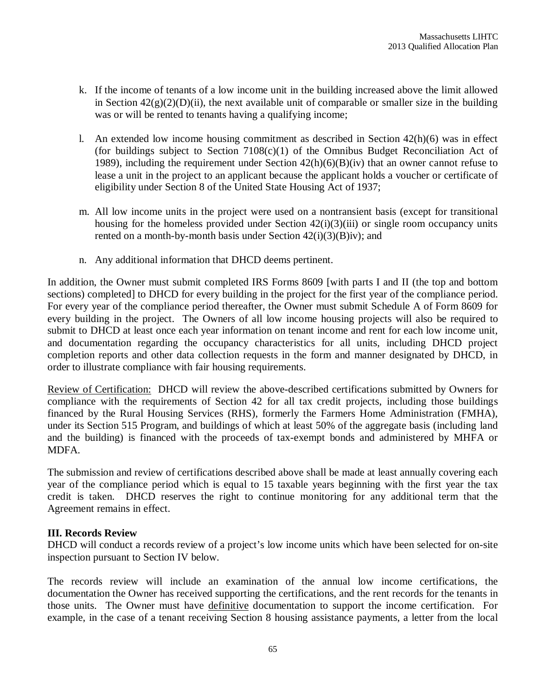- k. If the income of tenants of a low income unit in the building increased above the limit allowed in Section  $42(g)(2)(D)(ii)$ , the next available unit of comparable or smaller size in the building was or will be rented to tenants having a qualifying income;
- l. An extended low income housing commitment as described in Section  $42(h)(6)$  was in effect (for buildings subject to Section 7108(c)(1) of the Omnibus Budget Reconciliation Act of 1989), including the requirement under Section 42(h)(6)(B)(iv) that an owner cannot refuse to lease a unit in the project to an applicant because the applicant holds a voucher or certificate of eligibility under Section 8 of the United State Housing Act of 1937;
- m. All low income units in the project were used on a nontransient basis (except for transitional housing for the homeless provided under Section  $42(i)(3)(iii)$  or single room occupancy units rented on a month-by-month basis under Section  $42(i)(3)(B)iv$ ; and
- n. Any additional information that DHCD deems pertinent.

In addition, the Owner must submit completed IRS Forms 8609 [with parts I and II (the top and bottom sections) completed] to DHCD for every building in the project for the first year of the compliance period. For every year of the compliance period thereafter, the Owner must submit Schedule A of Form 8609 for every building in the project. The Owners of all low income housing projects will also be required to submit to DHCD at least once each year information on tenant income and rent for each low income unit, and documentation regarding the occupancy characteristics for all units, including DHCD project completion reports and other data collection requests in the form and manner designated by DHCD, in order to illustrate compliance with fair housing requirements.

Review of Certification: DHCD will review the above-described certifications submitted by Owners for compliance with the requirements of Section 42 for all tax credit projects, including those buildings financed by the Rural Housing Services (RHS), formerly the Farmers Home Administration (FMHA), under its Section 515 Program, and buildings of which at least 50% of the aggregate basis (including land and the building) is financed with the proceeds of tax-exempt bonds and administered by MHFA or MDFA.

The submission and review of certifications described above shall be made at least annually covering each year of the compliance period which is equal to 15 taxable years beginning with the first year the tax credit is taken. DHCD reserves the right to continue monitoring for any additional term that the Agreement remains in effect.

#### **III. Records Review**

DHCD will conduct a records review of a project's low income units which have been selected for on-site inspection pursuant to Section IV below.

The records review will include an examination of the annual low income certifications, the documentation the Owner has received supporting the certifications, and the rent records for the tenants in those units. The Owner must have definitive documentation to support the income certification. For example, in the case of a tenant receiving Section 8 housing assistance payments, a letter from the local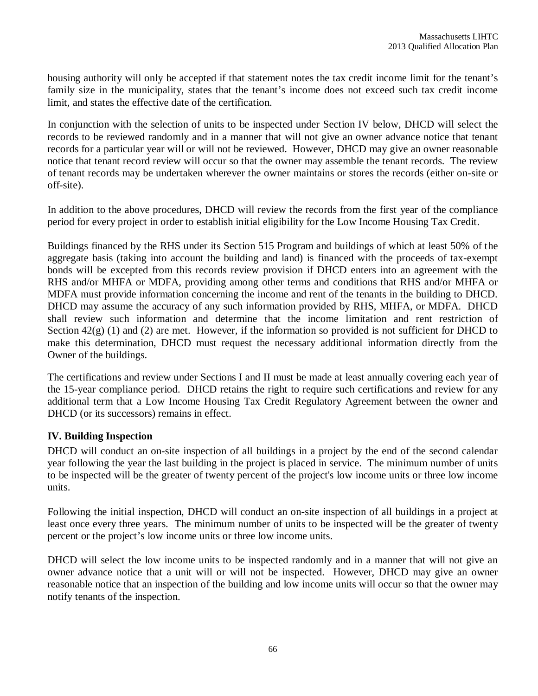housing authority will only be accepted if that statement notes the tax credit income limit for the tenant's family size in the municipality, states that the tenant's income does not exceed such tax credit income limit, and states the effective date of the certification.

In conjunction with the selection of units to be inspected under Section IV below, DHCD will select the records to be reviewed randomly and in a manner that will not give an owner advance notice that tenant records for a particular year will or will not be reviewed. However, DHCD may give an owner reasonable notice that tenant record review will occur so that the owner may assemble the tenant records. The review of tenant records may be undertaken wherever the owner maintains or stores the records (either on-site or off-site).

In addition to the above procedures, DHCD will review the records from the first year of the compliance period for every project in order to establish initial eligibility for the Low Income Housing Tax Credit.

Buildings financed by the RHS under its Section 515 Program and buildings of which at least 50% of the aggregate basis (taking into account the building and land) is financed with the proceeds of tax-exempt bonds will be excepted from this records review provision if DHCD enters into an agreement with the RHS and/or MHFA or MDFA, providing among other terms and conditions that RHS and/or MHFA or MDFA must provide information concerning the income and rent of the tenants in the building to DHCD. DHCD may assume the accuracy of any such information provided by RHS, MHFA, or MDFA. DHCD shall review such information and determine that the income limitation and rent restriction of Section  $42(g)$  (1) and (2) are met. However, if the information so provided is not sufficient for DHCD to make this determination, DHCD must request the necessary additional information directly from the Owner of the buildings.

The certifications and review under Sections I and II must be made at least annually covering each year of the 15-year compliance period. DHCD retains the right to require such certifications and review for any additional term that a Low Income Housing Tax Credit Regulatory Agreement between the owner and DHCD (or its successors) remains in effect.

# **IV. Building Inspection**

DHCD will conduct an on-site inspection of all buildings in a project by the end of the second calendar year following the year the last building in the project is placed in service. The minimum number of units to be inspected will be the greater of twenty percent of the project's low income units or three low income units.

Following the initial inspection, DHCD will conduct an on-site inspection of all buildings in a project at least once every three years. The minimum number of units to be inspected will be the greater of twenty percent or the project's low income units or three low income units.

DHCD will select the low income units to be inspected randomly and in a manner that will not give an owner advance notice that a unit will or will not be inspected. However, DHCD may give an owner reasonable notice that an inspection of the building and low income units will occur so that the owner may notify tenants of the inspection.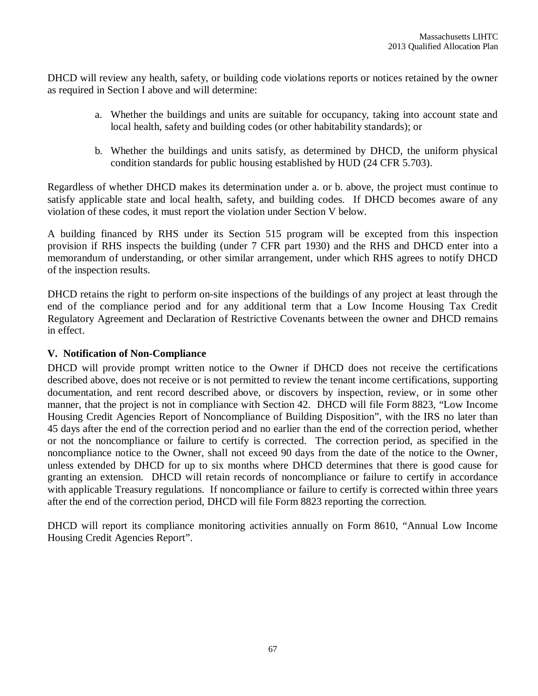DHCD will review any health, safety, or building code violations reports or notices retained by the owner as required in Section I above and will determine:

- a. Whether the buildings and units are suitable for occupancy, taking into account state and local health, safety and building codes (or other habitability standards); or
- b. Whether the buildings and units satisfy, as determined by DHCD, the uniform physical condition standards for public housing established by HUD (24 CFR 5.703).

Regardless of whether DHCD makes its determination under a. or b. above, the project must continue to satisfy applicable state and local health, safety, and building codes. If DHCD becomes aware of any violation of these codes, it must report the violation under Section V below.

A building financed by RHS under its Section 515 program will be excepted from this inspection provision if RHS inspects the building (under 7 CFR part 1930) and the RHS and DHCD enter into a memorandum of understanding, or other similar arrangement, under which RHS agrees to notify DHCD of the inspection results.

DHCD retains the right to perform on-site inspections of the buildings of any project at least through the end of the compliance period and for any additional term that a Low Income Housing Tax Credit Regulatory Agreement and Declaration of Restrictive Covenants between the owner and DHCD remains in effect.

### **V. Notification of Non-Compliance**

DHCD will provide prompt written notice to the Owner if DHCD does not receive the certifications described above, does not receive or is not permitted to review the tenant income certifications, supporting documentation, and rent record described above, or discovers by inspection, review, or in some other manner, that the project is not in compliance with Section 42. DHCD will file Form 8823, "Low Income Housing Credit Agencies Report of Noncompliance of Building Disposition", with the IRS no later than 45 days after the end of the correction period and no earlier than the end of the correction period, whether or not the noncompliance or failure to certify is corrected. The correction period, as specified in the noncompliance notice to the Owner, shall not exceed 90 days from the date of the notice to the Owner, unless extended by DHCD for up to six months where DHCD determines that there is good cause for granting an extension. DHCD will retain records of noncompliance or failure to certify in accordance with applicable Treasury regulations. If noncompliance or failure to certify is corrected within three years after the end of the correction period, DHCD will file Form 8823 reporting the correction.

DHCD will report its compliance monitoring activities annually on Form 8610, "Annual Low Income Housing Credit Agencies Report".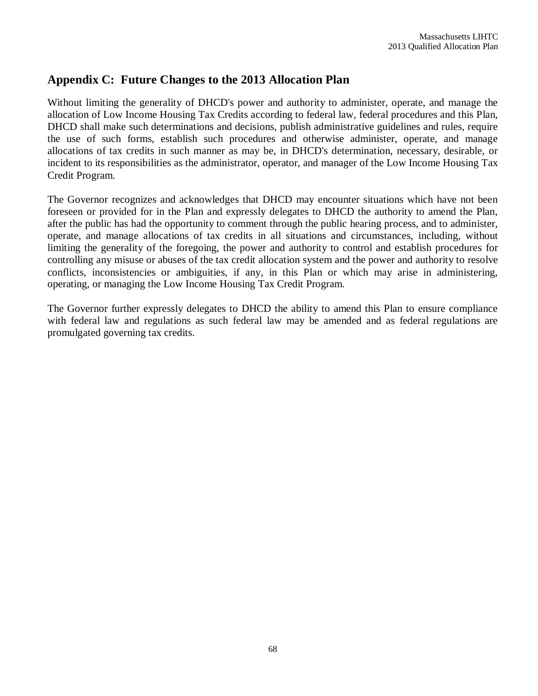# **Appendix C: Future Changes to the 2013 Allocation Plan**

Without limiting the generality of DHCD's power and authority to administer, operate, and manage the allocation of Low Income Housing Tax Credits according to federal law, federal procedures and this Plan, DHCD shall make such determinations and decisions, publish administrative guidelines and rules, require the use of such forms, establish such procedures and otherwise administer, operate, and manage allocations of tax credits in such manner as may be, in DHCD's determination, necessary, desirable, or incident to its responsibilities as the administrator, operator, and manager of the Low Income Housing Tax Credit Program.

The Governor recognizes and acknowledges that DHCD may encounter situations which have not been foreseen or provided for in the Plan and expressly delegates to DHCD the authority to amend the Plan, after the public has had the opportunity to comment through the public hearing process, and to administer, operate, and manage allocations of tax credits in all situations and circumstances, including, without limiting the generality of the foregoing, the power and authority to control and establish procedures for controlling any misuse or abuses of the tax credit allocation system and the power and authority to resolve conflicts, inconsistencies or ambiguities, if any, in this Plan or which may arise in administering, operating, or managing the Low Income Housing Tax Credit Program.

The Governor further expressly delegates to DHCD the ability to amend this Plan to ensure compliance with federal law and regulations as such federal law may be amended and as federal regulations are promulgated governing tax credits.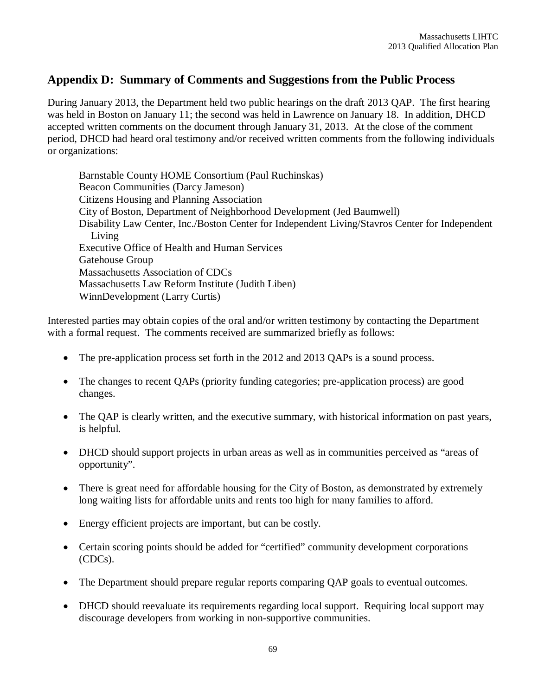# **Appendix D: Summary of Comments and Suggestions from the Public Process**

During January 2013, the Department held two public hearings on the draft 2013 QAP. The first hearing was held in Boston on January 11; the second was held in Lawrence on January 18. In addition, DHCD accepted written comments on the document through January 31, 2013. At the close of the comment period, DHCD had heard oral testimony and/or received written comments from the following individuals or organizations:

Barnstable County HOME Consortium (Paul Ruchinskas) Beacon Communities (Darcy Jameson) Citizens Housing and Planning Association City of Boston, Department of Neighborhood Development (Jed Baumwell) Disability Law Center, Inc./Boston Center for Independent Living/Stavros Center for Independent Living Executive Office of Health and Human Services Gatehouse Group Massachusetts Association of CDCs Massachusetts Law Reform Institute (Judith Liben) WinnDevelopment (Larry Curtis)

Interested parties may obtain copies of the oral and/or written testimony by contacting the Department with a formal request. The comments received are summarized briefly as follows:

- The pre-application process set forth in the 2012 and 2013 QAPs is a sound process.
- The changes to recent QAPs (priority funding categories; pre-application process) are good changes.
- The QAP is clearly written, and the executive summary, with historical information on past years, is helpful.
- DHCD should support projects in urban areas as well as in communities perceived as "areas of opportunity".
- There is great need for affordable housing for the City of Boston, as demonstrated by extremely long waiting lists for affordable units and rents too high for many families to afford.
- Energy efficient projects are important, but can be costly.
- Certain scoring points should be added for "certified" community development corporations (CDCs).
- The Department should prepare regular reports comparing QAP goals to eventual outcomes.
- DHCD should reevaluate its requirements regarding local support. Requiring local support may discourage developers from working in non-supportive communities.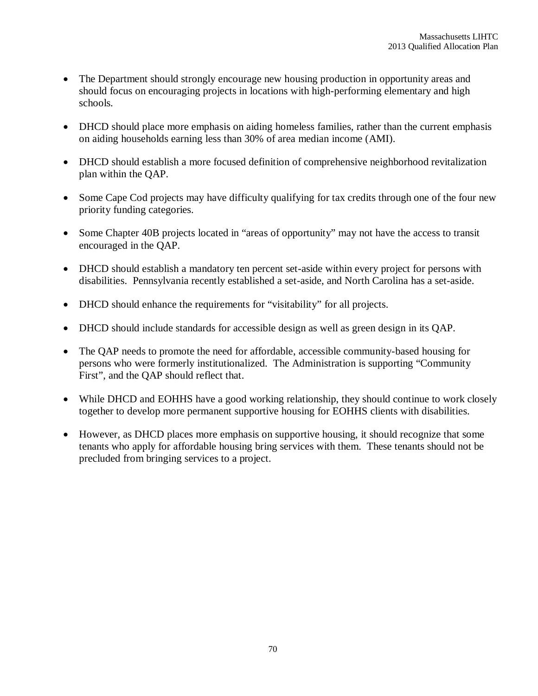- The Department should strongly encourage new housing production in opportunity areas and should focus on encouraging projects in locations with high-performing elementary and high schools.
- DHCD should place more emphasis on aiding homeless families, rather than the current emphasis on aiding households earning less than 30% of area median income (AMI).
- DHCD should establish a more focused definition of comprehensive neighborhood revitalization plan within the QAP.
- Some Cape Cod projects may have difficulty qualifying for tax credits through one of the four new priority funding categories.
- Some Chapter 40B projects located in "areas of opportunity" may not have the access to transit encouraged in the QAP.
- DHCD should establish a mandatory ten percent set-aside within every project for persons with disabilities. Pennsylvania recently established a set-aside, and North Carolina has a set-aside.
- DHCD should enhance the requirements for "visitability" for all projects.
- DHCD should include standards for accessible design as well as green design in its QAP.
- The QAP needs to promote the need for affordable, accessible community-based housing for persons who were formerly institutionalized. The Administration is supporting "Community First", and the QAP should reflect that.
- While DHCD and EOHHS have a good working relationship, they should continue to work closely together to develop more permanent supportive housing for EOHHS clients with disabilities.
- However, as DHCD places more emphasis on supportive housing, it should recognize that some tenants who apply for affordable housing bring services with them. These tenants should not be precluded from bringing services to a project.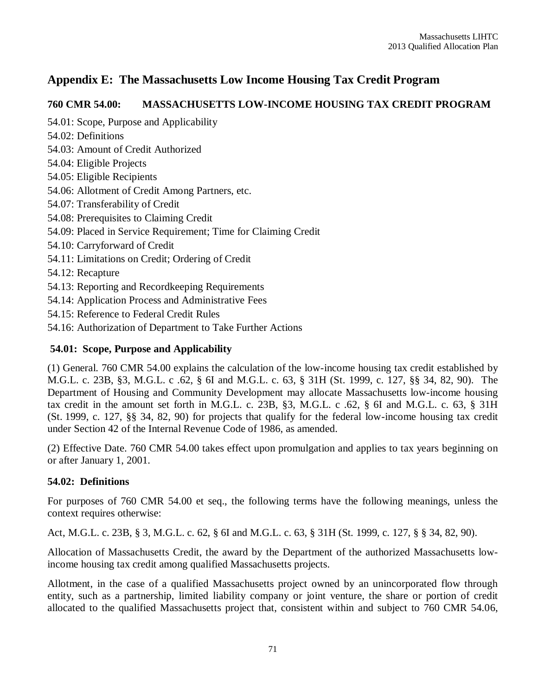# **Appendix E: The Massachusetts Low Income Housing Tax Credit Program**

# **760 CMR 54.00: MASSACHUSETTS LOW-INCOME HOUSING TAX CREDIT PROGRAM**

54.01: Scope, Purpose and Applicability

- 54.02: Definitions
- 54.03: Amount of Credit Authorized
- 54.04: Eligible Projects
- 54.05: Eligible Recipients
- 54.06: Allotment of Credit Among Partners, etc.
- 54.07: Transferability of Credit
- 54.08: Prerequisites to Claiming Credit
- 54.09: Placed in Service Requirement; Time for Claiming Credit
- 54.10: Carryforward of Credit
- 54.11: Limitations on Credit; Ordering of Credit
- 54.12: Recapture
- 54.13: Reporting and Recordkeeping Requirements
- 54.14: Application Process and Administrative Fees
- 54.15: Reference to Federal Credit Rules
- 54.16: Authorization of Department to Take Further Actions

# **54.01: Scope, Purpose and Applicability**

(1) General. 760 CMR 54.00 explains the calculation of the low-income housing tax credit established by M.G.L. c. 23B, §3, M.G.L. c .62, § 6I and M.G.L. c. 63, § 31H (St. 1999, c. 127, §§ 34, 82, 90). The Department of Housing and Community Development may allocate Massachusetts low-income housing tax credit in the amount set forth in M.G.L. c. 23B, §3, M.G.L. c .62, § 6I and M.G.L. c. 63, § 31H (St. 1999, c. 127, §§ 34, 82, 90) for projects that qualify for the federal low-income housing tax credit under Section 42 of the Internal Revenue Code of 1986, as amended.

(2) Effective Date. 760 CMR 54.00 takes effect upon promulgation and applies to tax years beginning on or after January 1, 2001.

# **54.02: Definitions**

For purposes of 760 CMR 54.00 et seq., the following terms have the following meanings, unless the context requires otherwise:

Act, M.G.L. c. 23B, § 3, M.G.L. c. 62, § 6I and M.G.L. c. 63, § 31H (St. 1999, c. 127, § § 34, 82, 90).

Allocation of Massachusetts Credit, the award by the Department of the authorized Massachusetts lowincome housing tax credit among qualified Massachusetts projects.

Allotment, in the case of a qualified Massachusetts project owned by an unincorporated flow through entity, such as a partnership, limited liability company or joint venture, the share or portion of credit allocated to the qualified Massachusetts project that, consistent within and subject to 760 CMR 54.06,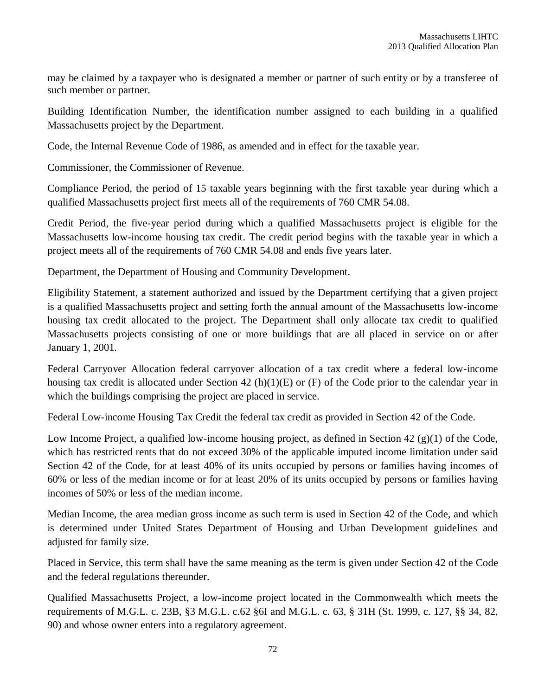may be claimed by a taxpayer who is designated a member or partner of such entity or by a transferee of such member or partner.

Building Identification Number, the identification number assigned to each building in a qualified Massachusetts project by the Department.

Code, the Internal Revenue Code of 1986, as amended and in effect for the taxable year.

Commissioner, the Commissioner of Revenue.

Compliance Period, the period of 15 taxable years beginning with the first taxable year during which a qualified Massachusetts project first meets all of the requirements of 760 CMR 54.08.

Credit Period, the five-year period during which a qualified Massachusetts project is eligible for the Massachusetts low-income housing tax credit. The credit period begins with the taxable year in which a project meets all of the requirements of 760 CMR 54.08 and ends five years later.

Department, the Department of Housing and Community Development.

Eligibility Statement, a statement authorized and issued by the Department certifying that a given project is a qualified Massachusetts project and setting forth the annual amount of the Massachusetts low-income housing tax credit allocated to the project. The Department shall only allocate tax credit to qualified Massachusetts projects consisting of one or more buildings that are all placed in service on or after January 1, 2001.

Federal Carryover Allocation federal carryover allocation of a tax credit where a federal low-income housing tax credit is allocated under Section 42 (h)(1)(E) or (F) of the Code prior to the calendar year in which the buildings comprising the project are placed in service.

Federal Low-income Housing Tax Credit the federal tax credit as provided in Section 42 of the Code.

Low Income Project, a qualified low-income housing project, as defined in Section 42 (g)(1) of the Code, which has restricted rents that do not exceed 30% of the applicable imputed income limitation under said Section 42 of the Code, for at least 40% of its units occupied by persons or families having incomes of 60% or less of the median income or for at least 20% of its units occupied by persons or families having incomes of 50% or less of the median income.

Median Income, the area median gross income as such term is used in Section 42 of the Code, and which is determined under United States Department of Housing and Urban Development guidelines and adjusted for family size.

Placed in Service, this term shall have the same meaning as the term is given under Section 42 of the Code and the federal regulations thereunder.

Qualified Massachusetts Project, a low-income project located in the Commonwealth which meets the requirements of M.G.L. c. 23B, §3 M.G.L. c.62 §6I and M.G.L. c. 63, § 31H (St. 1999, c. 127, §§ 34, 82, 90) and whose owner enters into a regulatory agreement.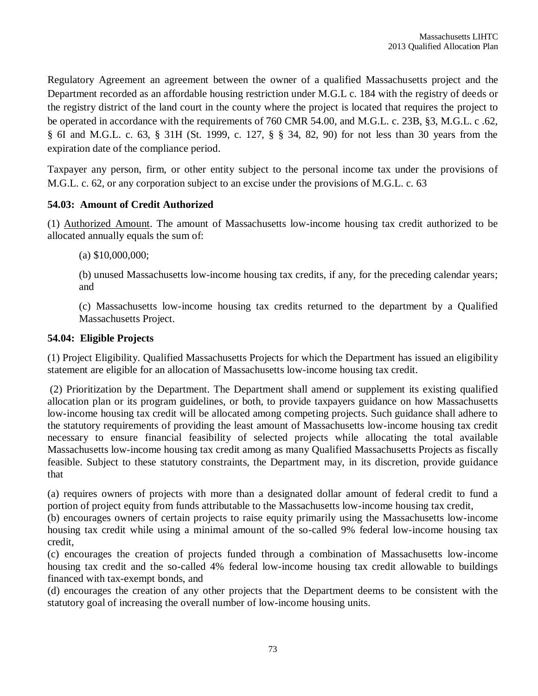Regulatory Agreement an agreement between the owner of a qualified Massachusetts project and the Department recorded as an affordable housing restriction under M.G.L c. 184 with the registry of deeds or the registry district of the land court in the county where the project is located that requires the project to be operated in accordance with the requirements of 760 CMR 54.00, and M.G.L. c. 23B, §3, M.G.L. c .62, § 6I and M.G.L. c. 63, § 31H (St. 1999, c. 127, § § 34, 82, 90) for not less than 30 years from the expiration date of the compliance period.

Taxpayer any person, firm, or other entity subject to the personal income tax under the provisions of M.G.L. c. 62, or any corporation subject to an excise under the provisions of M.G.L. c. 63

# **54.03: Amount of Credit Authorized**

(1) Authorized Amount. The amount of Massachusetts low-income housing tax credit authorized to be allocated annually equals the sum of:

(a) \$10,000,000;

(b) unused Massachusetts low-income housing tax credits, if any, for the preceding calendar years; and

(c) Massachusetts low-income housing tax credits returned to the department by a Qualified Massachusetts Project.

## **54.04: Eligible Projects**

(1) Project Eligibility. Qualified Massachusetts Projects for which the Department has issued an eligibility statement are eligible for an allocation of Massachusetts low-income housing tax credit.

(2) Prioritization by the Department. The Department shall amend or supplement its existing qualified allocation plan or its program guidelines, or both, to provide taxpayers guidance on how Massachusetts low-income housing tax credit will be allocated among competing projects. Such guidance shall adhere to the statutory requirements of providing the least amount of Massachusetts low-income housing tax credit necessary to ensure financial feasibility of selected projects while allocating the total available Massachusetts low-income housing tax credit among as many Qualified Massachusetts Projects as fiscally feasible. Subject to these statutory constraints, the Department may, in its discretion, provide guidance that

(a) requires owners of projects with more than a designated dollar amount of federal credit to fund a portion of project equity from funds attributable to the Massachusetts low-income housing tax credit,

(b) encourages owners of certain projects to raise equity primarily using the Massachusetts low-income housing tax credit while using a minimal amount of the so-called 9% federal low-income housing tax credit,

(c) encourages the creation of projects funded through a combination of Massachusetts low-income housing tax credit and the so-called 4% federal low-income housing tax credit allowable to buildings financed with tax-exempt bonds, and

(d) encourages the creation of any other projects that the Department deems to be consistent with the statutory goal of increasing the overall number of low-income housing units.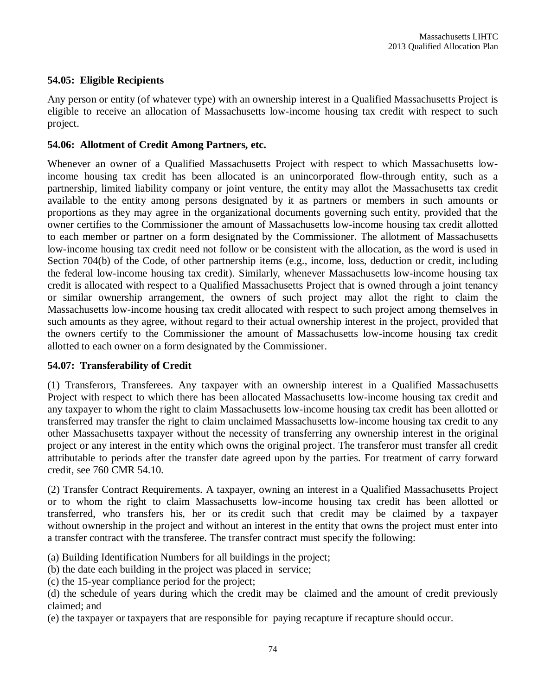## **54.05: Eligible Recipients**

Any person or entity (of whatever type) with an ownership interest in a Qualified Massachusetts Project is eligible to receive an allocation of Massachusetts low-income housing tax credit with respect to such project.

## **54.06: Allotment of Credit Among Partners, etc.**

Whenever an owner of a Qualified Massachusetts Project with respect to which Massachusetts lowincome housing tax credit has been allocated is an unincorporated flow-through entity, such as a partnership, limited liability company or joint venture, the entity may allot the Massachusetts tax credit available to the entity among persons designated by it as partners or members in such amounts or proportions as they may agree in the organizational documents governing such entity, provided that the owner certifies to the Commissioner the amount of Massachusetts low-income housing tax credit allotted to each member or partner on a form designated by the Commissioner. The allotment of Massachusetts low-income housing tax credit need not follow or be consistent with the allocation, as the word is used in Section 704(b) of the Code, of other partnership items (e.g., income, loss, deduction or credit, including the federal low-income housing tax credit). Similarly, whenever Massachusetts low-income housing tax credit is allocated with respect to a Qualified Massachusetts Project that is owned through a joint tenancy or similar ownership arrangement, the owners of such project may allot the right to claim the Massachusetts low-income housing tax credit allocated with respect to such project among themselves in such amounts as they agree, without regard to their actual ownership interest in the project, provided that the owners certify to the Commissioner the amount of Massachusetts low-income housing tax credit allotted to each owner on a form designated by the Commissioner.

## **54.07: Transferability of Credit**

(1) Transferors, Transferees. Any taxpayer with an ownership interest in a Qualified Massachusetts Project with respect to which there has been allocated Massachusetts low-income housing tax credit and any taxpayer to whom the right to claim Massachusetts low-income housing tax credit has been allotted or transferred may transfer the right to claim unclaimed Massachusetts low-income housing tax credit to any other Massachusetts taxpayer without the necessity of transferring any ownership interest in the original project or any interest in the entity which owns the original project. The transferor must transfer all credit attributable to periods after the transfer date agreed upon by the parties. For treatment of carry forward credit, see 760 CMR 54.10.

(2) Transfer Contract Requirements. A taxpayer, owning an interest in a Qualified Massachusetts Project or to whom the right to claim Massachusetts low-income housing tax credit has been allotted or transferred, who transfers his, her or its credit such that credit may be claimed by a taxpayer without ownership in the project and without an interest in the entity that owns the project must enter into a transfer contract with the transferee. The transfer contract must specify the following:

- (a) Building Identification Numbers for all buildings in the project;
- (b) the date each building in the project was placed in service;
- (c) the 15-year compliance period for the project;

(e) the taxpayer or taxpayers that are responsible for paying recapture if recapture should occur.

<sup>(</sup>d) the schedule of years during which the credit may be claimed and the amount of credit previously claimed; and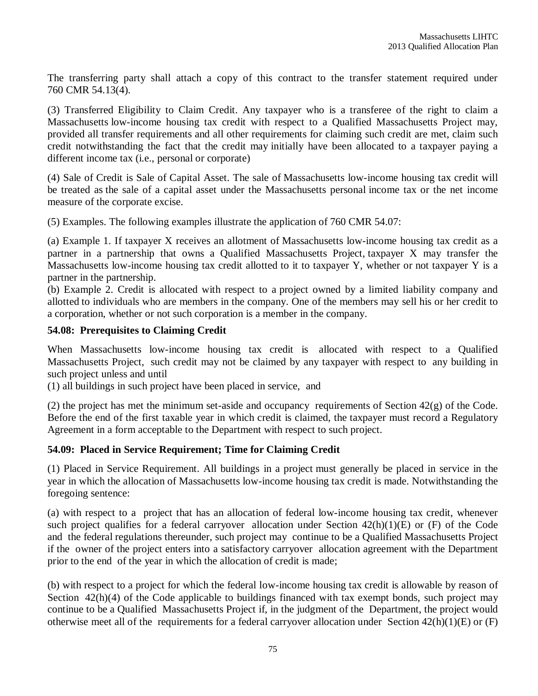The transferring party shall attach a copy of this contract to the transfer statement required under 760 CMR 54.13(4).

(3) Transferred Eligibility to Claim Credit. Any taxpayer who is a transferee of the right to claim a Massachusetts low-income housing tax credit with respect to a Qualified Massachusetts Project may, provided all transfer requirements and all other requirements for claiming such credit are met, claim such credit notwithstanding the fact that the credit may initially have been allocated to a taxpayer paying a different income tax (i.e., personal or corporate)

(4) Sale of Credit is Sale of Capital Asset. The sale of Massachusetts low-income housing tax credit will be treated as the sale of a capital asset under the Massachusetts personal income tax or the net income measure of the corporate excise.

(5) Examples. The following examples illustrate the application of 760 CMR 54.07:

(a) Example 1. If taxpayer X receives an allotment of Massachusetts low-income housing tax credit as a partner in a partnership that owns a Qualified Massachusetts Project, taxpayer X may transfer the Massachusetts low-income housing tax credit allotted to it to taxpayer Y, whether or not taxpayer Y is a partner in the partnership.

(b) Example 2. Credit is allocated with respect to a project owned by a limited liability company and allotted to individuals who are members in the company. One of the members may sell his or her credit to a corporation, whether or not such corporation is a member in the company.

## **54.08: Prerequisites to Claiming Credit**

When Massachusetts low-income housing tax credit is allocated with respect to a Qualified Massachusetts Project, such credit may not be claimed by any taxpayer with respect to any building in such project unless and until

(1) all buildings in such project have been placed in service, and

(2) the project has met the minimum set-aside and occupancy requirements of Section  $42(g)$  of the Code. Before the end of the first taxable year in which credit is claimed, the taxpayer must record a Regulatory Agreement in a form acceptable to the Department with respect to such project.

# **54.09: Placed in Service Requirement; Time for Claiming Credit**

(1) Placed in Service Requirement. All buildings in a project must generally be placed in service in the year in which the allocation of Massachusetts low-income housing tax credit is made. Notwithstanding the foregoing sentence:

(a) with respect to a project that has an allocation of federal low-income housing tax credit, whenever such project qualifies for a federal carryover allocation under Section 42(h)(1)(E) or (F) of the Code and the federal regulations thereunder, such project may continue to be a Qualified Massachusetts Project if the owner of the project enters into a satisfactory carryover allocation agreement with the Department prior to the end of the year in which the allocation of credit is made;

(b) with respect to a project for which the federal low-income housing tax credit is allowable by reason of Section 42(h)(4) of the Code applicable to buildings financed with tax exempt bonds, such project may continue to be a Qualified Massachusetts Project if, in the judgment of the Department, the project would otherwise meet all of the requirements for a federal carryover allocation under Section 42(h)(1)(E) or (F)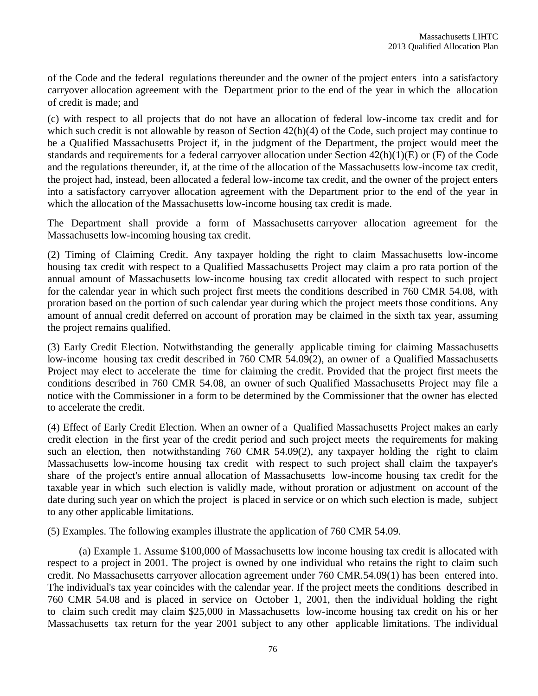of the Code and the federal regulations thereunder and the owner of the project enters into a satisfactory carryover allocation agreement with the Department prior to the end of the year in which the allocation of credit is made; and

(c) with respect to all projects that do not have an allocation of federal low-income tax credit and for which such credit is not allowable by reason of Section 42(h)(4) of the Code, such project may continue to be a Qualified Massachusetts Project if, in the judgment of the Department, the project would meet the standards and requirements for a federal carryover allocation under Section 42(h)(1)(E) or (F) of the Code and the regulations thereunder, if, at the time of the allocation of the Massachusetts low-income tax credit, the project had, instead, been allocated a federal low-income tax credit, and the owner of the project enters into a satisfactory carryover allocation agreement with the Department prior to the end of the year in which the allocation of the Massachusetts low-income housing tax credit is made.

The Department shall provide a form of Massachusetts carryover allocation agreement for the Massachusetts low-incoming housing tax credit.

(2) Timing of Claiming Credit. Any taxpayer holding the right to claim Massachusetts low-income housing tax credit with respect to a Qualified Massachusetts Project may claim a pro rata portion of the annual amount of Massachusetts low-income housing tax credit allocated with respect to such project for the calendar year in which such project first meets the conditions described in 760 CMR 54.08, with proration based on the portion of such calendar year during which the project meets those conditions. Any amount of annual credit deferred on account of proration may be claimed in the sixth tax year, assuming the project remains qualified.

(3) Early Credit Election. Notwithstanding the generally applicable timing for claiming Massachusetts low-income housing tax credit described in 760 CMR 54.09(2), an owner of a Qualified Massachusetts Project may elect to accelerate the time for claiming the credit. Provided that the project first meets the conditions described in 760 CMR 54.08, an owner of such Qualified Massachusetts Project may file a notice with the Commissioner in a form to be determined by the Commissioner that the owner has elected to accelerate the credit.

(4) Effect of Early Credit Election. When an owner of a Qualified Massachusetts Project makes an early credit election in the first year of the credit period and such project meets the requirements for making such an election, then notwithstanding 760 CMR 54.09(2), any taxpayer holding the right to claim Massachusetts low-income housing tax credit with respect to such project shall claim the taxpayer's share of the project's entire annual allocation of Massachusetts low-income housing tax credit for the taxable year in which such election is validly made, without proration or adjustment on account of the date during such year on which the project is placed in service or on which such election is made, subject to any other applicable limitations.

(5) Examples. The following examples illustrate the application of 760 CMR 54.09.

(a) Example 1. Assume \$100,000 of Massachusetts low income housing tax credit is allocated with respect to a project in 2001. The project is owned by one individual who retains the right to claim such credit. No Massachusetts carryover allocation agreement under 760 CMR.54.09(1) has been entered into. The individual's tax year coincides with the calendar year. If the project meets the conditions described in 760 CMR 54.08 and is placed in service on October 1, 2001, then the individual holding the right to claim such credit may claim \$25,000 in Massachusetts low-income housing tax credit on his or her Massachusetts tax return for the year 2001 subject to any other applicable limitations. The individual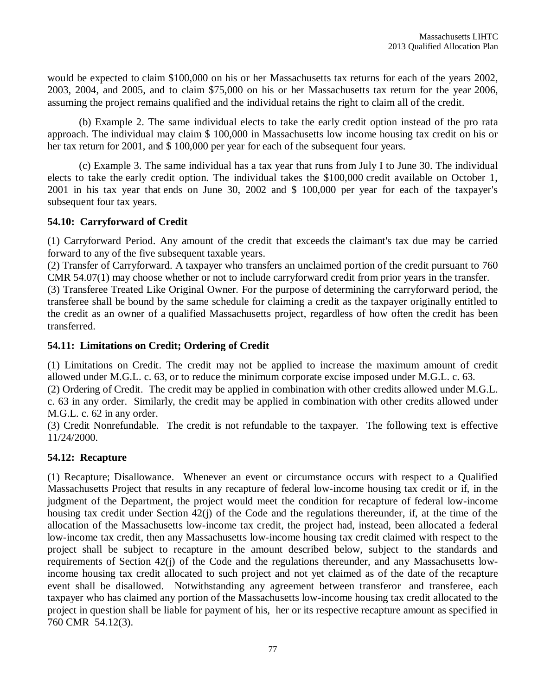would be expected to claim \$100,000 on his or her Massachusetts tax returns for each of the years 2002, 2003, 2004, and 2005, and to claim \$75,000 on his or her Massachusetts tax return for the year 2006, assuming the project remains qualified and the individual retains the right to claim all of the credit.

(b) Example 2. The same individual elects to take the early credit option instead of the pro rata approach. The individual may claim \$ 100,000 in Massachusetts low income housing tax credit on his or her tax return for 2001, and \$ 100,000 per year for each of the subsequent four years.

(c) Example 3. The same individual has a tax year that runs from July I to June 30. The individual elects to take the early credit option. The individual takes the \$100,000 credit available on October 1, 2001 in his tax year that ends on June 30, 2002 and \$ 100,000 per year for each of the taxpayer's subsequent four tax years.

## **54.10: Carryforward of Credit**

(1) Carryforward Period. Any amount of the credit that exceeds the claimant's tax due may be carried forward to any of the five subsequent taxable years.

(2) Transfer of Carryforward. A taxpayer who transfers an unclaimed portion of the credit pursuant to 760 CMR 54.07(1) may choose whether or not to include carryforward credit from prior years in the transfer.

(3) Transferee Treated Like Original Owner. For the purpose of determining the carryforward period, the transferee shall be bound by the same schedule for claiming a credit as the taxpayer originally entitled to the credit as an owner of a qualified Massachusetts project, regardless of how often the credit has been transferred.

## **54.11: Limitations on Credit; Ordering of Credit**

(1) Limitations on Credit. The credit may not be applied to increase the maximum amount of credit allowed under M.G.L. c. 63, or to reduce the minimum corporate excise imposed under M.G.L. c. 63.

(2) Ordering of Credit. The credit may be applied in combination with other credits allowed under M.G.L. c. 63 in any order. Similarly, the credit may be applied in combination with other credits allowed under M.G.L. c. 62 in any order.

(3) Credit Nonrefundable. The credit is not refundable to the taxpayer. The following text is effective 11/24/2000.

# **54.12: Recapture**

(1) Recapture; Disallowance. Whenever an event or circumstance occurs with respect to a Qualified Massachusetts Project that results in any recapture of federal low-income housing tax credit or if, in the judgment of the Department, the project would meet the condition for recapture of federal low-income housing tax credit under Section 42(j) of the Code and the regulations thereunder, if, at the time of the allocation of the Massachusetts low-income tax credit, the project had, instead, been allocated a federal low-income tax credit, then any Massachusetts low-income housing tax credit claimed with respect to the project shall be subject to recapture in the amount described below, subject to the standards and requirements of Section 42(j) of the Code and the regulations thereunder, and any Massachusetts lowincome housing tax credit allocated to such project and not yet claimed as of the date of the recapture event shall be disallowed. Notwithstanding any agreement between transferor and transferee, each taxpayer who has claimed any portion of the Massachusetts low-income housing tax credit allocated to the project in question shall be liable for payment of his, her or its respective recapture amount as specified in 760 CMR 54.12(3).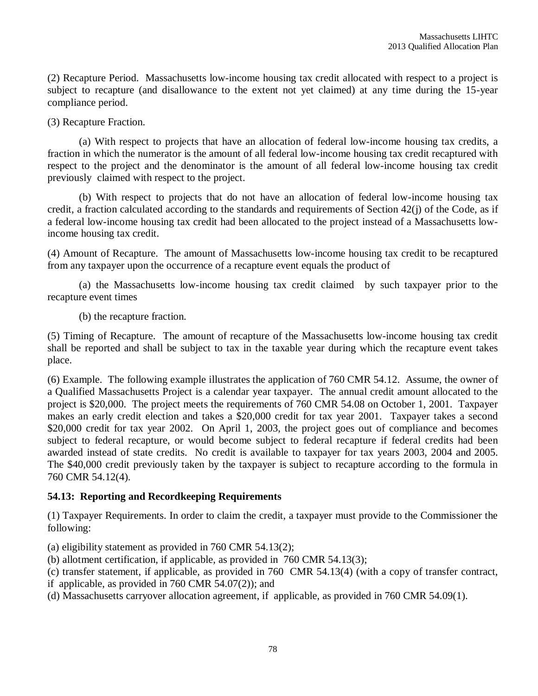(2) Recapture Period. Massachusetts low-income housing tax credit allocated with respect to a project is subject to recapture (and disallowance to the extent not yet claimed) at any time during the 15-year compliance period.

(3) Recapture Fraction.

(a) With respect to projects that have an allocation of federal low-income housing tax credits, a fraction in which the numerator is the amount of all federal low-income housing tax credit recaptured with respect to the project and the denominator is the amount of all federal low-income housing tax credit previously claimed with respect to the project.

(b) With respect to projects that do not have an allocation of federal low-income housing tax credit, a fraction calculated according to the standards and requirements of Section 42(j) of the Code, as if a federal low-income housing tax credit had been allocated to the project instead of a Massachusetts lowincome housing tax credit.

(4) Amount of Recapture. The amount of Massachusetts low-income housing tax credit to be recaptured from any taxpayer upon the occurrence of a recapture event equals the product of

(a) the Massachusetts low-income housing tax credit claimed by such taxpayer prior to the recapture event times

(b) the recapture fraction.

(5) Timing of Recapture. The amount of recapture of the Massachusetts low-income housing tax credit shall be reported and shall be subject to tax in the taxable year during which the recapture event takes place.

(6) Example. The following example illustrates the application of 760 CMR 54.12. Assume, the owner of a Qualified Massachusetts Project is a calendar year taxpayer. The annual credit amount allocated to the project is \$20,000. The project meets the requirements of 760 CMR 54.08 on October 1, 2001. Taxpayer makes an early credit election and takes a \$20,000 credit for tax year 2001. Taxpayer takes a second \$20,000 credit for tax year 2002. On April 1, 2003, the project goes out of compliance and becomes subject to federal recapture, or would become subject to federal recapture if federal credits had been awarded instead of state credits. No credit is available to taxpayer for tax years 2003, 2004 and 2005. The \$40,000 credit previously taken by the taxpayer is subject to recapture according to the formula in 760 CMR 54.12(4).

# **54.13: Reporting and Recordkeeping Requirements**

(1) Taxpayer Requirements. In order to claim the credit, a taxpayer must provide to the Commissioner the following:

(a) eligibility statement as provided in 760 CMR 54.13(2);

(b) allotment certification, if applicable, as provided in 760 CMR 54.13(3);

(c) transfer statement, if applicable, as provided in 760 CMR 54.13(4) (with a copy of transfer contract,

if applicable, as provided in 760 CMR 54.07(2)); and

(d) Massachusetts carryover allocation agreement, if applicable, as provided in 760 CMR 54.09(1).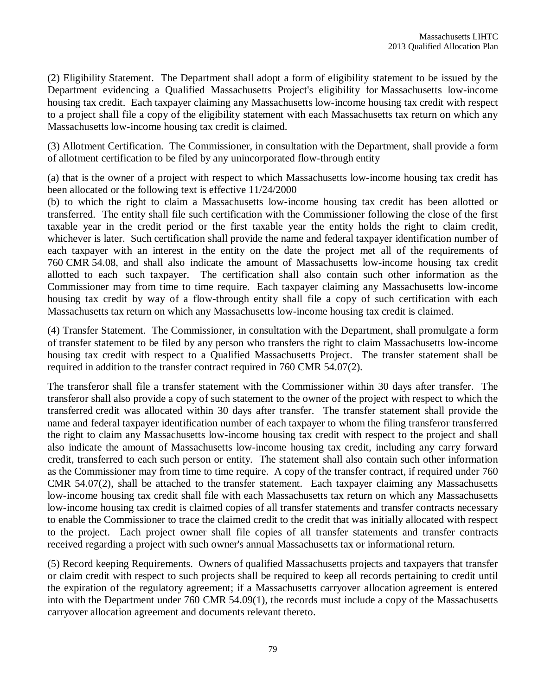(2) Eligibility Statement. The Department shall adopt a form of eligibility statement to be issued by the Department evidencing a Qualified Massachusetts Project's eligibility for Massachusetts low-income housing tax credit. Each taxpayer claiming any Massachusetts low-income housing tax credit with respect to a project shall file a copy of the eligibility statement with each Massachusetts tax return on which any Massachusetts low-income housing tax credit is claimed.

(3) Allotment Certification. The Commissioner, in consultation with the Department, shall provide a form of allotment certification to be filed by any unincorporated flow-through entity

(a) that is the owner of a project with respect to which Massachusetts low-income housing tax credit has been allocated or the following text is effective 11/24/2000

(b) to which the right to claim a Massachusetts low-income housing tax credit has been allotted or transferred. The entity shall file such certification with the Commissioner following the close of the first taxable year in the credit period or the first taxable year the entity holds the right to claim credit, whichever is later. Such certification shall provide the name and federal taxpayer identification number of each taxpayer with an interest in the entity on the date the project met all of the requirements of 760 CMR 54.08, and shall also indicate the amount of Massachusetts low-income housing tax credit allotted to each such taxpayer. The certification shall also contain such other information as the Commissioner may from time to time require. Each taxpayer claiming any Massachusetts low-income housing tax credit by way of a flow-through entity shall file a copy of such certification with each Massachusetts tax return on which any Massachusetts low-income housing tax credit is claimed.

(4) Transfer Statement. The Commissioner, in consultation with the Department, shall promulgate a form of transfer statement to be filed by any person who transfers the right to claim Massachusetts low-income housing tax credit with respect to a Qualified Massachusetts Project. The transfer statement shall be required in addition to the transfer contract required in 760 CMR 54.07(2).

The transferor shall file a transfer statement with the Commissioner within 30 days after transfer. The transferor shall also provide a copy of such statement to the owner of the project with respect to which the transferred credit was allocated within 30 days after transfer. The transfer statement shall provide the name and federal taxpayer identification number of each taxpayer to whom the filing transferor transferred the right to claim any Massachusetts low-income housing tax credit with respect to the project and shall also indicate the amount of Massachusetts low-income housing tax credit, including any carry forward credit, transferred to each such person or entity. The statement shall also contain such other information as the Commissioner may from time to time require. A copy of the transfer contract, if required under 760 CMR 54.07(2), shall be attached to the transfer statement. Each taxpayer claiming any Massachusetts low-income housing tax credit shall file with each Massachusetts tax return on which any Massachusetts low-income housing tax credit is claimed copies of all transfer statements and transfer contracts necessary to enable the Commissioner to trace the claimed credit to the credit that was initially allocated with respect to the project. Each project owner shall file copies of all transfer statements and transfer contracts received regarding a project with such owner's annual Massachusetts tax or informational return.

(5) Record keeping Requirements. Owners of qualified Massachusetts projects and taxpayers that transfer or claim credit with respect to such projects shall be required to keep all records pertaining to credit until the expiration of the regulatory agreement; if a Massachusetts carryover allocation agreement is entered into with the Department under 760 CMR 54.09(1), the records must include a copy of the Massachusetts carryover allocation agreement and documents relevant thereto.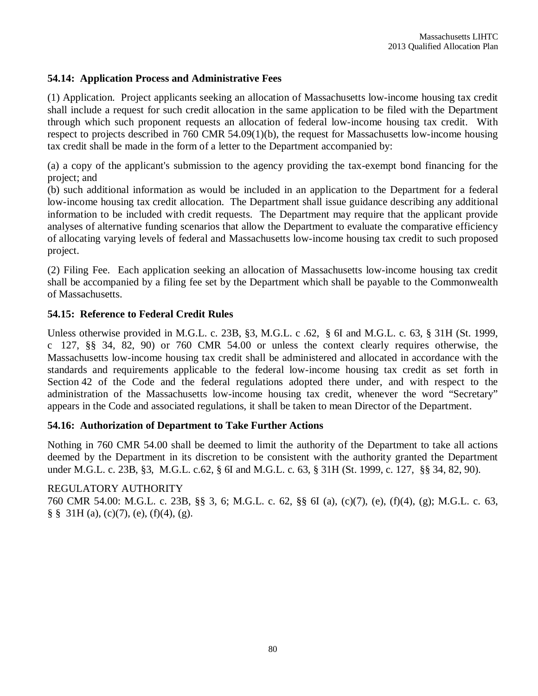## **54.14: Application Process and Administrative Fees**

(1) Application. Project applicants seeking an allocation of Massachusetts low-income housing tax credit shall include a request for such credit allocation in the same application to be filed with the Department through which such proponent requests an allocation of federal low-income housing tax credit. With respect to projects described in 760 CMR 54.09(1)(b), the request for Massachusetts low-income housing tax credit shall be made in the form of a letter to the Department accompanied by:

(a) a copy of the applicant's submission to the agency providing the tax-exempt bond financing for the project; and

(b) such additional information as would be included in an application to the Department for a federal low-income housing tax credit allocation. The Department shall issue guidance describing any additional information to be included with credit requests. The Department may require that the applicant provide analyses of alternative funding scenarios that allow the Department to evaluate the comparative efficiency of allocating varying levels of federal and Massachusetts low-income housing tax credit to such proposed project.

(2) Filing Fee. Each application seeking an allocation of Massachusetts low-income housing tax credit shall be accompanied by a filing fee set by the Department which shall be payable to the Commonwealth of Massachusetts.

## **54.15: Reference to Federal Credit Rules**

Unless otherwise provided in M.G.L. c. 23B, §3, M.G.L. c .62, § 6I and M.G.L. c. 63, § 31H (St. 1999, c 127, §§ 34, 82, 90) or 760 CMR 54.00 or unless the context clearly requires otherwise, the Massachusetts low-income housing tax credit shall be administered and allocated in accordance with the standards and requirements applicable to the federal low-income housing tax credit as set forth in Section 42 of the Code and the federal regulations adopted there under, and with respect to the administration of the Massachusetts low-income housing tax credit, whenever the word "Secretary" appears in the Code and associated regulations, it shall be taken to mean Director of the Department.

## **54.16: Authorization of Department to Take Further Actions**

Nothing in 760 CMR 54.00 shall be deemed to limit the authority of the Department to take all actions deemed by the Department in its discretion to be consistent with the authority granted the Department under M.G.L. c. 23B, §3, M.G.L. c.62, § 6I and M.G.L. c. 63, § 31H (St. 1999, c. 127, §§ 34, 82, 90).

# REGULATORY AUTHORITY

760 CMR 54.00: M.G.L. c. 23B, §§ 3, 6; M.G.L. c. 62, §§ 6I (a), (c)(7), (e), (f)(4), (g); M.G.L. c. 63,  $\S$   $\S$   $31H$  (a), (c)(7), (e), (f)(4), (g).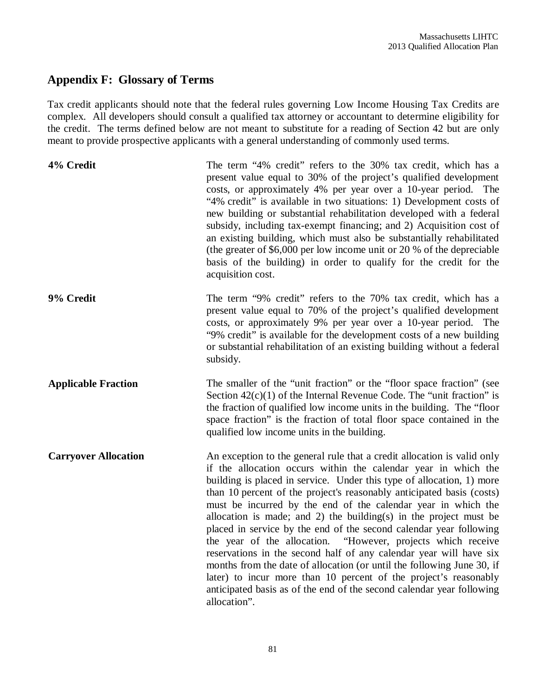# **Appendix F: Glossary of Terms**

Tax credit applicants should note that the federal rules governing Low Income Housing Tax Credits are complex. All developers should consult a qualified tax attorney or accountant to determine eligibility for the credit. The terms defined below are not meant to substitute for a reading of Section 42 but are only meant to provide prospective applicants with a general understanding of commonly used terms.

| 4% Credit                   | The term "4% credit" refers to the 30% tax credit, which has a<br>present value equal to 30% of the project's qualified development<br>costs, or approximately 4% per year over a 10-year period. The<br>"4% credit" is available in two situations: 1) Development costs of<br>new building or substantial rehabilitation developed with a federal<br>subsidy, including tax-exempt financing; and 2) Acquisition cost of<br>an existing building, which must also be substantially rehabilitated<br>(the greater of $$6,000$ per low income unit or 20 % of the depreciable<br>basis of the building) in order to qualify for the credit for the<br>acquisition cost.                                                                                                                                                                                                              |
|-----------------------------|--------------------------------------------------------------------------------------------------------------------------------------------------------------------------------------------------------------------------------------------------------------------------------------------------------------------------------------------------------------------------------------------------------------------------------------------------------------------------------------------------------------------------------------------------------------------------------------------------------------------------------------------------------------------------------------------------------------------------------------------------------------------------------------------------------------------------------------------------------------------------------------|
| 9% Credit                   | The term "9% credit" refers to the 70% tax credit, which has a<br>present value equal to 70% of the project's qualified development<br>costs, or approximately 9% per year over a 10-year period. The<br>"9% credit" is available for the development costs of a new building<br>or substantial rehabilitation of an existing building without a federal<br>subsidy.                                                                                                                                                                                                                                                                                                                                                                                                                                                                                                                 |
| <b>Applicable Fraction</b>  | The smaller of the "unit fraction" or the "floor space fraction" (see<br>Section $42(c)(1)$ of the Internal Revenue Code. The "unit fraction" is<br>the fraction of qualified low income units in the building. The "floor<br>space fraction" is the fraction of total floor space contained in the<br>qualified low income units in the building.                                                                                                                                                                                                                                                                                                                                                                                                                                                                                                                                   |
| <b>Carryover Allocation</b> | An exception to the general rule that a credit allocation is valid only<br>if the allocation occurs within the calendar year in which the<br>building is placed in service. Under this type of allocation, 1) more<br>than 10 percent of the project's reasonably anticipated basis (costs)<br>must be incurred by the end of the calendar year in which the<br>allocation is made; and 2) the building(s) in the project must be<br>placed in service by the end of the second calendar year following<br>the year of the allocation. "However, projects which receive<br>reservations in the second half of any calendar year will have six<br>months from the date of allocation (or until the following June 30, if<br>later) to incur more than 10 percent of the project's reasonably<br>anticipated basis as of the end of the second calendar year following<br>allocation". |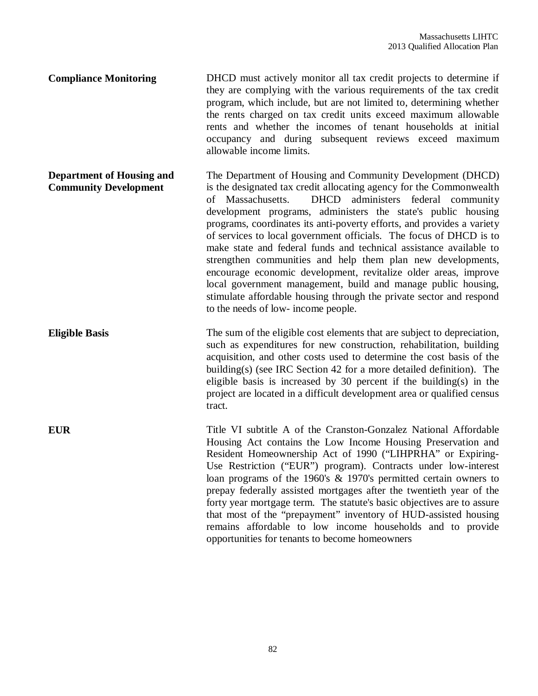**Compliance Monitoring** DHCD must actively monitor all tax credit projects to determine if they are complying with the various requirements of the tax credit program, which include, but are not limited to, determining whether the rents charged on tax credit units exceed maximum allowable rents and whether the incomes of tenant households at initial occupancy and during subsequent reviews exceed maximum allowable income limits.

**Department of Housing and Community Development** The Department of Housing and Community Development (DHCD) is the designated tax credit allocating agency for the Commonwealth of Massachusetts. DHCD administers federal community development programs, administers the state's public housing programs, coordinates its anti-poverty efforts, and provides a variety of services to local government officials. The focus of DHCD is to make state and federal funds and technical assistance available to strengthen communities and help them plan new developments, encourage economic development, revitalize older areas, improve local government management, build and manage public housing, stimulate affordable housing through the private sector and respond to the needs of low- income people.

**Eligible Basis** The sum of the eligible cost elements that are subject to depreciation, such as expenditures for new construction, rehabilitation, building acquisition, and other costs used to determine the cost basis of the building(s) (see IRC Section 42 for a more detailed definition). The eligible basis is increased by 30 percent if the building(s) in the project are located in a difficult development area or qualified census tract.

**EUR** Title VI subtitle A of the Cranston-Gonzalez National Affordable Housing Act contains the Low Income Housing Preservation and Resident Homeownership Act of 1990 ("LIHPRHA" or Expiring-Use Restriction ("EUR") program). Contracts under low-interest loan programs of the 1960's & 1970's permitted certain owners to prepay federally assisted mortgages after the twentieth year of the forty year mortgage term. The statute's basic objectives are to assure that most of the "prepayment" inventory of HUD-assisted housing remains affordable to low income households and to provide opportunities for tenants to become homeowners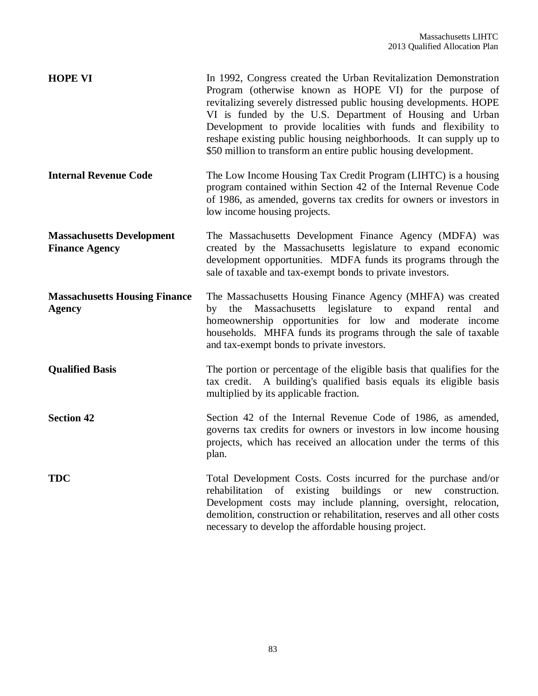| <b>HOPE VI</b>                                            | In 1992, Congress created the Urban Revitalization Demonstration<br>Program (otherwise known as HOPE VI) for the purpose of<br>revitalizing severely distressed public housing developments. HOPE<br>VI is funded by the U.S. Department of Housing and Urban<br>Development to provide localities with funds and flexibility to<br>reshape existing public housing neighborhoods. It can supply up to<br>\$50 million to transform an entire public housing development. |
|-----------------------------------------------------------|---------------------------------------------------------------------------------------------------------------------------------------------------------------------------------------------------------------------------------------------------------------------------------------------------------------------------------------------------------------------------------------------------------------------------------------------------------------------------|
| <b>Internal Revenue Code</b>                              | The Low Income Housing Tax Credit Program (LIHTC) is a housing<br>program contained within Section 42 of the Internal Revenue Code<br>of 1986, as amended, governs tax credits for owners or investors in<br>low income housing projects.                                                                                                                                                                                                                                 |
| <b>Massachusetts Development</b><br><b>Finance Agency</b> | The Massachusetts Development Finance Agency (MDFA) was<br>created by the Massachusetts legislature to expand economic<br>development opportunities. MDFA funds its programs through the<br>sale of taxable and tax-exempt bonds to private investors.                                                                                                                                                                                                                    |
| <b>Massachusetts Housing Finance</b><br>Agency            | The Massachusetts Housing Finance Agency (MHFA) was created<br>Massachusetts legislature to expand rental<br>the<br>by<br>and<br>homeownership opportunities for low and moderate income<br>households. MHFA funds its programs through the sale of taxable<br>and tax-exempt bonds to private investors.                                                                                                                                                                 |
| <b>Qualified Basis</b>                                    | The portion or percentage of the eligible basis that qualifies for the<br>tax credit. A building's qualified basis equals its eligible basis<br>multiplied by its applicable fraction.                                                                                                                                                                                                                                                                                    |
| <b>Section 42</b>                                         | Section 42 of the Internal Revenue Code of 1986, as amended,<br>governs tax credits for owners or investors in low income housing<br>projects, which has received an allocation under the terms of this<br>plan.                                                                                                                                                                                                                                                          |
| <b>TDC</b>                                                | Total Development Costs. Costs incurred for the purchase and/or<br>rehabilitation of<br>existing buildings<br>new<br>construction.<br><b>or</b><br>Development costs may include planning, oversight, relocation,<br>demolition, construction or rehabilitation, reserves and all other costs<br>necessary to develop the affordable housing project.                                                                                                                     |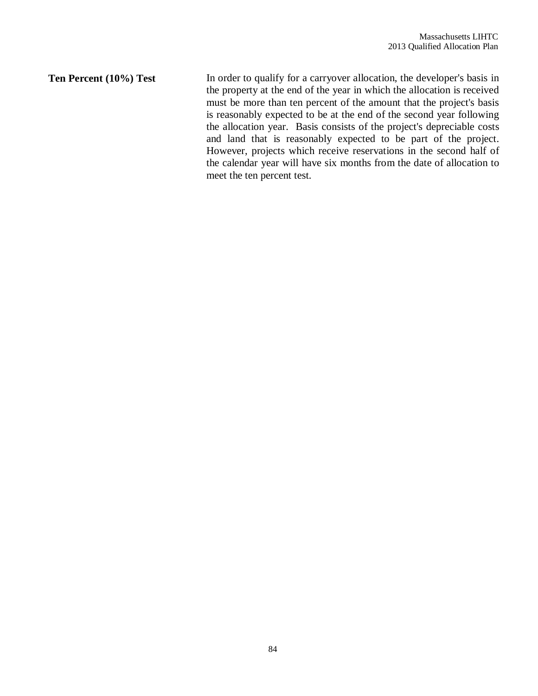**Ten Percent (10%) Test** In order to qualify for a carryover allocation, the developer's basis in the property at the end of the year in which the allocation is received must be more than ten percent of the amount that the project's basis is reasonably expected to be at the end of the second year following the allocation year. Basis consists of the project's depreciable costs and land that is reasonably expected to be part of the project. However, projects which receive reservations in the second half of the calendar year will have six months from the date of allocation to meet the ten percent test.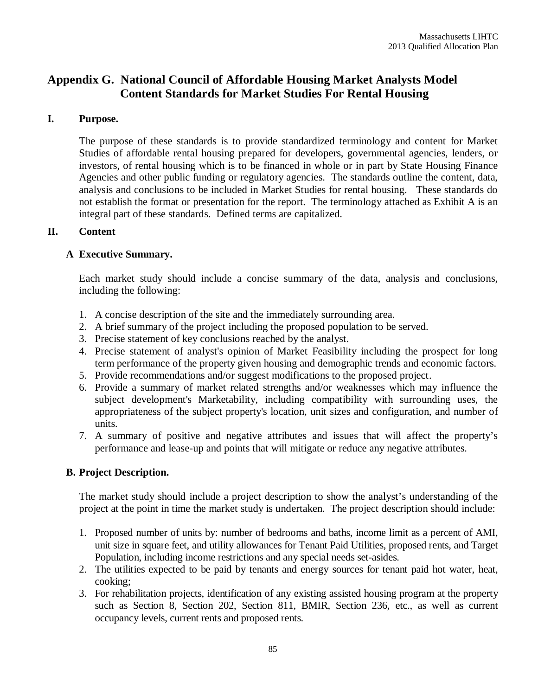# **Appendix G. National Council of Affordable Housing Market Analysts Model Content Standards for Market Studies For Rental Housing**

## **I. Purpose.**

The purpose of these standards is to provide standardized terminology and content for Market Studies of affordable rental housing prepared for developers, governmental agencies, lenders, or investors, of rental housing which is to be financed in whole or in part by State Housing Finance Agencies and other public funding or regulatory agencies. The standards outline the content, data, analysis and conclusions to be included in Market Studies for rental housing. These standards do not establish the format or presentation for the report. The terminology attached as Exhibit A is an integral part of these standards. Defined terms are capitalized.

## **II. Content**

# **A Executive Summary.**

Each market study should include a concise summary of the data, analysis and conclusions, including the following:

- 1. A concise description of the site and the immediately surrounding area.
- 2. A brief summary of the project including the proposed population to be served.
- 3. Precise statement of key conclusions reached by the analyst.
- 4. Precise statement of analyst's opinion of Market Feasibility including the prospect for long term performance of the property given housing and demographic trends and economic factors.
- 5. Provide recommendations and/or suggest modifications to the proposed project.
- 6. Provide a summary of market related strengths and/or weaknesses which may influence the subject development's Marketability, including compatibility with surrounding uses, the appropriateness of the subject property's location, unit sizes and configuration, and number of units.
- 7. A summary of positive and negative attributes and issues that will affect the property's performance and lease-up and points that will mitigate or reduce any negative attributes.

# **B. Project Description.**

The market study should include a project description to show the analyst's understanding of the project at the point in time the market study is undertaken. The project description should include:

- 1. Proposed number of units by: number of bedrooms and baths, income limit as a percent of AMI, unit size in square feet, and utility allowances for Tenant Paid Utilities, proposed rents, and Target Population, including income restrictions and any special needs set-asides.
- 2. The utilities expected to be paid by tenants and energy sources for tenant paid hot water, heat, cooking;
- 3. For rehabilitation projects, identification of any existing assisted housing program at the property such as Section 8, Section 202, Section 811, BMIR, Section 236, etc., as well as current occupancy levels, current rents and proposed rents.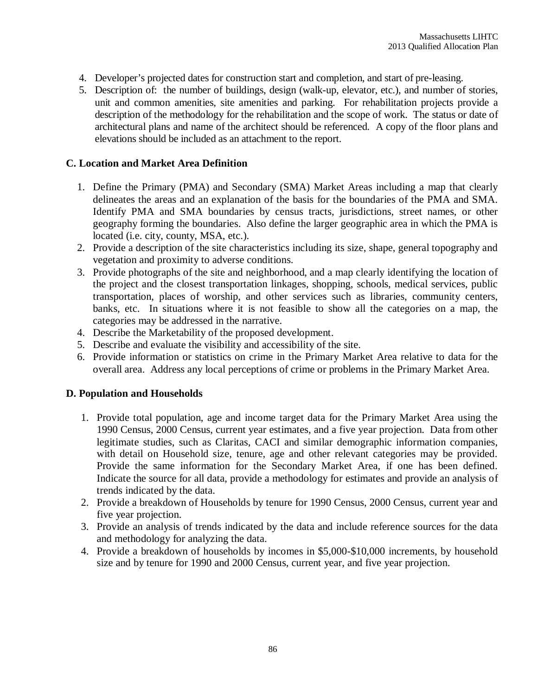- 4. Developer's projected dates for construction start and completion, and start of pre-leasing.
- 5. Description of: the number of buildings, design (walk-up, elevator, etc.), and number of stories, unit and common amenities, site amenities and parking. For rehabilitation projects provide a description of the methodology for the rehabilitation and the scope of work. The status or date of architectural plans and name of the architect should be referenced. A copy of the floor plans and elevations should be included as an attachment to the report.

## **C. Location and Market Area Definition**

- 1. Define the Primary (PMA) and Secondary (SMA) Market Areas including a map that clearly delineates the areas and an explanation of the basis for the boundaries of the PMA and SMA. Identify PMA and SMA boundaries by census tracts, jurisdictions, street names, or other geography forming the boundaries. Also define the larger geographic area in which the PMA is located (i.e. city, county, MSA, etc.).
- 2. Provide a description of the site characteristics including its size, shape, general topography and vegetation and proximity to adverse conditions.
- 3. Provide photographs of the site and neighborhood, and a map clearly identifying the location of the project and the closest transportation linkages, shopping, schools, medical services, public transportation, places of worship, and other services such as libraries, community centers, banks, etc. In situations where it is not feasible to show all the categories on a map, the categories may be addressed in the narrative.
- 4. Describe the Marketability of the proposed development.
- 5. Describe and evaluate the visibility and accessibility of the site.
- 6. Provide information or statistics on crime in the Primary Market Area relative to data for the overall area. Address any local perceptions of crime or problems in the Primary Market Area.

## **D. Population and Households**

- 1. Provide total population, age and income target data for the Primary Market Area using the 1990 Census, 2000 Census, current year estimates, and a five year projection. Data from other legitimate studies, such as Claritas, CACI and similar demographic information companies, with detail on Household size, tenure, age and other relevant categories may be provided. Provide the same information for the Secondary Market Area, if one has been defined. Indicate the source for all data, provide a methodology for estimates and provide an analysis of trends indicated by the data.
- 2. Provide a breakdown of Households by tenure for 1990 Census, 2000 Census, current year and five year projection.
- 3. Provide an analysis of trends indicated by the data and include reference sources for the data and methodology for analyzing the data.
- 4. Provide a breakdown of households by incomes in \$5,000-\$10,000 increments, by household size and by tenure for 1990 and 2000 Census, current year, and five year projection.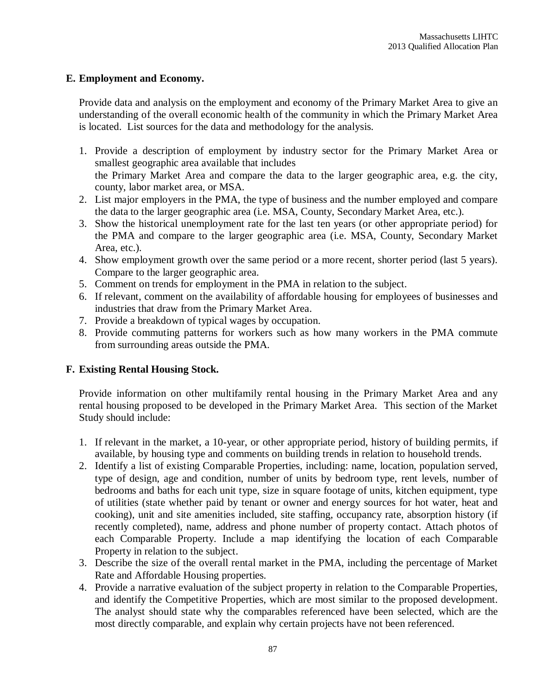## **E. Employment and Economy.**

Provide data and analysis on the employment and economy of the Primary Market Area to give an understanding of the overall economic health of the community in which the Primary Market Area is located. List sources for the data and methodology for the analysis.

- 1. Provide a description of employment by industry sector for the Primary Market Area or smallest geographic area available that includes the Primary Market Area and compare the data to the larger geographic area, e.g. the city, county, labor market area, or MSA.
- 2. List major employers in the PMA, the type of business and the number employed and compare the data to the larger geographic area (i.e. MSA, County, Secondary Market Area, etc.).
- 3. Show the historical unemployment rate for the last ten years (or other appropriate period) for the PMA and compare to the larger geographic area (i.e. MSA, County, Secondary Market Area, etc.).
- 4. Show employment growth over the same period or a more recent, shorter period (last 5 years). Compare to the larger geographic area.
- 5. Comment on trends for employment in the PMA in relation to the subject.
- 6. If relevant, comment on the availability of affordable housing for employees of businesses and industries that draw from the Primary Market Area.
- 7. Provide a breakdown of typical wages by occupation.
- 8. Provide commuting patterns for workers such as how many workers in the PMA commute from surrounding areas outside the PMA.

## **F. Existing Rental Housing Stock.**

Provide information on other multifamily rental housing in the Primary Market Area and any rental housing proposed to be developed in the Primary Market Area. This section of the Market Study should include:

- 1. If relevant in the market, a 10-year, or other appropriate period, history of building permits, if available, by housing type and comments on building trends in relation to household trends.
- 2. Identify a list of existing Comparable Properties, including: name, location, population served, type of design, age and condition, number of units by bedroom type, rent levels, number of bedrooms and baths for each unit type, size in square footage of units, kitchen equipment, type of utilities (state whether paid by tenant or owner and energy sources for hot water, heat and cooking), unit and site amenities included, site staffing, occupancy rate, absorption history (if recently completed), name, address and phone number of property contact. Attach photos of each Comparable Property. Include a map identifying the location of each Comparable Property in relation to the subject.
- 3. Describe the size of the overall rental market in the PMA, including the percentage of Market Rate and Affordable Housing properties.
- 4. Provide a narrative evaluation of the subject property in relation to the Comparable Properties, and identify the Competitive Properties, which are most similar to the proposed development. The analyst should state why the comparables referenced have been selected, which are the most directly comparable, and explain why certain projects have not been referenced.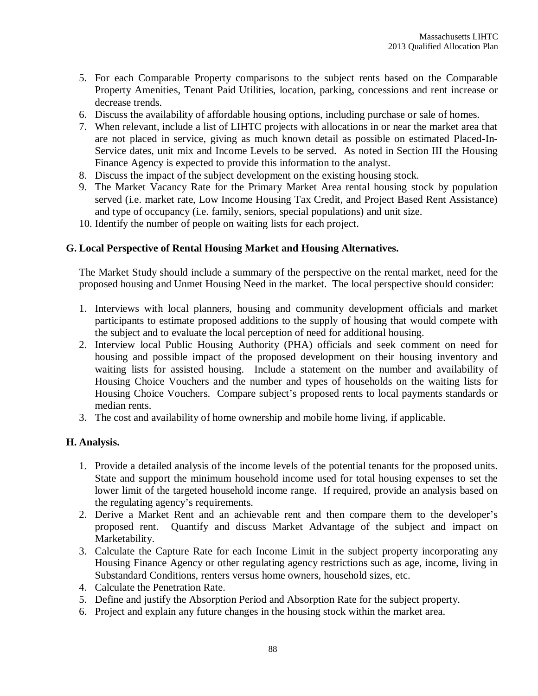- 5. For each Comparable Property comparisons to the subject rents based on the Comparable Property Amenities, Tenant Paid Utilities, location, parking, concessions and rent increase or decrease trends.
- 6. Discuss the availability of affordable housing options, including purchase or sale of homes.
- 7. When relevant, include a list of LIHTC projects with allocations in or near the market area that are not placed in service, giving as much known detail as possible on estimated Placed-In-Service dates, unit mix and Income Levels to be served. As noted in Section III the Housing Finance Agency is expected to provide this information to the analyst.
- 8. Discuss the impact of the subject development on the existing housing stock.
- 9. The Market Vacancy Rate for the Primary Market Area rental housing stock by population served (i.e. market rate, Low Income Housing Tax Credit, and Project Based Rent Assistance) and type of occupancy (i.e. family, seniors, special populations) and unit size.
- 10. Identify the number of people on waiting lists for each project.

## **G. Local Perspective of Rental Housing Market and Housing Alternatives.**

The Market Study should include a summary of the perspective on the rental market, need for the proposed housing and Unmet Housing Need in the market. The local perspective should consider:

- 1. Interviews with local planners, housing and community development officials and market participants to estimate proposed additions to the supply of housing that would compete with the subject and to evaluate the local perception of need for additional housing.
- 2. Interview local Public Housing Authority (PHA) officials and seek comment on need for housing and possible impact of the proposed development on their housing inventory and waiting lists for assisted housing. Include a statement on the number and availability of Housing Choice Vouchers and the number and types of households on the waiting lists for Housing Choice Vouchers. Compare subject's proposed rents to local payments standards or median rents.
- 3. The cost and availability of home ownership and mobile home living, if applicable.

## **H. Analysis.**

- 1. Provide a detailed analysis of the income levels of the potential tenants for the proposed units. State and support the minimum household income used for total housing expenses to set the lower limit of the targeted household income range. If required, provide an analysis based on the regulating agency's requirements.
- 2. Derive a Market Rent and an achievable rent and then compare them to the developer's proposed rent. Quantify and discuss Market Advantage of the subject and impact on Marketability.
- 3. Calculate the Capture Rate for each Income Limit in the subject property incorporating any Housing Finance Agency or other regulating agency restrictions such as age, income, living in Substandard Conditions, renters versus home owners, household sizes, etc.
- 4. Calculate the Penetration Rate.
- 5. Define and justify the Absorption Period and Absorption Rate for the subject property.
- 6. Project and explain any future changes in the housing stock within the market area.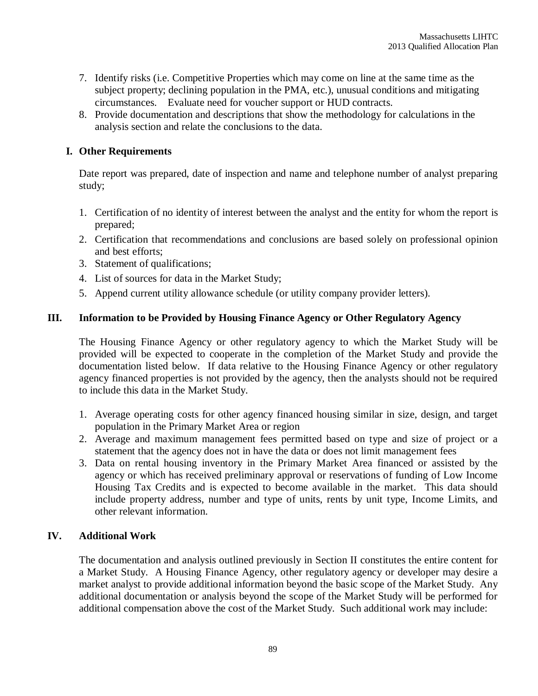- 7. Identify risks (i.e. Competitive Properties which may come on line at the same time as the subject property; declining population in the PMA, etc.), unusual conditions and mitigating circumstances. Evaluate need for voucher support or HUD contracts.
- 8. Provide documentation and descriptions that show the methodology for calculations in the analysis section and relate the conclusions to the data.

# **I. Other Requirements**

Date report was prepared, date of inspection and name and telephone number of analyst preparing study;

- 1. Certification of no identity of interest between the analyst and the entity for whom the report is prepared;
- 2. Certification that recommendations and conclusions are based solely on professional opinion and best efforts;
- 3. Statement of qualifications;
- 4. List of sources for data in the Market Study;
- 5. Append current utility allowance schedule (or utility company provider letters).

# **III. Information to be Provided by Housing Finance Agency or Other Regulatory Agency**

The Housing Finance Agency or other regulatory agency to which the Market Study will be provided will be expected to cooperate in the completion of the Market Study and provide the documentation listed below. If data relative to the Housing Finance Agency or other regulatory agency financed properties is not provided by the agency, then the analysts should not be required to include this data in the Market Study.

- 1. Average operating costs for other agency financed housing similar in size, design, and target population in the Primary Market Area or region
- 2. Average and maximum management fees permitted based on type and size of project or a statement that the agency does not in have the data or does not limit management fees
- 3. Data on rental housing inventory in the Primary Market Area financed or assisted by the agency or which has received preliminary approval or reservations of funding of Low Income Housing Tax Credits and is expected to become available in the market. This data should include property address, number and type of units, rents by unit type, Income Limits, and other relevant information.

# **IV. Additional Work**

The documentation and analysis outlined previously in Section II constitutes the entire content for a Market Study. A Housing Finance Agency, other regulatory agency or developer may desire a market analyst to provide additional information beyond the basic scope of the Market Study. Any additional documentation or analysis beyond the scope of the Market Study will be performed for additional compensation above the cost of the Market Study. Such additional work may include: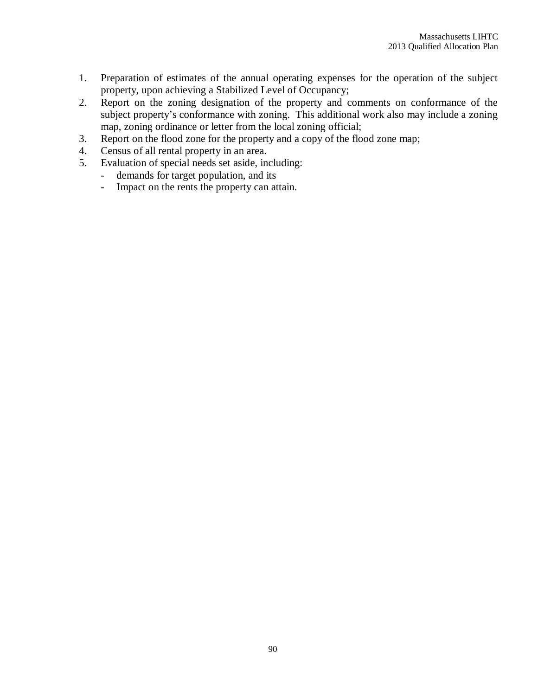- 1. Preparation of estimates of the annual operating expenses for the operation of the subject property, upon achieving a Stabilized Level of Occupancy;
- 2. Report on the zoning designation of the property and comments on conformance of the subject property's conformance with zoning. This additional work also may include a zoning map, zoning ordinance or letter from the local zoning official;
- 3. Report on the flood zone for the property and a copy of the flood zone map;
- 4. Census of all rental property in an area.<br>5. Evaluation of special needs set aside, in
- Evaluation of special needs set aside, including:
	- demands for target population, and its
	- Impact on the rents the property can attain.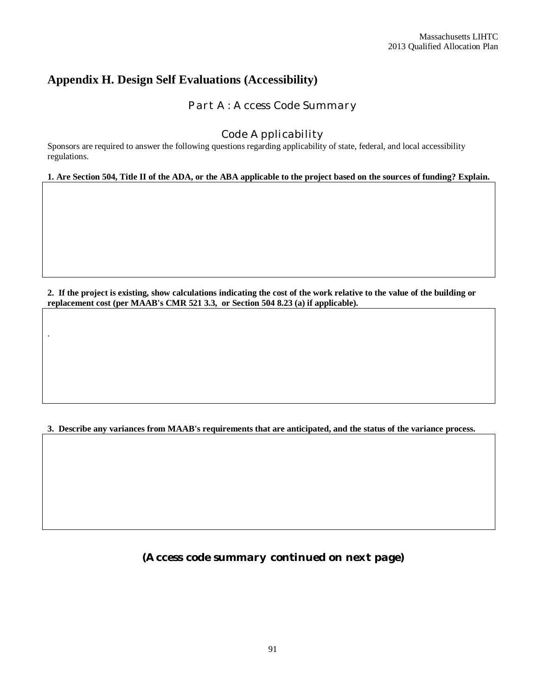# **Appendix H. Design Self Evaluations (Accessibility)**

.

*Part A: Access Code Summary*

# *Code Applicability*

Sponsors are required to answer the following questions regarding applicability of state, federal, and local accessibility regulations.

**1. Are Section 504, Title II of the ADA, or the ABA applicable to the project based on the sources of funding? Explain.**

**2. If the project is existing, show calculations indicating the cost of the work relative to the value of the building or replacement cost (per MAAB's CMR 521 3.3, or Section 504 8.23 (a) if applicable).**

**3. Describe any variances from MAAB's requirements that are anticipated, and the status of the variance process.**

*(Access code summary continued on next page)*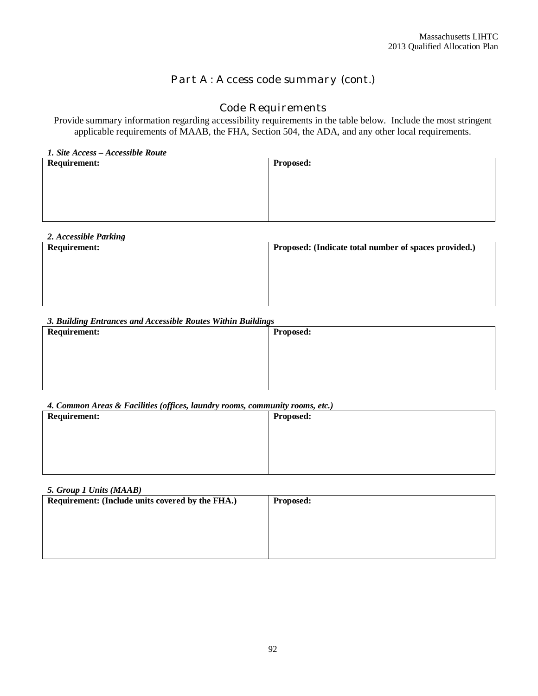# *Part A: Access code summary (cont.)*

# *Code Requirements*

Provide summary information regarding accessibility requirements in the table below. Include the most stringent applicable requirements of MAAB, the FHA, Section 504, the ADA, and any other local requirements.

| 1. Site Access - Accessible Route |                  |  |  |  |  |
|-----------------------------------|------------------|--|--|--|--|
| <b>Requirement:</b>               | <b>Proposed:</b> |  |  |  |  |
|                                   |                  |  |  |  |  |
|                                   |                  |  |  |  |  |
|                                   |                  |  |  |  |  |
|                                   |                  |  |  |  |  |
|                                   |                  |  |  |  |  |
|                                   |                  |  |  |  |  |
|                                   |                  |  |  |  |  |

| 2. Accessible Parking |                                                       |
|-----------------------|-------------------------------------------------------|
| <b>Requirement:</b>   | Proposed: (Indicate total number of spaces provided.) |
|                       |                                                       |
|                       |                                                       |
|                       |                                                       |
|                       |                                                       |
|                       |                                                       |
|                       |                                                       |
|                       |                                                       |

#### *3. Building Entrances and Accessible Routes Within Buildings*

| <b>Requirement:</b> | <b>Proposed:</b> |
|---------------------|------------------|
|                     |                  |
|                     |                  |
|                     |                  |
|                     |                  |

#### *4. Common Areas & Facilities (offices, laundry rooms, community rooms, etc.)*

| <b>Requirement:</b> | Proposed: |
|---------------------|-----------|
|                     |           |
|                     |           |
|                     |           |
|                     |           |

| 5. Group 1 Units (MAAB)                                              |  |  |  |  |
|----------------------------------------------------------------------|--|--|--|--|
| Requirement: (Include units covered by the FHA.)<br><b>Proposed:</b> |  |  |  |  |
|                                                                      |  |  |  |  |
|                                                                      |  |  |  |  |
|                                                                      |  |  |  |  |
|                                                                      |  |  |  |  |
|                                                                      |  |  |  |  |
|                                                                      |  |  |  |  |
|                                                                      |  |  |  |  |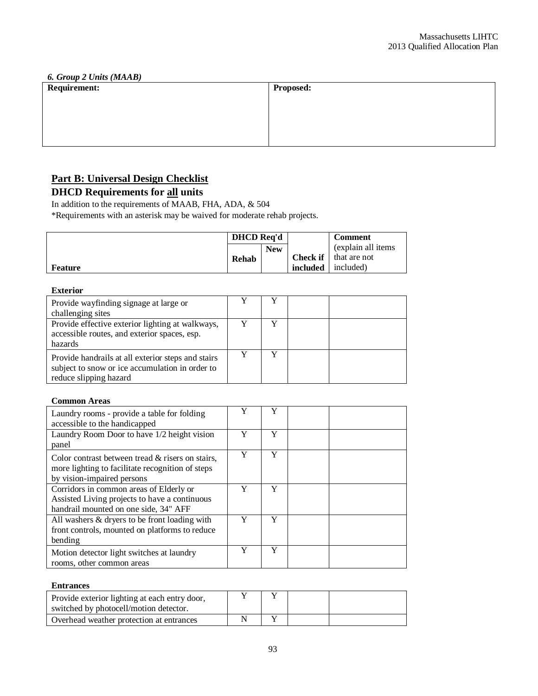| 6. Group 2 Units (MAAB) |                  |  |  |  |
|-------------------------|------------------|--|--|--|
| <b>Requirement:</b>     | <b>Proposed:</b> |  |  |  |
|                         |                  |  |  |  |
|                         |                  |  |  |  |
|                         |                  |  |  |  |
|                         |                  |  |  |  |
|                         |                  |  |  |  |
|                         |                  |  |  |  |
|                         |                  |  |  |  |

# **Part B: Universal Design Checklist**

# **DHCD Requirements for all units**

In addition to the requirements of MAAB, FHA, ADA, & 504

\*Requirements with an asterisk may be waived for moderate rehab projects.

|         | <b>DHCD</b> Req'd |            |          | <b>Comment</b>               |
|---------|-------------------|------------|----------|------------------------------|
|         |                   | <b>New</b> |          | (explain all items)          |
|         | Rehab             |            |          | <b>Check if</b> that are not |
| Feature |                   |            | included | included)                    |

## **Exterior**

| Provide wayfinding signage at large or<br>challenging sites                                                                     |  |  |
|---------------------------------------------------------------------------------------------------------------------------------|--|--|
| Provide effective exterior lighting at walkways,<br>accessible routes, and exterior spaces, esp.<br>hazards                     |  |  |
| Provide handrails at all exterior steps and stairs<br>subject to snow or ice accumulation in order to<br>reduce slipping hazard |  |  |

#### **Common Areas**

| Laundry rooms - provide a table for folding<br>accessible to the handicapped                                                          | Y | Y |  |
|---------------------------------------------------------------------------------------------------------------------------------------|---|---|--|
| Laundry Room Door to have 1/2 height vision<br>panel                                                                                  | Y | Y |  |
| Color contrast between tread $\&$ risers on stairs,<br>more lighting to facilitate recognition of steps<br>by vision-impaired persons | Y | Y |  |
| Corridors in common areas of Elderly or<br>Assisted Living projects to have a continuous<br>handrail mounted on one side, 34" AFF     | Y | Y |  |
| All washers & dryers to be front loading with<br>front controls, mounted on platforms to reduce<br>bending                            | Y | Y |  |
| Motion detector light switches at laundry<br>rooms, other common areas                                                                | Y | Y |  |

#### **Entrances**

| Provide exterior lighting at each entry door,<br>switched by photocell/motion detector. |  |  |
|-----------------------------------------------------------------------------------------|--|--|
| Overhead weather protection at entrances                                                |  |  |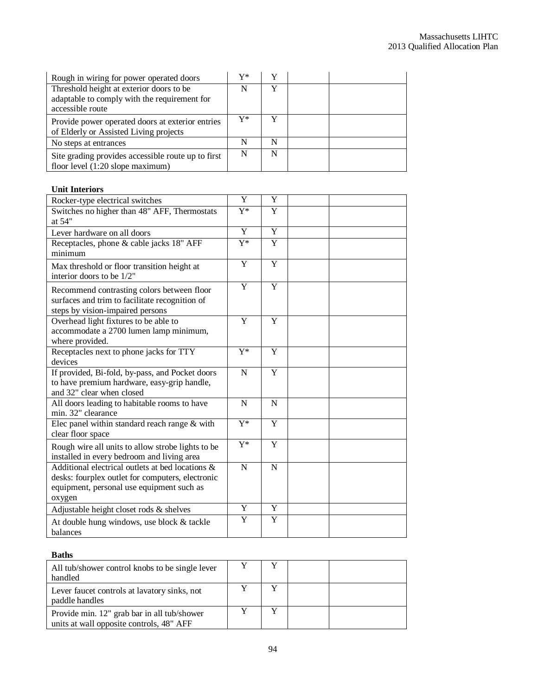| Rough in wiring for power operated doors                                                                     | V* |   |  |
|--------------------------------------------------------------------------------------------------------------|----|---|--|
| Threshold height at exterior doors to be<br>adaptable to comply with the requirement for<br>accessible route |    | v |  |
| Provide power operated doors at exterior entries<br>of Elderly or Assisted Living projects                   | Y* |   |  |
| No steps at entrances                                                                                        | N  | N |  |
| Site grading provides accessible route up to first<br>floor level $(1:20$ slope maximum)                     | N  | N |  |

#### **Unit Interiors**

| Rocker-type electrical switches                                                                                                                             | Y                | Y |  |
|-------------------------------------------------------------------------------------------------------------------------------------------------------------|------------------|---|--|
| Switches no higher than 48" AFF, Thermostats<br>at 54"                                                                                                      | $Y^*$            | Y |  |
| Lever hardware on all doors                                                                                                                                 | Y                | Y |  |
| Receptacles, phone & cable jacks 18" AFF<br>minimum                                                                                                         | $Y^*$            | Y |  |
| Max threshold or floor transition height at<br>interior doors to be 1/2"                                                                                    | Y                | Y |  |
| Recommend contrasting colors between floor<br>surfaces and trim to facilitate recognition of<br>steps by vision-impaired persons                            | $\overline{Y}$   | Y |  |
| Overhead light fixtures to be able to<br>accommodate a 2700 lumen lamp minimum,<br>where provided.                                                          | Y                | Y |  |
| Receptacles next to phone jacks for TTY<br>devices                                                                                                          | $\overline{Y^*}$ | Y |  |
| If provided, Bi-fold, by-pass, and Pocket doors<br>to have premium hardware, easy-grip handle,<br>and 32" clear when closed                                 | $\mathbf N$      | Y |  |
| All doors leading to habitable rooms to have<br>min. 32" clearance                                                                                          | N                | N |  |
| Elec panel within standard reach range $&$ with<br>clear floor space                                                                                        | $Y^*$            | Y |  |
| Rough wire all units to allow strobe lights to be<br>installed in every bedroom and living area                                                             | $\overline{Y^*}$ | Y |  |
| Additional electrical outlets at bed locations &<br>desks: fourplex outlet for computers, electronic<br>equipment, personal use equipment such as<br>oxygen | $\mathbf N$      | N |  |
| Adjustable height closet rods & shelves                                                                                                                     | Y                | Y |  |
| At double hung windows, use block & tackle<br>balances                                                                                                      | Y                | Y |  |

#### **Baths**

| All tub/shower control knobs to be single lever<br>handled                              |  |  |
|-----------------------------------------------------------------------------------------|--|--|
| Lever faucet controls at lavatory sinks, not<br>paddle handles                          |  |  |
| Provide min. 12" grab bar in all tub/shower<br>units at wall opposite controls, 48" AFF |  |  |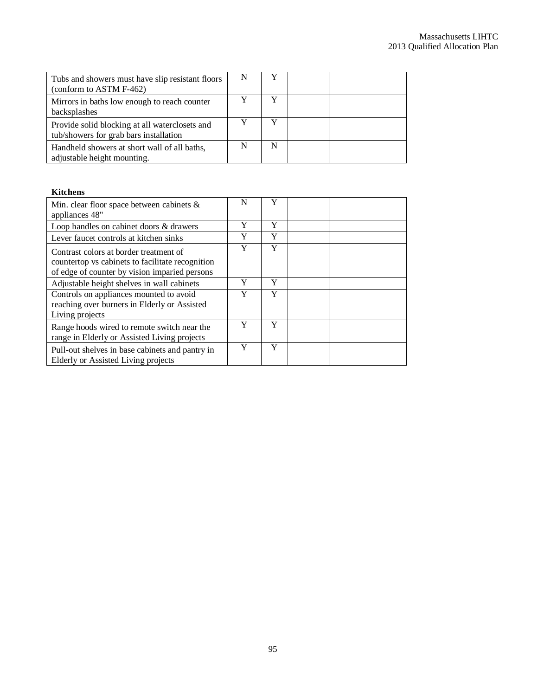| Tubs and showers must have slip resistant floors<br>(conform to ASTM F-462)              |   |   |  |
|------------------------------------------------------------------------------------------|---|---|--|
| Mirrors in baths low enough to reach counter<br>backsplashes                             |   |   |  |
| Provide solid blocking at all waterclosets and<br>tub/showers for grab bars installation |   |   |  |
| Handheld showers at short wall of all baths,<br>adjustable height mounting.              | N | N |  |

#### **Kitchens**

| Min. clear floor space between cabinets $\&$<br>appliances 48"                                                                              | N | Y |  |
|---------------------------------------------------------------------------------------------------------------------------------------------|---|---|--|
| Loop handles on cabinet doors & drawers                                                                                                     | Y | Y |  |
| Lever faucet controls at kitchen sinks                                                                                                      | Y | Y |  |
| Contrast colors at border treatment of<br>countertop vs cabinets to facilitate recognition<br>of edge of counter by vision imparied persons | Y | Y |  |
| Adjustable height shelves in wall cabinets                                                                                                  | Y | Y |  |
| Controls on appliances mounted to avoid<br>reaching over burners in Elderly or Assisted<br>Living projects                                  | Y | Y |  |
| Range hoods wired to remote switch near the<br>range in Elderly or Assisted Living projects                                                 | Y | Y |  |
| Pull-out shelves in base cabinets and pantry in<br>Elderly or Assisted Living projects                                                      | Y | Y |  |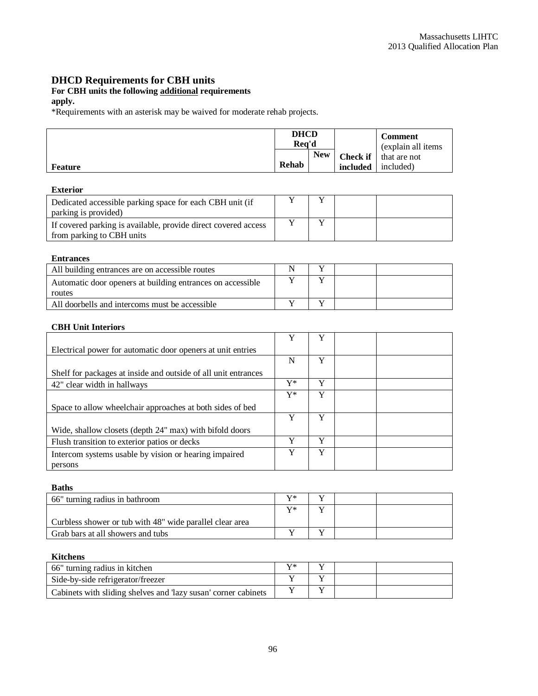# **DHCD Requirements for CBH units**

#### **For CBH units the following additional requirements**

## **apply.**

\*Requirements with an asterisk may be waived for moderate rehab projects.

|                | <b>DHCD</b><br>Rea'd |            |                              | <b>Comment</b><br>(explain all items) |
|----------------|----------------------|------------|------------------------------|---------------------------------------|
| <b>Feature</b> | Rehab                | <b>New</b> | Check if $\vert$<br>included | that are not<br>included)             |

## **Exterior**

| Dedicated accessible parking space for each CBH unit (if<br>parking is provided)            |  |  |
|---------------------------------------------------------------------------------------------|--|--|
| If covered parking is available, provide direct covered access<br>from parking to CBH units |  |  |

#### **Entrances**

| All building entrances are on accessible routes            |  |  |
|------------------------------------------------------------|--|--|
| Automatic door openers at building entrances on accessible |  |  |
| routes                                                     |  |  |
| All doorbells and intercoms must be accessible             |  |  |

#### **CBH Unit Interiors**

|                                                                | Y  | v |  |
|----------------------------------------------------------------|----|---|--|
| Electrical power for automatic door openers at unit entries    |    |   |  |
|                                                                | N  | Y |  |
| Shelf for packages at inside and outside of all unit entrances |    |   |  |
| 42" clear width in hallways                                    | Y* | Y |  |
|                                                                | Y* | Y |  |
| Space to allow wheelchair approaches at both sides of bed      |    |   |  |
|                                                                | Y  | Y |  |
| Wide, shallow closets (depth 24" max) with bifold doors        |    |   |  |
| Flush transition to exterior patios or decks                   |    | v |  |
| Intercom systems usable by vision or hearing impaired          | v  | v |  |
| persons                                                        |    |   |  |

#### **Baths**

| 66" turning radius in bathroom                           | v* |  |  |
|----------------------------------------------------------|----|--|--|
|                                                          | v* |  |  |
| Curbless shower or tub with 48" wide parallel clear area |    |  |  |
| Grab bars at all showers and tubs                        |    |  |  |

#### **Kitchens**

| 66" turning radius in kitchen                                  | $\mathbf{V}^*$ |  |  |
|----------------------------------------------------------------|----------------|--|--|
| Side-by-side refrigerator/freezer                              |                |  |  |
| Cabinets with sliding shelves and 'lazy susan' corner cabinets |                |  |  |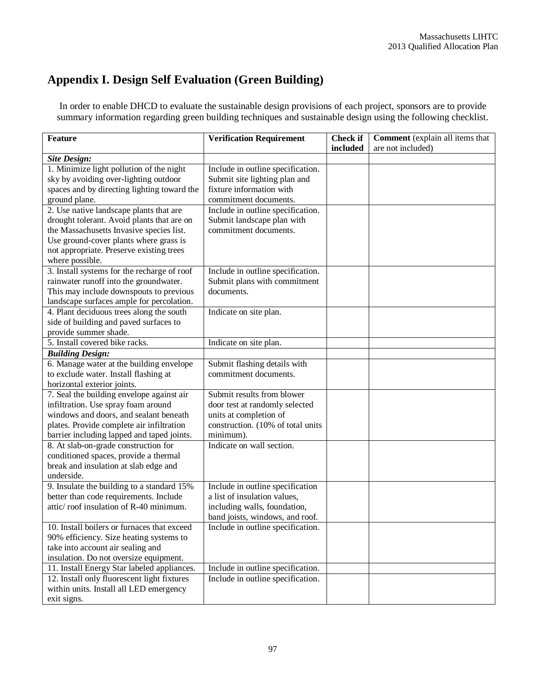# **Appendix I. Design Self Evaluation (Green Building)**

In order to enable DHCD to evaluate the sustainable design provisions of each project, sponsors are to provide summary information regarding green building techniques and sustainable design using the following checklist.

| <b>Feature</b>                              | <b>Verification Requirement</b>   | <b>Check if</b> | Comment (explain all items that |
|---------------------------------------------|-----------------------------------|-----------------|---------------------------------|
|                                             |                                   | included        | are not included)               |
| <b>Site Design:</b>                         |                                   |                 |                                 |
| 1. Minimize light pollution of the night    | Include in outline specification. |                 |                                 |
| sky by avoiding over-lighting outdoor       | Submit site lighting plan and     |                 |                                 |
| spaces and by directing lighting toward the | fixture information with          |                 |                                 |
| ground plane.                               | commitment documents.             |                 |                                 |
| 2. Use native landscape plants that are     | Include in outline specification. |                 |                                 |
| drought tolerant. Avoid plants that are on  | Submit landscape plan with        |                 |                                 |
| the Massachusetts Invasive species list.    | commitment documents.             |                 |                                 |
| Use ground-cover plants where grass is      |                                   |                 |                                 |
| not appropriate. Preserve existing trees    |                                   |                 |                                 |
| where possible.                             |                                   |                 |                                 |
| 3. Install systems for the recharge of roof | Include in outline specification. |                 |                                 |
| rainwater runoff into the groundwater.      | Submit plans with commitment      |                 |                                 |
| This may include downspouts to previous     | documents.                        |                 |                                 |
| landscape surfaces ample for percolation.   |                                   |                 |                                 |
| 4. Plant deciduous trees along the south    | Indicate on site plan.            |                 |                                 |
| side of building and paved surfaces to      |                                   |                 |                                 |
| provide summer shade.                       |                                   |                 |                                 |
| 5. Install covered bike racks.              | Indicate on site plan.            |                 |                                 |
| <b>Building Design:</b>                     |                                   |                 |                                 |
| 6. Manage water at the building envelope    | Submit flashing details with      |                 |                                 |
| to exclude water. Install flashing at       | commitment documents.             |                 |                                 |
| horizontal exterior joints.                 |                                   |                 |                                 |
| 7. Seal the building envelope against air   | Submit results from blower        |                 |                                 |
| infiltration. Use spray foam around         | door test at randomly selected    |                 |                                 |
| windows and doors, and sealant beneath      | units at completion of            |                 |                                 |
| plates. Provide complete air infiltration   | construction. (10% of total units |                 |                                 |
| barrier including lapped and taped joints.  | minimum).                         |                 |                                 |
| 8. At slab-on-grade construction for        | Indicate on wall section.         |                 |                                 |
| conditioned spaces, provide a thermal       |                                   |                 |                                 |
| break and insulation at slab edge and       |                                   |                 |                                 |
| underside.                                  |                                   |                 |                                 |
| 9. Insulate the building to a standard 15%  | Include in outline specification  |                 |                                 |
| better than code requirements. Include      | a list of insulation values,      |                 |                                 |
| attic/roof insulation of R-40 minimum.      | including walls, foundation,      |                 |                                 |
|                                             | band joists, windows, and roof.   |                 |                                 |
| 10. Install boilers or furnaces that exceed | Include in outline specification. |                 |                                 |
| 90% efficiency. Size heating systems to     |                                   |                 |                                 |
| take into account air sealing and           |                                   |                 |                                 |
| insulation. Do not oversize equipment.      |                                   |                 |                                 |
| 11. Install Energy Star labeled appliances. | Include in outline specification. |                 |                                 |
| 12. Install only fluorescent light fixtures | Include in outline specification. |                 |                                 |
| within units. Install all LED emergency     |                                   |                 |                                 |
| exit signs.                                 |                                   |                 |                                 |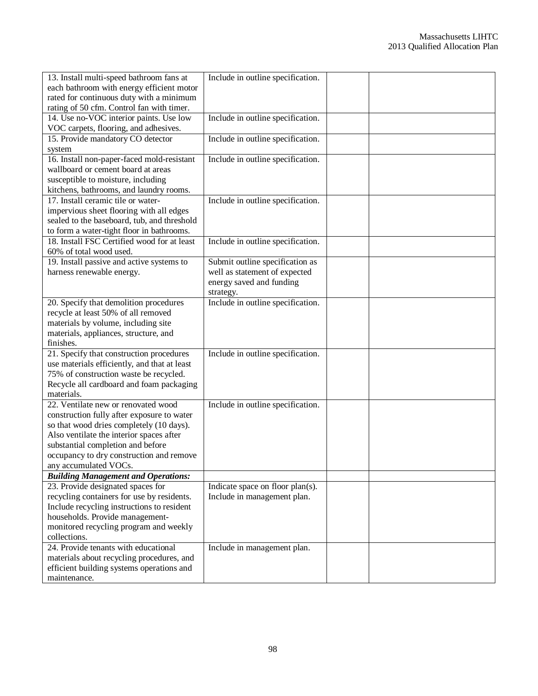| 13. Install multi-speed bathroom fans at     | Include in outline specification. |  |
|----------------------------------------------|-----------------------------------|--|
| each bathroom with energy efficient motor    |                                   |  |
| rated for continuous duty with a minimum     |                                   |  |
| rating of 50 cfm. Control fan with timer.    |                                   |  |
| 14. Use no-VOC interior paints. Use low      | Include in outline specification. |  |
| VOC carpets, flooring, and adhesives.        |                                   |  |
| 15. Provide mandatory CO detector            | Include in outline specification. |  |
| system                                       |                                   |  |
| 16. Install non-paper-faced mold-resistant   | Include in outline specification. |  |
| wallboard or cement board at areas           |                                   |  |
| susceptible to moisture, including           |                                   |  |
| kitchens, bathrooms, and laundry rooms.      |                                   |  |
| 17. Install ceramic tile or water-           | Include in outline specification. |  |
| impervious sheet flooring with all edges     |                                   |  |
| sealed to the baseboard, tub, and threshold  |                                   |  |
| to form a water-tight floor in bathrooms.    |                                   |  |
| 18. Install FSC Certified wood for at least  | Include in outline specification. |  |
| 60% of total wood used.                      |                                   |  |
| 19. Install passive and active systems to    | Submit outline specification as   |  |
| harness renewable energy.                    | well as statement of expected     |  |
|                                              | energy saved and funding          |  |
|                                              | strategy.                         |  |
| 20. Specify that demolition procedures       | Include in outline specification. |  |
| recycle at least 50% of all removed          |                                   |  |
| materials by volume, including site          |                                   |  |
| materials, appliances, structure, and        |                                   |  |
| finishes.                                    |                                   |  |
| 21. Specify that construction procedures     | Include in outline specification. |  |
| use materials efficiently, and that at least |                                   |  |
| 75% of construction waste be recycled.       |                                   |  |
| Recycle all cardboard and foam packaging     |                                   |  |
| materials.                                   |                                   |  |
| 22. Ventilate new or renovated wood          | Include in outline specification. |  |
| construction fully after exposure to water   |                                   |  |
| so that wood dries completely (10 days).     |                                   |  |
| Also ventilate the interior spaces after     |                                   |  |
| substantial completion and before            |                                   |  |
| occupancy to dry construction and remove     |                                   |  |
| any accumulated VOCs.                        |                                   |  |
| <b>Building Management and Operations:</b>   |                                   |  |
| 23. Provide designated spaces for            | Indicate space on floor plan(s).  |  |
| recycling containers for use by residents.   | Include in management plan.       |  |
| Include recycling instructions to resident   |                                   |  |
| households. Provide management-              |                                   |  |
| monitored recycling program and weekly       |                                   |  |
| collections.                                 |                                   |  |
| 24. Provide tenants with educational         | Include in management plan.       |  |
| materials about recycling procedures, and    |                                   |  |
| efficient building systems operations and    |                                   |  |
| maintenance.                                 |                                   |  |
|                                              |                                   |  |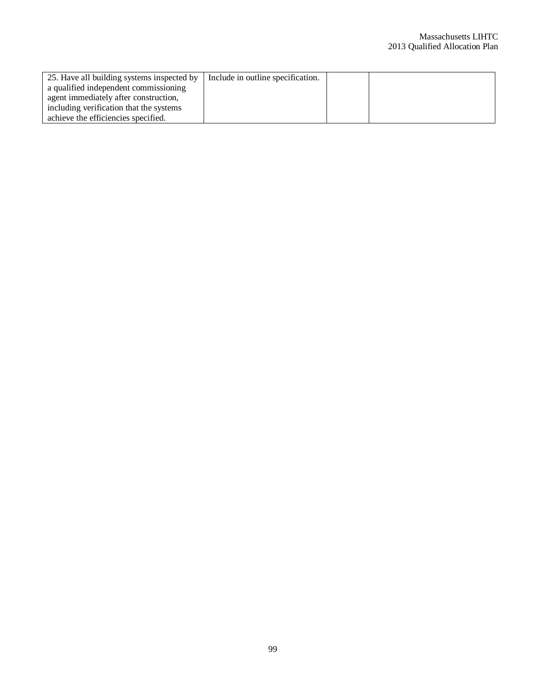| 25. Have all building systems inspected by   Include in outline specification. |  |  |
|--------------------------------------------------------------------------------|--|--|
| a qualified independent commissioning                                          |  |  |
| agent immediately after construction,                                          |  |  |
| including verification that the systems                                        |  |  |
| achieve the efficiencies specified.                                            |  |  |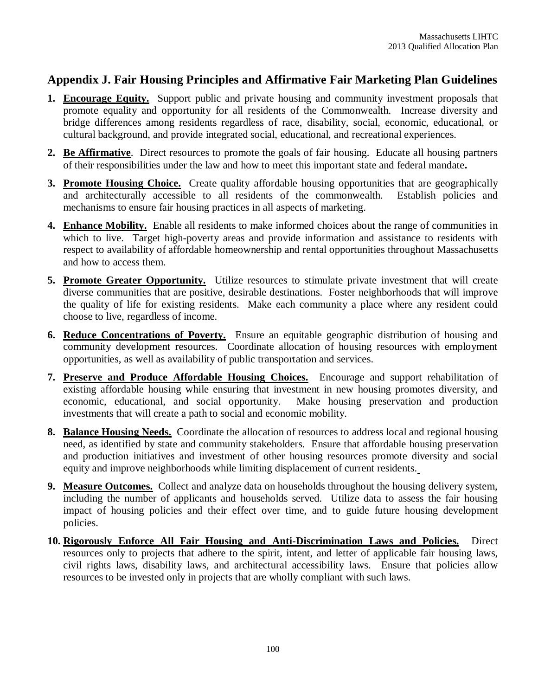# **Appendix J. Fair Housing Principles and Affirmative Fair Marketing Plan Guidelines**

- **1. Encourage Equity.** Support public and private housing and community investment proposals that promote equality and opportunity for all residents of the Commonwealth. Increase diversity and bridge differences among residents regardless of race, disability, social, economic, educational, or cultural background, and provide integrated social, educational, and recreational experiences.
- **2. Be Affirmative**. Direct resources to promote the goals of fair housing. Educate all housing partners of their responsibilities under the law and how to meet this important state and federal mandate**.**
- **3. Promote Housing Choice.** Create quality affordable housing opportunities that are geographically and architecturally accessible to all residents of the commonwealth. Establish policies and mechanisms to ensure fair housing practices in all aspects of marketing.
- **4. Enhance Mobility.** Enable all residents to make informed choices about the range of communities in which to live. Target high-poverty areas and provide information and assistance to residents with respect to availability of affordable homeownership and rental opportunities throughout Massachusetts and how to access them.
- **5. Promote Greater Opportunity.** Utilize resources to stimulate private investment that will create diverse communities that are positive, desirable destinations. Foster neighborhoods that will improve the quality of life for existing residents. Make each community a place where any resident could choose to live, regardless of income.
- **6. Reduce Concentrations of Poverty.** Ensure an equitable geographic distribution of housing and community development resources. Coordinate allocation of housing resources with employment opportunities, as well as availability of public transportation and services.
- **7. Preserve and Produce Affordable Housing Choices.** Encourage and support rehabilitation of existing affordable housing while ensuring that investment in new housing promotes diversity, and economic, educational, and social opportunity. Make housing preservation and production investments that will create a path to social and economic mobility.
- **8. Balance Housing Needs.** Coordinate the allocation of resources to address local and regional housing need, as identified by state and community stakeholders. Ensure that affordable housing preservation and production initiatives and investment of other housing resources promote diversity and social equity and improve neighborhoods while limiting displacement of current residents.
- **9. Measure Outcomes.** Collect and analyze data on households throughout the housing delivery system, including the number of applicants and households served. Utilize data to assess the fair housing impact of housing policies and their effect over time, and to guide future housing development policies.
- **10. Rigorously Enforce All Fair Housing and Anti-Discrimination Laws and Policies.** Direct resources only to projects that adhere to the spirit, intent, and letter of applicable fair housing laws, civil rights laws, disability laws, and architectural accessibility laws. Ensure that policies allow resources to be invested only in projects that are wholly compliant with such laws.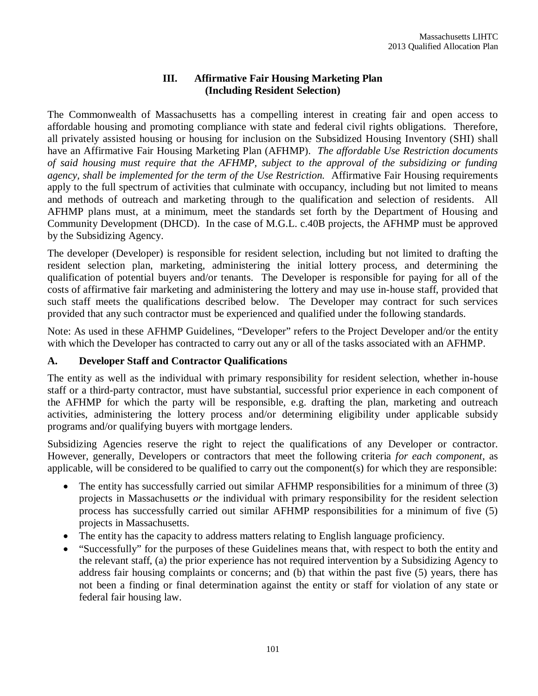# **III. Affirmative Fair Housing Marketing Plan (Including Resident Selection)**

The Commonwealth of Massachusetts has a compelling interest in creating fair and open access to affordable housing and promoting compliance with state and federal civil rights obligations. Therefore, all privately assisted housing or housing for inclusion on the Subsidized Housing Inventory (SHI) shall have an Affirmative Fair Housing Marketing Plan (AFHMP). *The affordable Use Restriction documents of said housing must require that the AFHMP, subject to the approval of the subsidizing or funding agency, shall be implemented for the term of the Use Restriction.* Affirmative Fair Housing requirements apply to the full spectrum of activities that culminate with occupancy, including but not limited to means and methods of outreach and marketing through to the qualification and selection of residents. All AFHMP plans must, at a minimum, meet the standards set forth by the Department of Housing and Community Development (DHCD). In the case of M.G.L. c.40B projects, the AFHMP must be approved by the Subsidizing Agency.

The developer (Developer) is responsible for resident selection, including but not limited to drafting the resident selection plan, marketing, administering the initial lottery process, and determining the qualification of potential buyers and/or tenants. The Developer is responsible for paying for all of the costs of affirmative fair marketing and administering the lottery and may use in-house staff, provided that such staff meets the qualifications described below. The Developer may contract for such services provided that any such contractor must be experienced and qualified under the following standards.

Note: As used in these AFHMP Guidelines, "Developer" refers to the Project Developer and/or the entity with which the Developer has contracted to carry out any or all of the tasks associated with an AFHMP.

# **A. Developer Staff and Contractor Qualifications**

The entity as well as the individual with primary responsibility for resident selection, whether in-house staff or a third-party contractor, must have substantial, successful prior experience in each component of the AFHMP for which the party will be responsible, e.g. drafting the plan, marketing and outreach activities, administering the lottery process and/or determining eligibility under applicable subsidy programs and/or qualifying buyers with mortgage lenders.

Subsidizing Agencies reserve the right to reject the qualifications of any Developer or contractor. However, generally, Developers or contractors that meet the following criteria *for each component*, as applicable, will be considered to be qualified to carry out the component(s) for which they are responsible:

- The entity has successfully carried out similar AFHMP responsibilities for a minimum of three (3) projects in Massachusetts *or* the individual with primary responsibility for the resident selection process has successfully carried out similar AFHMP responsibilities for a minimum of five (5) projects in Massachusetts.
- The entity has the capacity to address matters relating to English language proficiency.
- "Successfully" for the purposes of these Guidelines means that, with respect to both the entity and the relevant staff, (a) the prior experience has not required intervention by a Subsidizing Agency to address fair housing complaints or concerns; and (b) that within the past five (5) years, there has not been a finding or final determination against the entity or staff for violation of any state or federal fair housing law.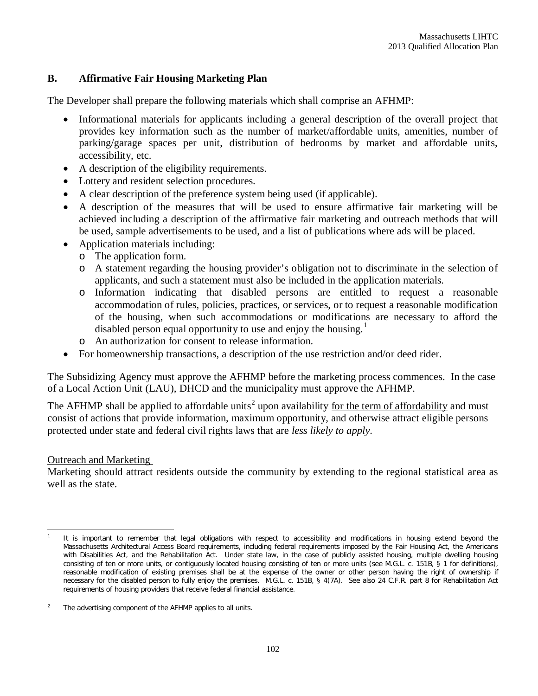# **B. Affirmative Fair Housing Marketing Plan**

The Developer shall prepare the following materials which shall comprise an AFHMP:

- Informational materials for applicants including a general description of the overall project that provides key information such as the number of market/affordable units, amenities, number of parking/garage spaces per unit, distribution of bedrooms by market and affordable units, accessibility, etc.
- A description of the eligibility requirements.
- Lottery and resident selection procedures.
- A clear description of the preference system being used (if applicable).
- A description of the measures that will be used to ensure affirmative fair marketing will be achieved including a description of the affirmative fair marketing and outreach methods that will be used, sample advertisements to be used, and a list of publications where ads will be placed.
- Application materials including:
	- o The application form.
	- o A statement regarding the housing provider's obligation not to discriminate in the selection of applicants, and such a statement must also be included in the application materials.
	- o Information indicating that disabled persons are entitled to request a reasonable accommodation of rules, policies, practices, or services, or to request a reasonable modification of the housing, when such accommodations or modifications are necessary to afford the disabled person equal opportunity to use and enjoy the housing.<sup>1</sup>
	- o An authorization for consent to release information.
- For homeownership transactions, a description of the use restriction and/or deed rider.

The Subsidizing Agency must approve the AFHMP before the marketing process commences. In the case of a Local Action Unit (LAU), DHCD and the municipality must approve the AFHMP.

The AFHMP shall be applied to affordable units<sup>2</sup> upon availability <u>for the term of affordability</u> and must consist of actions that provide information, maximum opportunity, and otherwise attract eligible persons protected under state and federal civil rights laws that are *less likely to apply*.

# Outreach and Marketing

Marketing should attract residents outside the community by extending to the regional statistical area as well as the state.

 $\overline{a}$ 1 It is important to remember that legal obligations with respect to accessibility and modifications in housing extend beyond the Massachusetts Architectural Access Board requirements, including federal requirements imposed by the Fair Housing Act, the Americans with Disabilities Act, and the Rehabilitation Act. Under state law, in the case of publicly assisted housing, multiple dwelling housing consisting of ten or more units, or contiguously located housing consisting of ten or more units (see M.G.L. c. 151B, § 1 for definitions), reasonable modification of existing premises shall *be at the expense of the owner* or other person having the right of ownership if necessary for the disabled person to fully enjoy the premises. M.G.L. c. 151B, § 4(7A). See also 24 C.F.R. part 8 for Rehabilitation Act requirements of housing providers that receive federal financial assistance.

<sup>2</sup> The advertising component of the AFHMP applies to all units.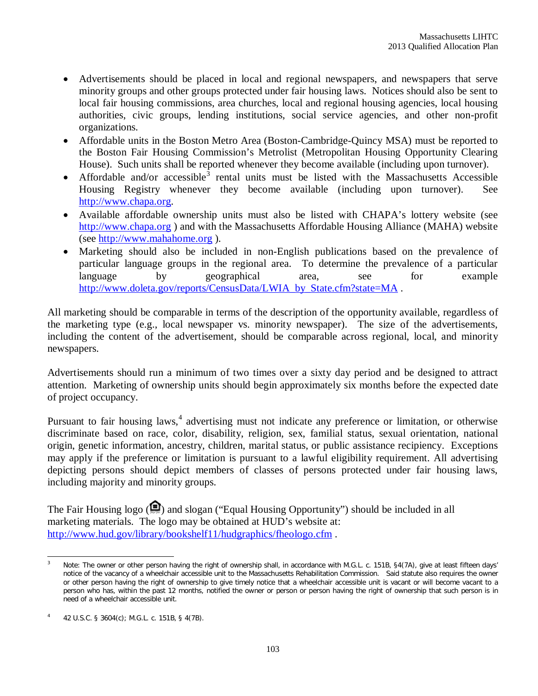- Advertisements should be placed in local and regional newspapers, and newspapers that serve minority groups and other groups protected under fair housing laws. Notices should also be sent to local fair housing commissions, area churches, local and regional housing agencies, local housing authorities, civic groups, lending institutions, social service agencies, and other non-profit organizations.
- Affordable units in the Boston Metro Area (Boston-Cambridge-Quincy MSA) must be reported to the Boston Fair Housing Commission's Metrolist (Metropolitan Housing Opportunity Clearing House). Such units shall be reported whenever they become available (including upon turnover).
- Affordable and/or accessible<sup>3</sup> rental units must be listed with the Massachusetts Accessible Housing Registry whenever they become available (including upon turnover). See http://www.chapa.org.
- Available affordable ownership units must also be listed with CHAPA's lottery website (see http://www.chapa.org ) and with the Massachusetts Affordable Housing Alliance (MAHA) website (see http://www.mahahome.org ).
- Marketing should also be included in non-English publications based on the prevalence of particular language groups in the regional area. To determine the prevalence of a particular language by geographical area, see for example http://www.doleta.gov/reports/CensusData/LWIA\_by\_State.cfm?state=MA.

All marketing should be comparable in terms of the description of the opportunity available, regardless of the marketing type (e.g., local newspaper vs. minority newspaper). The size of the advertisements, including the content of the advertisement, should be comparable across regional, local, and minority newspapers.

Advertisements should run a minimum of two times over a sixty day period and be designed to attract attention. Marketing of ownership units should begin approximately six months before the expected date of project occupancy.

Pursuant to fair housing laws,<sup>4</sup> advertising must not indicate any preference or limitation, or otherwise discriminate based on race, color, disability, religion, sex, familial status, sexual orientation, national origin, genetic information, ancestry, children, marital status, or public assistance recipiency. Exceptions may apply if the preference or limitation is pursuant to a lawful eligibility requirement. All advertising depicting persons should depict members of classes of persons protected under fair housing laws, including majority and minority groups.

The Fair Housing logo  $( \bigcirc$  and slogan ("Equal Housing Opportunity") should be included in all marketing materials. The logo may be obtained at HUD's website at: http://www.hud.gov/library/bookshelf11/hudgraphics/fheologo.cfm .

 $\mathbf{3}$ Note: The owner or other person having the right of ownership shall, in accordance with M.G.L. c. 151B, §4(7A), give at least fifteen days' notice of the vacancy of a wheelchair accessible unit to the Massachusetts Rehabilitation Commission. Said statute also requires the owner or other person having the right of ownership to give timely notice that a wheelchair accessible unit is vacant or will become vacant to a person who has, within the past 12 months, notified the owner or person or person having the right of ownership that such person is in need of a wheelchair accessible unit.

<sup>4</sup> 42 U.S.C. § 3604(c); M.G.L. c. 151B, § 4(7B).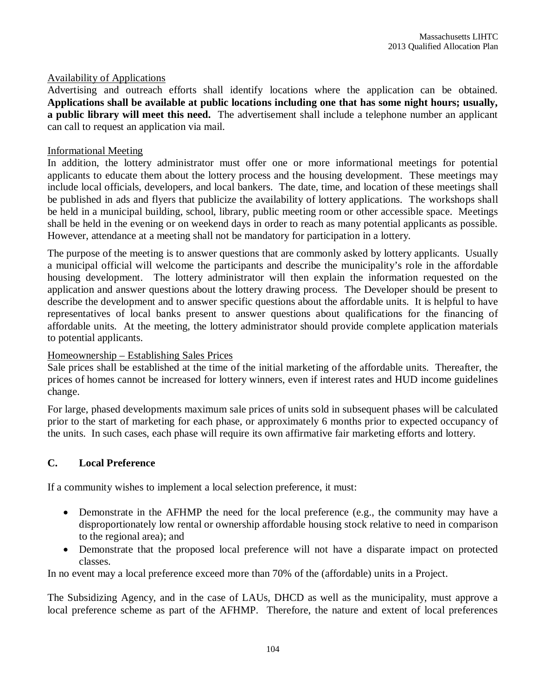## Availability of Applications

Advertising and outreach efforts shall identify locations where the application can be obtained. **Applications shall be available at public locations including one that has some night hours; usually, a public library will meet this need.** The advertisement shall include a telephone number an applicant can call to request an application via mail.

### Informational Meeting

In addition, the lottery administrator must offer one or more informational meetings for potential applicants to educate them about the lottery process and the housing development. These meetings may include local officials, developers, and local bankers. The date, time, and location of these meetings shall be published in ads and flyers that publicize the availability of lottery applications. The workshops shall be held in a municipal building, school, library, public meeting room or other accessible space. Meetings shall be held in the evening or on weekend days in order to reach as many potential applicants as possible. However, attendance at a meeting shall not be mandatory for participation in a lottery.

The purpose of the meeting is to answer questions that are commonly asked by lottery applicants. Usually a municipal official will welcome the participants and describe the municipality's role in the affordable housing development. The lottery administrator will then explain the information requested on the application and answer questions about the lottery drawing process. The Developer should be present to describe the development and to answer specific questions about the affordable units. It is helpful to have representatives of local banks present to answer questions about qualifications for the financing of affordable units. At the meeting, the lottery administrator should provide complete application materials to potential applicants.

## Homeownership – Establishing Sales Prices

Sale prices shall be established at the time of the initial marketing of the affordable units. Thereafter, the prices of homes cannot be increased for lottery winners, even if interest rates and HUD income guidelines change.

For large, phased developments maximum sale prices of units sold in subsequent phases will be calculated prior to the start of marketing for each phase, or approximately 6 months prior to expected occupancy of the units. In such cases, each phase will require its own affirmative fair marketing efforts and lottery.

## **C. Local Preference**

If a community wishes to implement a local selection preference, it must:

- Demonstrate in the AFHMP the need for the local preference (e.g., the community may have a disproportionately low rental or ownership affordable housing stock relative to need in comparison to the regional area); and
- Demonstrate that the proposed local preference will not have a disparate impact on protected classes.

In no event may a local preference exceed more than 70% of the (affordable) units in a Project.

The Subsidizing Agency, and in the case of LAUs, DHCD as well as the municipality, must approve a local preference scheme as part of the AFHMP. Therefore, the nature and extent of local preferences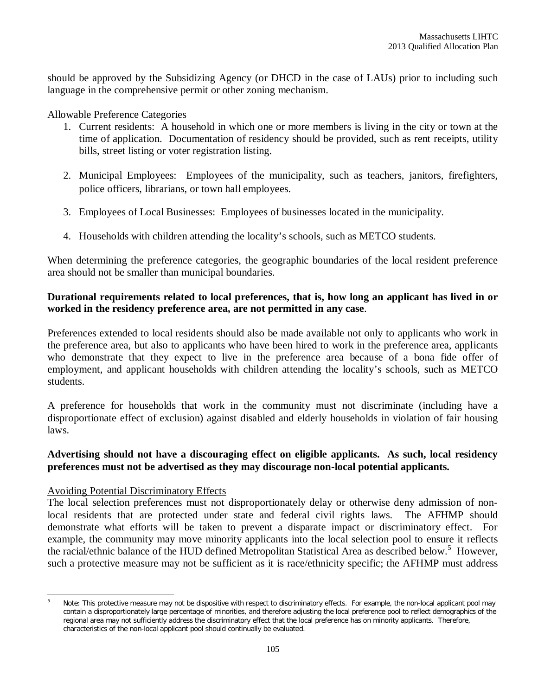should be approved by the Subsidizing Agency (or DHCD in the case of LAUs) prior to including such language in the comprehensive permit or other zoning mechanism.

Allowable Preference Categories

- 1. Current residents: A household in which one or more members is living in the city or town at the time of application. Documentation of residency should be provided, such as rent receipts, utility bills, street listing or voter registration listing.
- 2. Municipal Employees: Employees of the municipality, such as teachers, janitors, firefighters, police officers, librarians, or town hall employees.
- 3. Employees of Local Businesses: Employees of businesses located in the municipality.
- 4. Households with children attending the locality's schools, such as METCO students.

When determining the preference categories, the geographic boundaries of the local resident preference area should not be smaller than municipal boundaries.

## **Durational requirements related to local preferences, that is, how long an applicant has lived in or worked in the residency preference area, are not permitted in any case**.

Preferences extended to local residents should also be made available not only to applicants who work in the preference area, but also to applicants who have been hired to work in the preference area, applicants who demonstrate that they expect to live in the preference area because of a bona fide offer of employment, and applicant households with children attending the locality's schools, such as METCO students.

A preference for households that work in the community must not discriminate (including have a disproportionate effect of exclusion) against disabled and elderly households in violation of fair housing laws.

# **Advertising should not have a discouraging effect on eligible applicants. As such, local residency preferences must not be advertised as they may discourage non-local potential applicants.**

## Avoiding Potential Discriminatory Effects

 $\overline{a}$ 

The local selection preferences must not disproportionately delay or otherwise deny admission of nonlocal residents that are protected under state and federal civil rights laws. The AFHMP should demonstrate what efforts will be taken to prevent a disparate impact or discriminatory effect. For example, the community may move minority applicants into the local selection pool to ensure it reflects the racial/ethnic balance of the HUD defined Metropolitan Statistical Area as described below.<sup>5</sup> However, such a protective measure may not be sufficient as it is race/ethnicity specific; the AFHMP must address

Note: This protective measure may not be dispositive with respect to discriminatory effects. For example, the non-local applicant pool may contain a disproportionately large percentage of minorities, and therefore adjusting the local preference pool to reflect demographics of the regional area may not sufficiently address the discriminatory effect that the local preference has on minority applicants. Therefore, characteristics of the non-local applicant pool should continually be evaluated.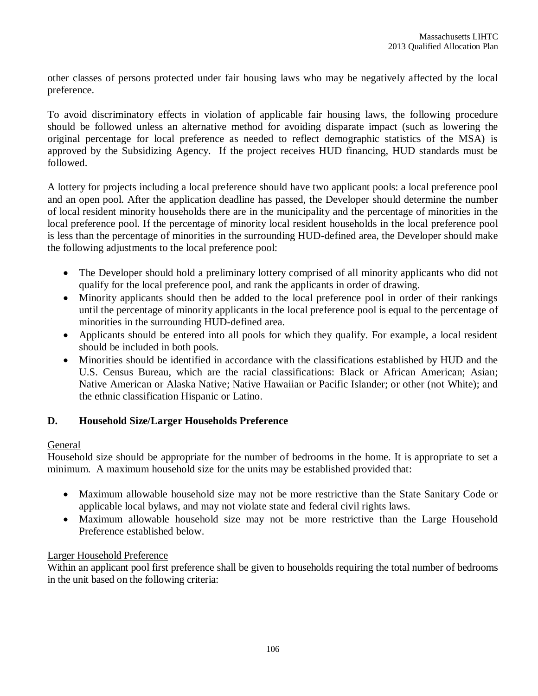other classes of persons protected under fair housing laws who may be negatively affected by the local preference.

To avoid discriminatory effects in violation of applicable fair housing laws, the following procedure should be followed unless an alternative method for avoiding disparate impact (such as lowering the original percentage for local preference as needed to reflect demographic statistics of the MSA) is approved by the Subsidizing Agency. If the project receives HUD financing, HUD standards must be followed.

A lottery for projects including a local preference should have two applicant pools: a local preference pool and an open pool. After the application deadline has passed, the Developer should determine the number of local resident minority households there are in the municipality and the percentage of minorities in the local preference pool. If the percentage of minority local resident households in the local preference pool is less than the percentage of minorities in the surrounding HUD-defined area, the Developer should make the following adjustments to the local preference pool:

- The Developer should hold a preliminary lottery comprised of all minority applicants who did not qualify for the local preference pool, and rank the applicants in order of drawing.
- Minority applicants should then be added to the local preference pool in order of their rankings until the percentage of minority applicants in the local preference pool is equal to the percentage of minorities in the surrounding HUD-defined area.
- Applicants should be entered into all pools for which they qualify. For example, a local resident should be included in both pools.
- Minorities should be identified in accordance with the classifications established by HUD and the U.S. Census Bureau, which are the racial classifications: Black or African American; Asian; Native American or Alaska Native; Native Hawaiian or Pacific Islander; or other (not White); and the ethnic classification Hispanic or Latino.

# **D. Household Size/Larger Households Preference**

## General

Household size should be appropriate for the number of bedrooms in the home. It is appropriate to set a minimum. A maximum household size for the units may be established provided that:

- Maximum allowable household size may not be more restrictive than the State Sanitary Code or applicable local bylaws, and may not violate state and federal civil rights laws.
- Maximum allowable household size may not be more restrictive than the Large Household Preference established below.

## Larger Household Preference

Within an applicant pool first preference shall be given to households requiring the total number of bedrooms in the unit based on the following criteria: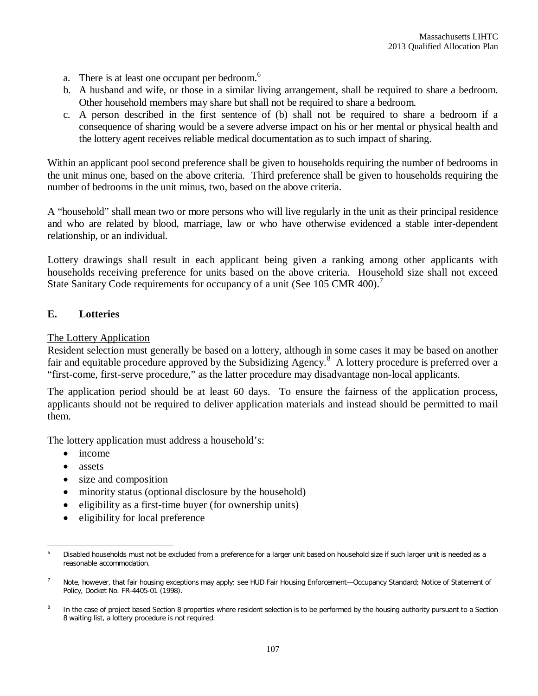- a. There is at least one occupant per bedroom.<sup>6</sup>
- b. A husband and wife, or those in a similar living arrangement, shall be required to share a bedroom. Other household members may share but shall not be required to share a bedroom.
- c. A person described in the first sentence of (b) shall not be required to share a bedroom if a consequence of sharing would be a severe adverse impact on his or her mental or physical health and the lottery agent receives reliable medical documentation as to such impact of sharing.

Within an applicant pool second preference shall be given to households requiring the number of bedrooms in the unit minus one, based on the above criteria. Third preference shall be given to households requiring the number of bedrooms in the unit minus, two, based on the above criteria.

A "household" shall mean two or more persons who will live regularly in the unit as their principal residence and who are related by blood, marriage, law or who have otherwise evidenced a stable inter-dependent relationship, or an individual.

Lottery drawings shall result in each applicant being given a ranking among other applicants with households receiving preference for units based on the above criteria.Household size shall not exceed State Sanitary Code requirements for occupancy of a unit (See 105 CMR 400).<sup>7</sup>

## **E. Lotteries**

#### The Lottery Application

Resident selection must generally be based on a lottery, although in some cases it may be based on another fair and equitable procedure approved by the Subsidizing Agency.<sup>8</sup> A lottery procedure is preferred over a "first-come, first-serve procedure," as the latter procedure may disadvantage non-local applicants.

The application period should be at least 60 days. To ensure the fairness of the application process, applicants should not be required to deliver application materials and instead should be permitted to mail them.

The lottery application must address a household's:

- income
- assets
- size and composition
- minority status (optional disclosure by the household)
- eligibility as a first-time buyer (for ownership units)
- eligibility for local preference

 $\overline{a}$ Disabled households must not be excluded from a preference for a larger unit based on household size if such larger unit is needed as a reasonable accommodation.

<sup>7</sup> Note, however, that fair housing exceptions may apply: see HUD Fair Housing Enforcement—Occupancy Standard; Notice of Statement of Policy, Docket No. FR-4405-01 (1998).

<sup>8</sup> In the case of project based Section 8 properties where resident selection is to be performed by the housing authority pursuant to a Section 8 waiting list, a lottery procedure is not required.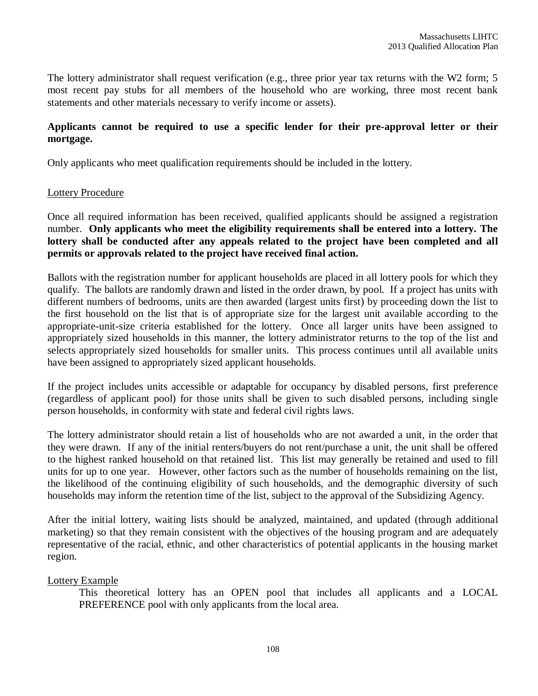The lottery administrator shall request verification (e.g., three prior year tax returns with the W2 form; 5 most recent pay stubs for all members of the household who are working, three most recent bank statements and other materials necessary to verify income or assets).

### **Applicants cannot be required to use a specific lender for their pre-approval letter or their mortgage.**

Only applicants who meet qualification requirements should be included in the lottery.

#### Lottery Procedure

Once all required information has been received, qualified applicants should be assigned a registration number. **Only applicants who meet the eligibility requirements shall be entered into a lottery. The lottery shall be conducted after any appeals related to the project have been completed and all permits or approvals related to the project have received final action.**

Ballots with the registration number for applicant households are placed in all lottery pools for which they qualify. The ballots are randomly drawn and listed in the order drawn, by pool. If a project has units with different numbers of bedrooms, units are then awarded (largest units first) by proceeding down the list to the first household on the list that is of appropriate size for the largest unit available according to the appropriate-unit-size criteria established for the lottery. Once all larger units have been assigned to appropriately sized households in this manner, the lottery administrator returns to the top of the list and selects appropriately sized households for smaller units. This process continues until all available units have been assigned to appropriately sized applicant households.

If the project includes units accessible or adaptable for occupancy by disabled persons, first preference (regardless of applicant pool) for those units shall be given to such disabled persons, including single person households, in conformity with state and federal civil rights laws.

The lottery administrator should retain a list of households who are not awarded a unit, in the order that they were drawn. If any of the initial renters/buyers do not rent/purchase a unit, the unit shall be offered to the highest ranked household on that retained list. This list may generally be retained and used to fill units for up to one year. However, other factors such as the number of households remaining on the list, the likelihood of the continuing eligibility of such households, and the demographic diversity of such households may inform the retention time of the list, subject to the approval of the Subsidizing Agency.

After the initial lottery, waiting lists should be analyzed, maintained, and updated (through additional marketing) so that they remain consistent with the objectives of the housing program and are adequately representative of the racial, ethnic, and other characteristics of potential applicants in the housing market region.

## Lottery Example

This theoretical lottery has an OPEN pool that includes all applicants and a LOCAL PREFERENCE pool with only applicants from the local area.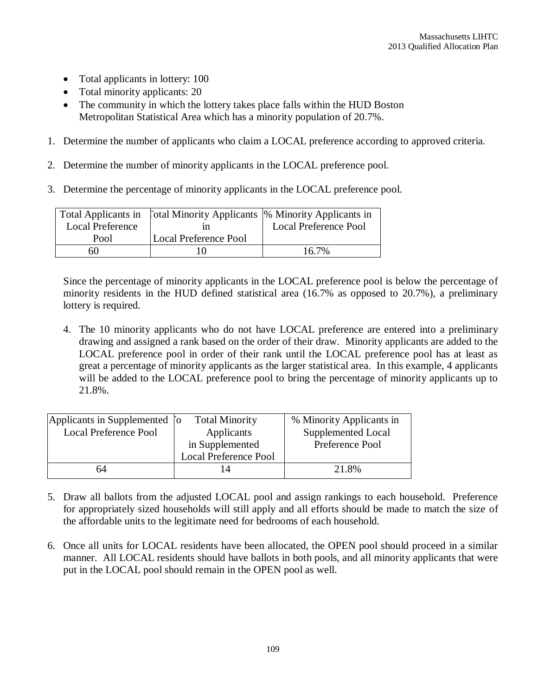- Total applicants in lottery: 100
- Total minority applicants: 20
- The community in which the lottery takes place falls within the HUD Boston Metropolitan Statistical Area which has a minority population of 20.7%.
- 1. Determine the number of applicants who claim a LOCAL preference according to approved criteria.
- 2. Determine the number of minority applicants in the LOCAL preference pool.
- 3. Determine the percentage of minority applicants in the LOCAL preference pool.

|                         | Total Applicants in [otal Minority Applicants  % Minority Applicants in |                              |
|-------------------------|-------------------------------------------------------------------------|------------------------------|
| <b>Local Preference</b> |                                                                         | <b>Local Preference Pool</b> |
| Pool                    | Local Preference Pool                                                   |                              |
| 60                      |                                                                         | 16.7%                        |

Since the percentage of minority applicants in the LOCAL preference pool is below the percentage of minority residents in the HUD defined statistical area (16.7% as opposed to 20.7%), a preliminary lottery is required.

4. The 10 minority applicants who do not have LOCAL preference are entered into a preliminary drawing and assigned a rank based on the order of their draw. Minority applicants are added to the LOCAL preference pool in order of their rank until the LOCAL preference pool has at least as great a percentage of minority applicants as the larger statistical area. In this example, 4 applicants will be added to the LOCAL preference pool to bring the percentage of minority applicants up to 21.8%.

|                              | <b>Total Minority</b>        | % Minority Applicants in      |
|------------------------------|------------------------------|-------------------------------|
| <b>Local Preference Pool</b> | Applicants                   | Supplemented Local            |
|                              | in Supplemented              | Preference Pool               |
|                              | <b>Local Preference Pool</b> |                               |
| 64                           |                              | 21.8%                         |
|                              |                              | Applicants in Supplemented [o |

- 5. Draw all ballots from the adjusted LOCAL pool and assign rankings to each household. Preference for appropriately sized households will still apply and all efforts should be made to match the size of the affordable units to the legitimate need for bedrooms of each household.
- 6. Once all units for LOCAL residents have been allocated, the OPEN pool should proceed in a similar manner. All LOCAL residents should have ballots in both pools, and all minority applicants that were put in the LOCAL pool should remain in the OPEN pool as well.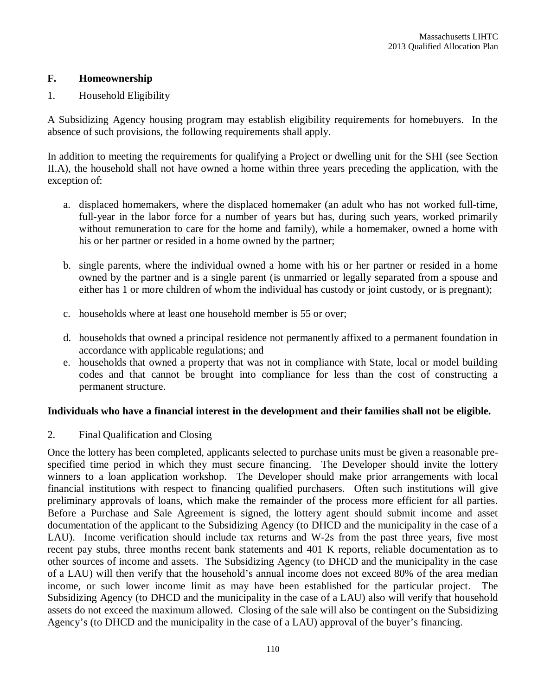#### **F. Homeownership**

#### 1. Household Eligibility

A Subsidizing Agency housing program may establish eligibility requirements for homebuyers. In the absence of such provisions, the following requirements shall apply.

In addition to meeting the requirements for qualifying a Project or dwelling unit for the SHI (see Section II.A), the household shall not have owned a home within three years preceding the application, with the exception of:

- a. displaced homemakers, where the displaced homemaker (an adult who has not worked full-time, full-year in the labor force for a number of years but has, during such years, worked primarily without remuneration to care for the home and family), while a homemaker, owned a home with his or her partner or resided in a home owned by the partner;
- b. single parents, where the individual owned a home with his or her partner or resided in a home owned by the partner and is a single parent (is unmarried or legally separated from a spouse and either has 1 or more children of whom the individual has custody or joint custody, or is pregnant);
- c. households where at least one household member is 55 or over;
- d. households that owned a principal residence not permanently affixed to a permanent foundation in accordance with applicable regulations; and
- e. households that owned a property that was not in compliance with State, local or model building codes and that cannot be brought into compliance for less than the cost of constructing a permanent structure.

#### **Individuals who have a financial interest in the development and their families shall not be eligible.**

2. Final Qualification and Closing

Once the lottery has been completed, applicants selected to purchase units must be given a reasonable prespecified time period in which they must secure financing. The Developer should invite the lottery winners to a loan application workshop. The Developer should make prior arrangements with local financial institutions with respect to financing qualified purchasers. Often such institutions will give preliminary approvals of loans, which make the remainder of the process more efficient for all parties. Before a Purchase and Sale Agreement is signed, the lottery agent should submit income and asset documentation of the applicant to the Subsidizing Agency (to DHCD and the municipality in the case of a LAU). Income verification should include tax returns and W-2s from the past three years, five most recent pay stubs, three months recent bank statements and 401 K reports, reliable documentation as to other sources of income and assets. The Subsidizing Agency (to DHCD and the municipality in the case of a LAU) will then verify that the household's annual income does not exceed 80% of the area median income, or such lower income limit as may have been established for the particular project. The Subsidizing Agency (to DHCD and the municipality in the case of a LAU) also will verify that household assets do not exceed the maximum allowed. Closing of the sale will also be contingent on the Subsidizing Agency's (to DHCD and the municipality in the case of a LAU) approval of the buyer's financing.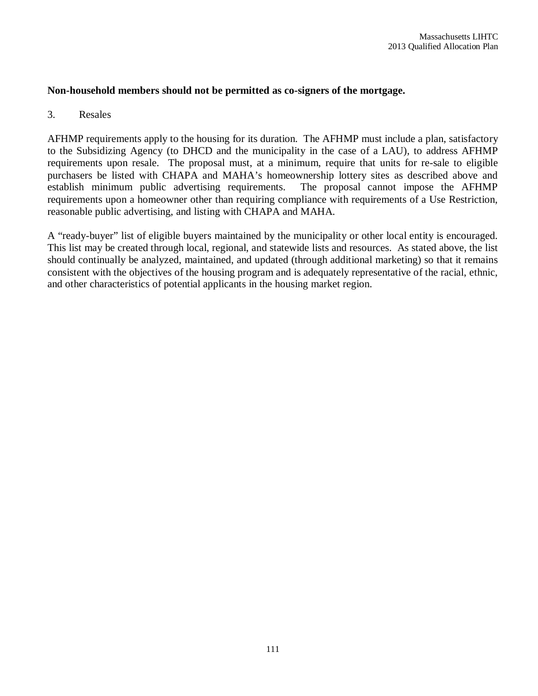#### **Non-household members should not be permitted as co-signers of the mortgage.**

#### 3. Resales

AFHMP requirements apply to the housing for its duration. The AFHMP must include a plan, satisfactory to the Subsidizing Agency (to DHCD and the municipality in the case of a LAU), to address AFHMP requirements upon resale. The proposal must, at a minimum, require that units for re-sale to eligible purchasers be listed with CHAPA and MAHA's homeownership lottery sites as described above and establish minimum public advertising requirements. The proposal cannot impose the AFHMP requirements upon a homeowner other than requiring compliance with requirements of a Use Restriction. reasonable public advertising, and listing with CHAPA and MAHA.

A "ready-buyer" list of eligible buyers maintained by the municipality or other local entity is encouraged. This list may be created through local, regional, and statewide lists and resources. As stated above, the list should continually be analyzed, maintained, and updated (through additional marketing) so that it remains consistent with the objectives of the housing program and is adequately representative of the racial, ethnic, and other characteristics of potential applicants in the housing market region.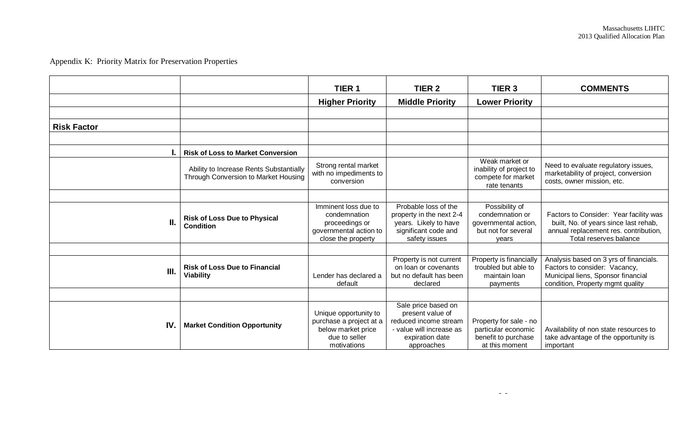# Appendix K: Priority Matrix for Preservation Properties

|                    |                                                                                 | TIER <sub>1</sub>                                                                                      | TIER <sub>2</sub>                                                                                                             | TIER <sub>3</sub>                                                                         | <b>COMMENTS</b>                                                                                                                                    |
|--------------------|---------------------------------------------------------------------------------|--------------------------------------------------------------------------------------------------------|-------------------------------------------------------------------------------------------------------------------------------|-------------------------------------------------------------------------------------------|----------------------------------------------------------------------------------------------------------------------------------------------------|
|                    |                                                                                 | <b>Higher Priority</b>                                                                                 | <b>Middle Priority</b>                                                                                                        | <b>Lower Priority</b>                                                                     |                                                                                                                                                    |
|                    |                                                                                 |                                                                                                        |                                                                                                                               |                                                                                           |                                                                                                                                                    |
| <b>Risk Factor</b> |                                                                                 |                                                                                                        |                                                                                                                               |                                                                                           |                                                                                                                                                    |
|                    |                                                                                 |                                                                                                        |                                                                                                                               |                                                                                           |                                                                                                                                                    |
|                    | <b>Risk of Loss to Market Conversion</b>                                        |                                                                                                        |                                                                                                                               |                                                                                           |                                                                                                                                                    |
|                    | Ability to Increase Rents Substantially<br>Through Conversion to Market Housing | Strong rental market<br>with no impediments to<br>conversion                                           |                                                                                                                               | Weak market or<br>inability of project to<br>compete for market<br>rate tenants           | Need to evaluate regulatory issues,<br>marketability of project, conversion<br>costs, owner mission, etc.                                          |
|                    |                                                                                 |                                                                                                        |                                                                                                                               |                                                                                           |                                                                                                                                                    |
| П.                 | <b>Risk of Loss Due to Physical</b><br><b>Condition</b>                         | Imminent loss due to<br>condemnation<br>proceedings or<br>governmental action to<br>close the property | Probable loss of the<br>property in the next 2-4<br>years. Likely to have<br>significant code and<br>safety issues            | Possibility of<br>condemnation or<br>governmental action,<br>but not for several<br>vears | Factors to Consider: Year facility was<br>built, No. of years since last rehab,<br>annual replacement res. contribution,<br>Total reserves balance |
|                    |                                                                                 |                                                                                                        |                                                                                                                               |                                                                                           |                                                                                                                                                    |
| III.               | <b>Risk of Loss Due to Financial</b><br><b>Viability</b>                        | Lender has declared a<br>default                                                                       | Property is not current<br>on loan or covenants<br>but no default has been<br>declared                                        | Property is financially<br>troubled but able to<br>maintain Ioan<br>payments              | Analysis based on 3 yrs of financials.<br>Factors to consider: Vacancy,<br>Municipal liens, Sponsor financial<br>condition, Property mgmt quality  |
|                    |                                                                                 |                                                                                                        |                                                                                                                               |                                                                                           |                                                                                                                                                    |
| IV.                | <b>Market Condition Opportunity</b>                                             | Unique opportunity to<br>purchase a project at a<br>below market price<br>due to seller<br>motivations | Sale price based on<br>present value of<br>reduced income stream<br>- value will increase as<br>expiration date<br>approaches | Property for sale - no<br>particular economic<br>benefit to purchase<br>at this moment    | Availability of non state resources to<br>take advantage of the opportunity is<br>important                                                        |